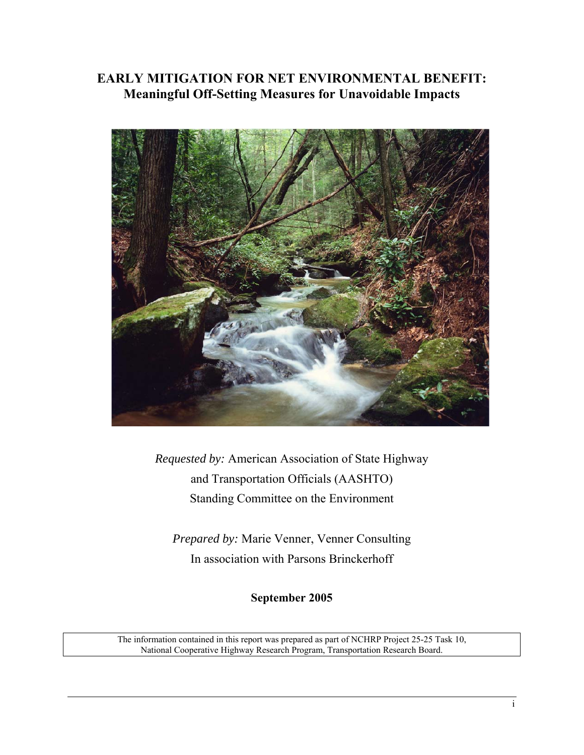## **EARLY MITIGATION FOR NET ENVIRONMENTAL BENEFIT: Meaningful Off-Setting Measures for Unavoidable Impacts**



*Requested by:* American Association of State Highway and Transportation Officials (AASHTO) Standing Committee on the Environment

*Prepared by:* Marie Venner, Venner Consulting In association with Parsons Brinckerhoff

**September 2005** 

The information contained in this report was prepared as part of NCHRP Project 25-25 Task 10, National Cooperative Highway Research Program, Transportation Research Board.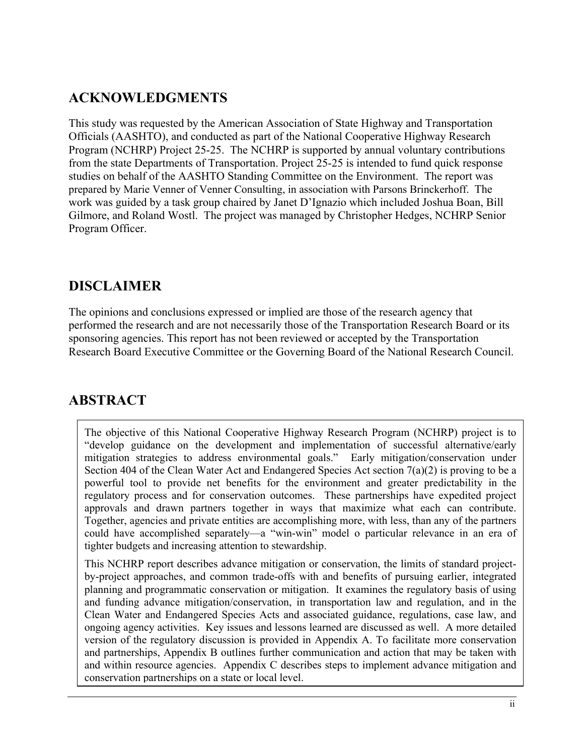## <span id="page-1-0"></span>**ACKNOWLEDGMENTS**

This study was requested by the American Association of State Highway and Transportation Officials (AASHTO), and conducted as part of the National Cooperative Highway Research Program (NCHRP) Project 25-25. The NCHRP is supported by annual voluntary contributions from the state Departments of Transportation. Project 25-25 is intended to fund quick response studies on behalf of the AASHTO Standing Committee on the Environment. The report was prepared by Marie Venner of Venner Consulting, in association with Parsons Brinckerhoff. The work was guided by a task group chaired by Janet D'Ignazio which included Joshua Boan, Bill Gilmore, and Roland Wostl. The project was managed by Christopher Hedges, NCHRP Senior Program Officer.

## **DISCLAIMER**

The opinions and conclusions expressed or implied are those of the research agency that performed the research and are not necessarily those of the Transportation Research Board or its sponsoring agencies. This report has not been reviewed or accepted by the Transportation Research Board Executive Committee or the Governing Board of the National Research Council.

## **ABSTRACT**

The objective of this National Cooperative Highway Research Program (NCHRP) project is to "develop guidance on the development and implementation of successful alternative/early mitigation strategies to address environmental goals." Early mitigation/conservation under Section 404 of the Clean Water Act and Endangered Species Act section  $7(a)(2)$  is proving to be a powerful tool to provide net benefits for the environment and greater predictability in the regulatory process and for conservation outcomes. These partnerships have expedited project approvals and drawn partners together in ways that maximize what each can contribute. Together, agencies and private entities are accomplishing more, with less, than any of the partners could have accomplished separately—a "win-win" model o particular relevance in an era of tighter budgets and increasing attention to stewardship.

This NCHRP report describes advance mitigation or conservation, the limits of standard projectby-project approaches, and common trade-offs with and benefits of pursuing earlier, integrated planning and programmatic conservation or mitigation. It examines the regulatory basis of using and funding advance mitigation/conservation, in transportation law and regulation, and in the Clean Water and Endangered Species Acts and associated guidance, regulations, case law, and ongoing agency activities. Key issues and lessons learned are discussed as well. A more detailed version of the regulatory discussion is provided in Appendix A. To facilitate more conservation and partnerships, Appendix B outlines further communication and action that may be taken with and within resource agencies. Appendix C describes steps to implement advance mitigation and conservation partnerships on a state or local level.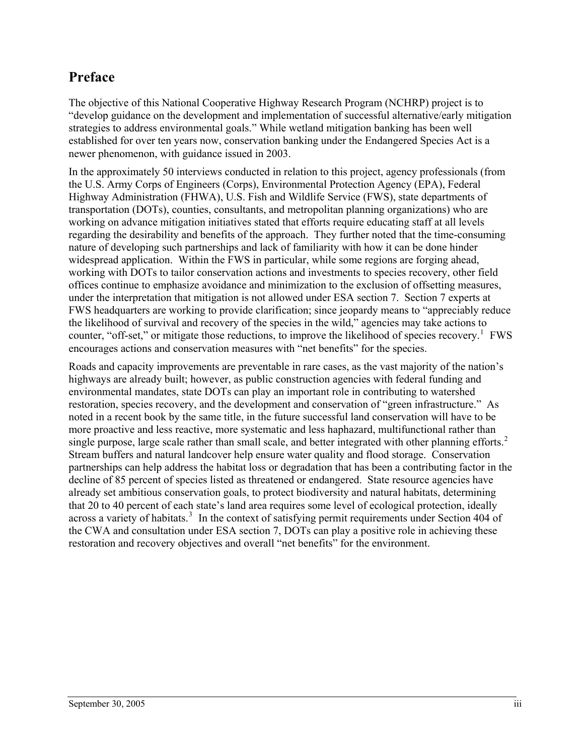## <span id="page-2-0"></span>**Preface**

The objective of this National Cooperative Highway Research Program (NCHRP) project is to "develop guidance on the development and implementation of successful alternative/early mitigation strategies to address environmental goals." While wetland mitigation banking has been well established for over ten years now, conservation banking under the Endangered Species Act is a newer phenomenon, with guidance issued in 2003.

In the approximately 50 interviews conducted in relation to this project, agency professionals (from the U.S. Army Corps of Engineers (Corps), Environmental Protection Agency (EPA), Federal Highway Administration (FHWA), U.S. Fish and Wildlife Service (FWS), state departments of transportation (DOTs), counties, consultants, and metropolitan planning organizations) who are working on advance mitigation initiatives stated that efforts require educating staff at all levels regarding the desirability and benefits of the approach. They further noted that the time-consuming nature of developing such partnerships and lack of familiarity with how it can be done hinder widespread application. Within the FWS in particular, while some regions are forging ahead, working with DOTs to tailor conservation actions and investments to species recovery, other field offices continue to emphasize avoidance and minimization to the exclusion of offsetting measures, under the interpretation that mitigation is not allowed under ESA section 7. Section 7 experts at FWS headquarters are working to provide clarification; since jeopardy means to "appreciably reduce the likelihood of survival and recovery of the species in the wild," agencies may take actions to counter, "off-set," or mitigate those reductions, to improve the likelihood of species recovery.<sup>[1](#page-83-0)</sup> FWS encourages actions and conservation measures with "net benefits" for the species.

Roads and capacity improvements are preventable in rare cases, as the vast majority of the nation's highways are already built; however, as public construction agencies with federal funding and environmental mandates, state DOTs can play an important role in contributing to watershed restoration, species recovery, and the development and conservation of "green infrastructure." As noted in a recent book by the same title, in the future successful land conservation will have to be more proactive and less reactive, more systematic and less haphazard, multifunctional rather than single purpose, large scale rather than small scale, and better integrated with other planning efforts.<sup>[2](#page-83-1)</sup> Stream buffers and natural landcover help ensure water quality and flood storage. Conservation partnerships can help address the habitat loss or degradation that has been a contributing factor in the decline of 85 percent of species listed as threatened or endangered. State resource agencies have already set ambitious conservation goals, to protect biodiversity and natural habitats, determining that 20 to 40 percent of each state's land area requires some level of ecological protection, ideally across a variety of habitats.<sup>[3](#page-83-1)</sup> In the context of satisfying permit requirements under Section 404 of the CWA and consultation under ESA section 7, DOTs can play a positive role in achieving these restoration and recovery objectives and overall "net benefits" for the environment.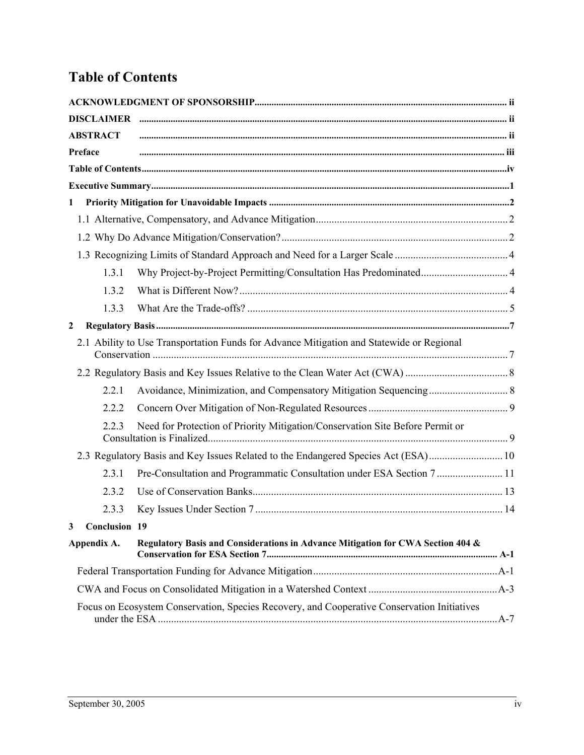# <span id="page-3-0"></span>**Table of Contents**

|              | <b>DISCLAIMER</b>    |                                                                                             |  |  |
|--------------|----------------------|---------------------------------------------------------------------------------------------|--|--|
|              | <b>ABSTRACT</b>      |                                                                                             |  |  |
|              | Preface              |                                                                                             |  |  |
|              |                      |                                                                                             |  |  |
|              |                      |                                                                                             |  |  |
| $\mathbf{1}$ |                      |                                                                                             |  |  |
|              |                      |                                                                                             |  |  |
|              |                      |                                                                                             |  |  |
|              |                      |                                                                                             |  |  |
|              | 1.3.1                |                                                                                             |  |  |
|              | 1.3.2                |                                                                                             |  |  |
|              | 1.3.3                |                                                                                             |  |  |
| $\mathbf{2}$ |                      |                                                                                             |  |  |
|              |                      | 2.1 Ability to Use Transportation Funds for Advance Mitigation and Statewide or Regional    |  |  |
|              |                      |                                                                                             |  |  |
|              | 2.2.1                |                                                                                             |  |  |
|              | 2.2.2                |                                                                                             |  |  |
|              | 2.2.3                | Need for Protection of Priority Mitigation/Conservation Site Before Permit or               |  |  |
|              |                      | 2.3 Regulatory Basis and Key Issues Related to the Endangered Species Act (ESA) 10          |  |  |
|              | 2.3.1                | Pre-Consultation and Programmatic Consultation under ESA Section 7  11                      |  |  |
|              | 2.3.2                |                                                                                             |  |  |
|              | 2.3.3                |                                                                                             |  |  |
| 3            | <b>Conclusion 19</b> |                                                                                             |  |  |
| Appendix A.  |                      | Regulatory Basis and Considerations in Advance Mitigation for CWA Section 404 &             |  |  |
|              |                      |                                                                                             |  |  |
|              |                      |                                                                                             |  |  |
|              |                      | Focus on Ecosystem Conservation, Species Recovery, and Cooperative Conservation Initiatives |  |  |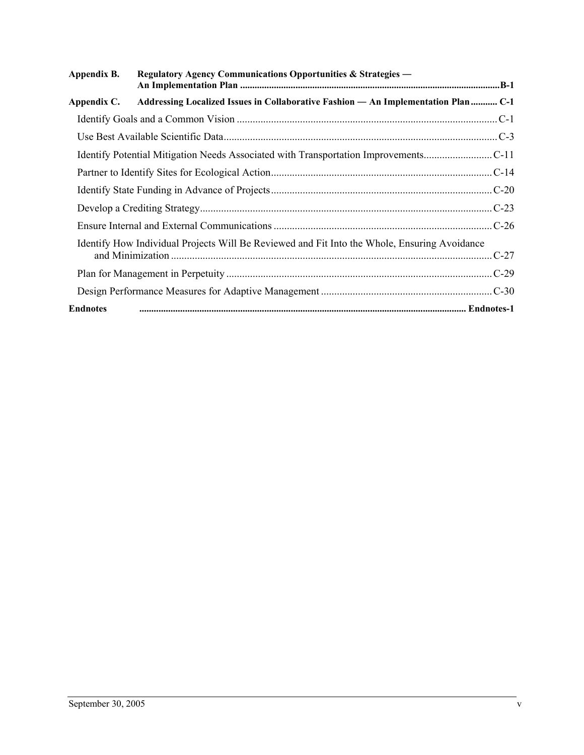| Appendix B.     | <b>Regulatory Agency Communications Opportunities &amp; Strategies —</b>                     |  |
|-----------------|----------------------------------------------------------------------------------------------|--|
| Appendix C.     | Addressing Localized Issues in Collaborative Fashion - An Implementation Plan  C-1           |  |
|                 |                                                                                              |  |
|                 |                                                                                              |  |
|                 | Identify Potential Mitigation Needs Associated with Transportation Improvements              |  |
|                 |                                                                                              |  |
|                 |                                                                                              |  |
|                 |                                                                                              |  |
|                 |                                                                                              |  |
|                 | Identify How Individual Projects Will Be Reviewed and Fit Into the Whole, Ensuring Avoidance |  |
|                 |                                                                                              |  |
|                 |                                                                                              |  |
| <b>Endnotes</b> |                                                                                              |  |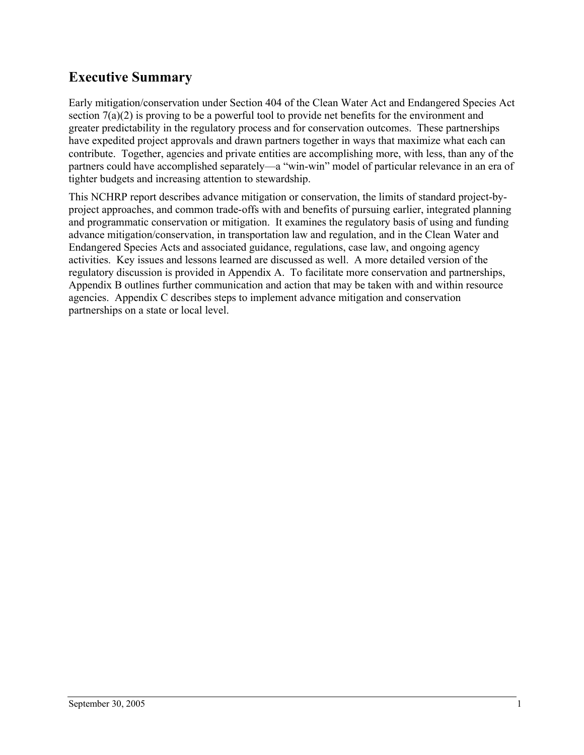## <span id="page-5-0"></span>**Executive Summary**

Early mitigation/conservation under Section 404 of the Clean Water Act and Endangered Species Act section 7(a)(2) is proving to be a powerful tool to provide net benefits for the environment and greater predictability in the regulatory process and for conservation outcomes. These partnerships have expedited project approvals and drawn partners together in ways that maximize what each can contribute. Together, agencies and private entities are accomplishing more, with less, than any of the partners could have accomplished separately—a "win-win" model of particular relevance in an era of tighter budgets and increasing attention to stewardship.

This NCHRP report describes advance mitigation or conservation, the limits of standard project-byproject approaches, and common trade-offs with and benefits of pursuing earlier, integrated planning and programmatic conservation or mitigation. It examines the regulatory basis of using and funding advance mitigation/conservation, in transportation law and regulation, and in the Clean Water and Endangered Species Acts and associated guidance, regulations, case law, and ongoing agency activities. Key issues and lessons learned are discussed as well. A more detailed version of the regulatory discussion is provided in Appendix A. To facilitate more conservation and partnerships, Appendix B outlines further communication and action that may be taken with and within resource agencies. Appendix C describes steps to implement advance mitigation and conservation partnerships on a state or local level.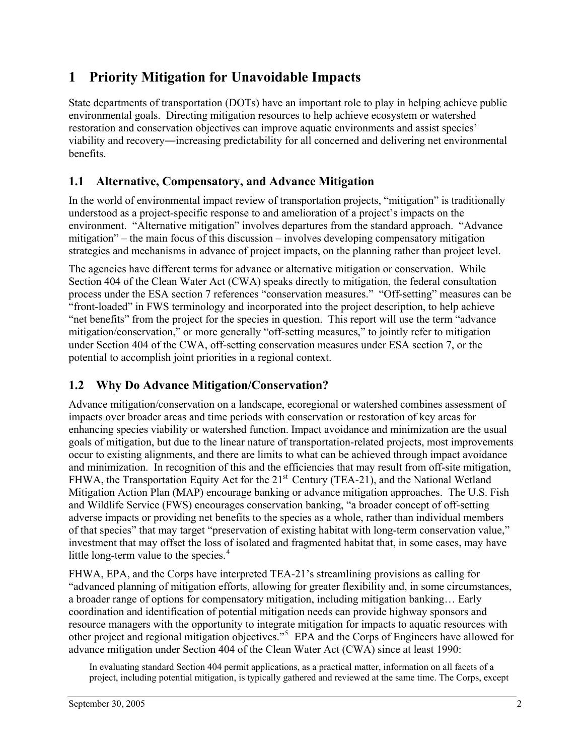## <span id="page-6-0"></span>**1 Priority Mitigation for Unavoidable Impacts**

State departments of transportation (DOTs) have an important role to play in helping achieve public environmental goals. Directing mitigation resources to help achieve ecosystem or watershed restoration and conservation objectives can improve aquatic environments and assist species' viability and recovery―increasing predictability for all concerned and delivering net environmental benefits.

### **1.1 Alternative, Compensatory, and Advance Mitigation**

In the world of environmental impact review of transportation projects, "mitigation" is traditionally understood as a project-specific response to and amelioration of a project's impacts on the environment. "Alternative mitigation" involves departures from the standard approach. "Advance mitigation" – the main focus of this discussion – involves developing compensatory mitigation strategies and mechanisms in advance of project impacts, on the planning rather than project level.

The agencies have different terms for advance or alternative mitigation or conservation. While Section 404 of the Clean Water Act (CWA) speaks directly to mitigation, the federal consultation process under the ESA section 7 references "conservation measures." "Off-setting" measures can be "front-loaded" in FWS terminology and incorporated into the project description, to help achieve "net benefits" from the project for the species in question. This report will use the term "advance mitigation/conservation," or more generally "off-setting measures," to jointly refer to mitigation under Section 404 of the CWA, off-setting conservation measures under ESA section 7, or the potential to accomplish joint priorities in a regional context.

## **1.2 Why Do Advance Mitigation/Conservation?**

Advance mitigation/conservation on a landscape, ecoregional or watershed combines assessment of impacts over broader areas and time periods with conservation or restoration of key areas for enhancing species viability or watershed function. Impact avoidance and minimization are the usual goals of mitigation, but due to the linear nature of transportation-related projects, most improvements occur to existing alignments, and there are limits to what can be achieved through impact avoidance and minimization. In recognition of this and the efficiencies that may result from off-site mitigation, FHWA, the Transportation Equity Act for the 21<sup>st</sup> Century (TEA-21), and the National Wetland Mitigation Action Plan (MAP) encourage banking or advance mitigation approaches. The U.S. Fish and Wildlife Service (FWS) encourages conservation banking, "a broader concept of off-setting adverse impacts or providing net benefits to the species as a whole, rather than individual members of that species" that may target "preservation of existing habitat with long-term conservation value," investment that may offset the loss of isolated and fragmented habitat that, in some cases, may have little long-term value to the species.<sup>[4](#page-83-1)</sup>

FHWA, EPA, and the Corps have interpreted TEA-21's streamlining provisions as calling for "advanced planning of mitigation efforts, allowing for greater flexibility and, in some circumstances, a broader range of options for compensatory mitigation, including mitigation banking… Early coordination and identification of potential mitigation needs can provide highway sponsors and resource managers with the opportunity to integrate mitigation for impacts to aquatic resources with other project and regional mitigation objectives."<sup>[5](#page-83-1)</sup> EPA and the Corps of Engineers have allowed for advance mitigation under Section 404 of the Clean Water Act (CWA) since at least 1990:

In evaluating standard Section 404 permit applications, as a practical matter, information on all facets of a project, including potential mitigation, is typically gathered and reviewed at the same time. The Corps, except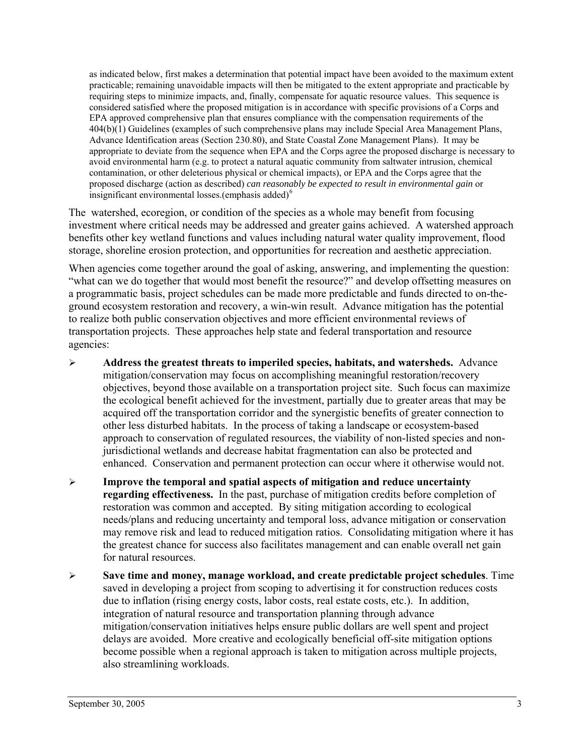as indicated below, first makes a determination that potential impact have been avoided to the maximum extent practicable; remaining unavoidable impacts will then be mitigated to the extent appropriate and practicable by requiring steps to minimize impacts, and, finally, compensate for aquatic resource values. This sequence is considered satisfied where the proposed mitigation is in accordance with specific provisions of a Corps and EPA approved comprehensive plan that ensures compliance with the compensation requirements of the 404(b)(1) Guidelines (examples of such comprehensive plans may include Special Area Management Plans, Advance Identification areas (Section 230.80), and State Coastal Zone Management Plans). It may be appropriate to deviate from the sequence when EPA and the Corps agree the proposed discharge is necessary to avoid environmental harm (e.g. to protect a natural aquatic community from saltwater intrusion, chemical contamination, or other deleterious physical or chemical impacts), or EPA and the Corps agree that the proposed discharge (action as described) *can reasonably be expected to result in environmental gain* or insignificant environmental losses.(emphasis added) $<sup>6</sup>$  $<sup>6</sup>$  $<sup>6</sup>$ </sup>

The watershed, ecoregion, or condition of the species as a whole may benefit from focusing investment where critical needs may be addressed and greater gains achieved. A watershed approach benefits other key wetland functions and values including natural water quality improvement, flood storage, shoreline erosion protection, and opportunities for recreation and aesthetic appreciation.

When agencies come together around the goal of asking, answering, and implementing the question: "what can we do together that would most benefit the resource?" and develop offsetting measures on a programmatic basis, project schedules can be made more predictable and funds directed to on-theground ecosystem restoration and recovery, a win-win result. Advance mitigation has the potential to realize both public conservation objectives and more efficient environmental reviews of transportation projects. These approaches help state and federal transportation and resource agencies:

- ¾ **Address the greatest threats to imperiled species, habitats, and watersheds.** Advance mitigation/conservation may focus on accomplishing meaningful restoration/recovery objectives, beyond those available on a transportation project site. Such focus can maximize the ecological benefit achieved for the investment, partially due to greater areas that may be acquired off the transportation corridor and the synergistic benefits of greater connection to other less disturbed habitats. In the process of taking a landscape or ecosystem-based approach to conservation of regulated resources, the viability of non-listed species and nonjurisdictional wetlands and decrease habitat fragmentation can also be protected and enhanced. Conservation and permanent protection can occur where it otherwise would not.
- ¾ **Improve the temporal and spatial aspects of mitigation and reduce uncertainty regarding effectiveness.** In the past, purchase of mitigation credits before completion of restoration was common and accepted. By siting mitigation according to ecological needs/plans and reducing uncertainty and temporal loss, advance mitigation or conservation may remove risk and lead to reduced mitigation ratios. Consolidating mitigation where it has the greatest chance for success also facilitates management and can enable overall net gain for natural resources.
- ¾ **Save time and money, manage workload, and create predictable project schedules**. Time saved in developing a project from scoping to advertising it for construction reduces costs due to inflation (rising energy costs, labor costs, real estate costs, etc.). In addition, integration of natural resource and transportation planning through advance mitigation/conservation initiatives helps ensure public dollars are well spent and project delays are avoided. More creative and ecologically beneficial off-site mitigation options become possible when a regional approach is taken to mitigation across multiple projects, also streamlining workloads.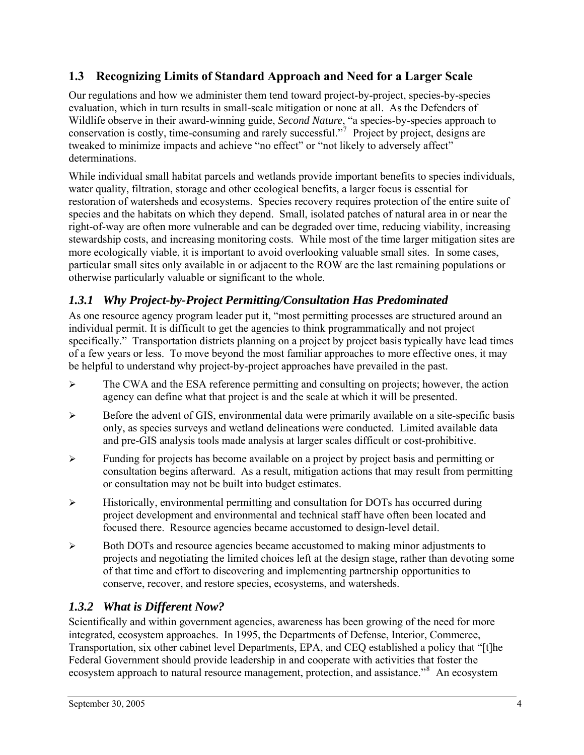### <span id="page-8-0"></span>**1.3 Recognizing Limits of Standard Approach and Need for a Larger Scale**

Our regulations and how we administer them tend toward project-by-project, species-by-species evaluation, which in turn results in small-scale mitigation or none at all. As the Defenders of Wildlife observe in their award-winning guide, *Second Nature*, "a species-by-species approach to conservation is costly, time-consuming and rarely successful."[7](#page-83-1) Project by project, designs are tweaked to minimize impacts and achieve "no effect" or "not likely to adversely affect" determinations.

While individual small habitat parcels and wetlands provide important benefits to species individuals, water quality, filtration, storage and other ecological benefits, a larger focus is essential for restoration of watersheds and ecosystems. Species recovery requires protection of the entire suite of species and the habitats on which they depend. Small, isolated patches of natural area in or near the right-of-way are often more vulnerable and can be degraded over time, reducing viability, increasing stewardship costs, and increasing monitoring costs. While most of the time larger mitigation sites are more ecologically viable, it is important to avoid overlooking valuable small sites. In some cases, particular small sites only available in or adjacent to the ROW are the last remaining populations or otherwise particularly valuable or significant to the whole.

## *1.3.1 Why Project-by-Project Permitting/Consultation Has Predominated*

As one resource agency program leader put it, "most permitting processes are structured around an individual permit. It is difficult to get the agencies to think programmatically and not project specifically." Transportation districts planning on a project by project basis typically have lead times of a few years or less. To move beyond the most familiar approaches to more effective ones, it may be helpful to understand why project-by-project approaches have prevailed in the past.

- $\triangleright$  The CWA and the ESA reference permitting and consulting on projects; however, the action agency can define what that project is and the scale at which it will be presented.
- $\triangleright$  Before the advent of GIS, environmental data were primarily available on a site-specific basis only, as species surveys and wetland delineations were conducted. Limited available data and pre-GIS analysis tools made analysis at larger scales difficult or cost-prohibitive.
- $\triangleright$  Funding for projects has become available on a project by project basis and permitting or consultation begins afterward. As a result, mitigation actions that may result from permitting or consultation may not be built into budget estimates.
- $\triangleright$  Historically, environmental permitting and consultation for DOTs has occurred during project development and environmental and technical staff have often been located and focused there. Resource agencies became accustomed to design-level detail.
- $\triangleright$  Both DOTs and resource agencies became accustomed to making minor adjustments to projects and negotiating the limited choices left at the design stage, rather than devoting some of that time and effort to discovering and implementing partnership opportunities to conserve, recover, and restore species, ecosystems, and watersheds.

#### *1.3.2 What is Different Now?*

Scientifically and within government agencies, awareness has been growing of the need for more integrated, ecosystem approaches. In 1995, the Departments of Defense, Interior, Commerce, Transportation, six other cabinet level Departments, EPA, and CEQ established a policy that "[t]he Federal Government should provide leadership in and cooperate with activities that foster the ecosystem approach to natural resource management, protection, and assistance."<sup>[8](#page-83-1)</sup> An ecosystem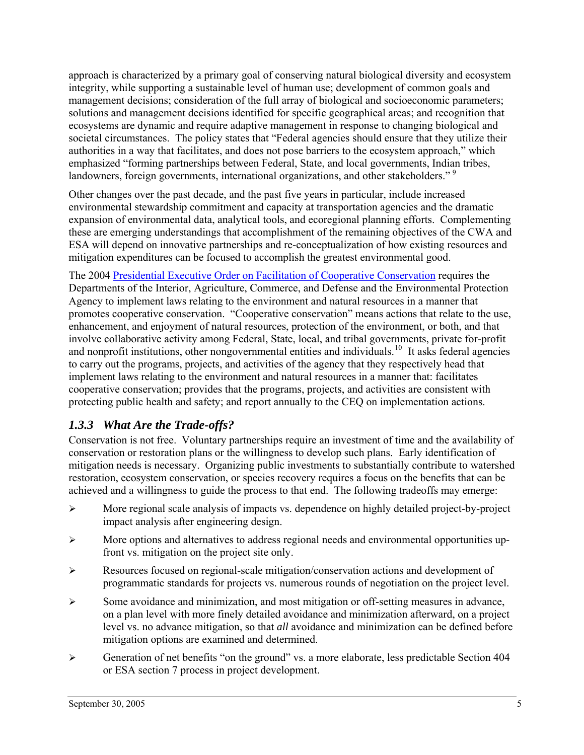<span id="page-9-0"></span>approach is characterized by a primary goal of conserving natural biological diversity and ecosystem integrity, while supporting a sustainable level of human use; development of common goals and management decisions; consideration of the full array of biological and socioeconomic parameters; solutions and management decisions identified for specific geographical areas; and recognition that ecosystems are dynamic and require adaptive management in response to changing biological and societal circumstances. The policy states that "Federal agencies should ensure that they utilize their authorities in a way that facilitates, and does not pose barriers to the ecosystem approach," which emphasized "forming partnerships between Federal, State, and local governments, Indian tribes, landowners, foreign governments, international organizations, and other stakeholders."<sup>[9](#page-83-1)</sup>

Other changes over the past decade, and the past five years in particular, include increased environmental stewardship commitment and capacity at transportation agencies and the dramatic expansion of environmental data, analytical tools, and ecoregional planning efforts. Complementing these are emerging understandings that accomplishment of the remaining objectives of the CWA and ESA will depend on innovative partnerships and re-conceptualization of how existing resources and mitigation expenditures can be focused to accomplish the greatest environmental good.

The 2004 [Presidential Executive Order on Facilitation of Cooperative Conservation](http://www.whitehouse.gov/news/releases/2004/08/20040826-11.html) requires the Departments of the Interior, Agriculture, Commerce, and Defense and the Environmental Protection Agency to implement laws relating to the environment and natural resources in a manner that promotes cooperative conservation. "Cooperative conservation" means actions that relate to the use, enhancement, and enjoyment of natural resources, protection of the environment, or both, and that involve collaborative activity among Federal, State, local, and tribal governments, private for-profit and nonprofit institutions, other nongovernmental entities and individuals.<sup>[10](#page-83-1)</sup> It asks federal agencies to carry out the programs, projects, and activities of the agency that they respectively head that implement laws relating to the environment and natural resources in a manner that: facilitates cooperative conservation; provides that the programs, projects, and activities are consistent with protecting public health and safety; and report annually to the CEQ on implementation actions.

#### *1.3.3 What Are the Trade-offs?*

Conservation is not free. Voluntary partnerships require an investment of time and the availability of conservation or restoration plans or the willingness to develop such plans. Early identification of mitigation needs is necessary. Organizing public investments to substantially contribute to watershed restoration, ecosystem conservation, or species recovery requires a focus on the benefits that can be achieved and a willingness to guide the process to that end. The following tradeoffs may emerge:

- $\triangleright$  More regional scale analysis of impacts vs. dependence on highly detailed project-by-project impact analysis after engineering design.
- ¾ More options and alternatives to address regional needs and environmental opportunities upfront vs. mitigation on the project site only.
- ¾ Resources focused on regional-scale mitigation/conservation actions and development of programmatic standards for projects vs. numerous rounds of negotiation on the project level.
- ¾ Some avoidance and minimization, and most mitigation or off-setting measures in advance, on a plan level with more finely detailed avoidance and minimization afterward, on a project level vs. no advance mitigation, so that *all* avoidance and minimization can be defined before mitigation options are examined and determined.
- $\triangleright$  Generation of net benefits "on the ground" vs. a more elaborate, less predictable Section 404 or ESA section 7 process in project development.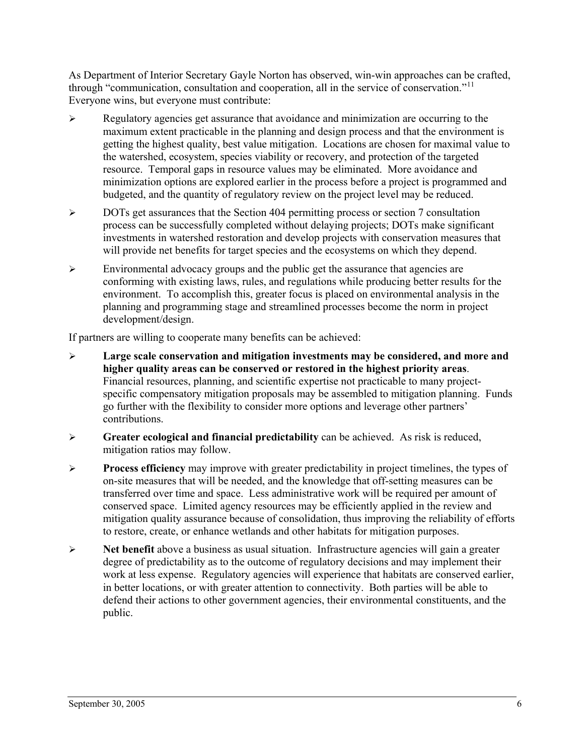As Department of Interior Secretary Gayle Norton has observed, win-win approaches can be crafted, through "communication, consultation and cooperation, all in the service of conservation."<sup>[11](#page-83-1)</sup> Everyone wins, but everyone must contribute:

- $\triangleright$  Regulatory agencies get assurance that avoidance and minimization are occurring to the maximum extent practicable in the planning and design process and that the environment is getting the highest quality, best value mitigation. Locations are chosen for maximal value to the watershed, ecosystem, species viability or recovery, and protection of the targeted resource. Temporal gaps in resource values may be eliminated. More avoidance and minimization options are explored earlier in the process before a project is programmed and budgeted, and the quantity of regulatory review on the project level may be reduced.
- ¾ DOTs get assurances that the Section 404 permitting process or section 7 consultation process can be successfully completed without delaying projects; DOTs make significant investments in watershed restoration and develop projects with conservation measures that will provide net benefits for target species and the ecosystems on which they depend.
- $\triangleright$  Environmental advocacy groups and the public get the assurance that agencies are conforming with existing laws, rules, and regulations while producing better results for the environment. To accomplish this, greater focus is placed on environmental analysis in the planning and programming stage and streamlined processes become the norm in project development/design.

If partners are willing to cooperate many benefits can be achieved:

- ¾ **Large scale conservation and mitigation investments may be considered, and more and higher quality areas can be conserved or restored in the highest priority areas**. Financial resources, planning, and scientific expertise not practicable to many projectspecific compensatory mitigation proposals may be assembled to mitigation planning. Funds go further with the flexibility to consider more options and leverage other partners' contributions.
- ¾ **Greater ecological and financial predictability** can be achieved. As risk is reduced, mitigation ratios may follow.
- ¾ **Process efficiency** may improve with greater predictability in project timelines, the types of on-site measures that will be needed, and the knowledge that off-setting measures can be transferred over time and space. Less administrative work will be required per amount of conserved space. Limited agency resources may be efficiently applied in the review and mitigation quality assurance because of consolidation, thus improving the reliability of efforts to restore, create, or enhance wetlands and other habitats for mitigation purposes.
- ¾ **Net benefit** above a business as usual situation. Infrastructure agencies will gain a greater degree of predictability as to the outcome of regulatory decisions and may implement their work at less expense. Regulatory agencies will experience that habitats are conserved earlier, in better locations, or with greater attention to connectivity. Both parties will be able to defend their actions to other government agencies, their environmental constituents, and the public.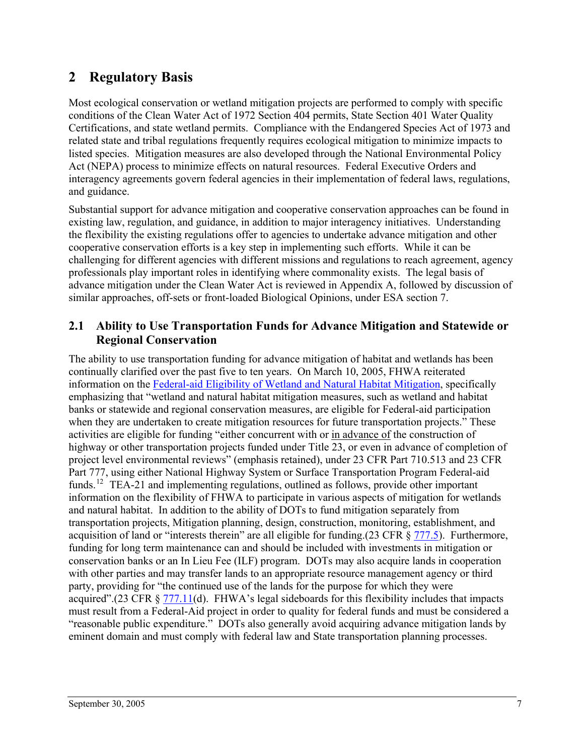## <span id="page-11-0"></span>**2 Regulatory Basis**

Most ecological conservation or wetland mitigation projects are performed to comply with specific conditions of the Clean Water Act of 1972 Section 404 permits, State Section 401 Water Quality Certifications, and state wetland permits. Compliance with the Endangered Species Act of 1973 and related state and tribal regulations frequently requires ecological mitigation to minimize impacts to listed species. Mitigation measures are also developed through the National Environmental Policy Act (NEPA) process to minimize effects on natural resources. Federal Executive Orders and interagency agreements govern federal agencies in their implementation of federal laws, regulations, and guidance.

Substantial support for advance mitigation and cooperative conservation approaches can be found in existing law, regulation, and guidance, in addition to major interagency initiatives. Understanding the flexibility the existing regulations offer to agencies to undertake advance mitigation and other cooperative conservation efforts is a key step in implementing such efforts. While it can be challenging for different agencies with different missions and regulations to reach agreement, agency professionals play important roles in identifying where commonality exists. The legal basis of advance mitigation under the Clean Water Act is reviewed in Appendix A, followed by discussion of similar approaches, off-sets or front-loaded Biological Opinions, under ESA section 7.

#### **2.1 Ability to Use Transportation Funds for Advance Mitigation and Statewide or Regional Conservation**

The ability to use transportation funding for advance mitigation of habitat and wetlands has been continually clarified over the past five to ten years. On March 10, 2005, FHWA reiterated information on the [Federal-aid Eligibility of Wetland and Natural Habitat Mitigation,](http://www.environment.transportation.org/documents/mitigation_guidance.doc) specifically emphasizing that "wetland and natural habitat mitigation measures, such as wetland and habitat banks or statewide and regional conservation measures, are eligible for Federal-aid participation when they are undertaken to create mitigation resources for future transportation projects." These activities are eligible for funding "either concurrent with or in advance of the construction of highway or other transportation projects funded under Title 23, or even in advance of completion of project level environmental reviews" (emphasis retained), under 23 CFR Part 710.513 and 23 CFR Part 777, using either National Highway System or Surface Transportation Program Federal-aid funds.<sup>[12](#page-83-1)</sup> TEA-21 and implementing regulations, outlined as follows, provide other important information on the flexibility of FHWA to participate in various aspects of mitigation for wetlands and natural habitat. In addition to the ability of DOTs to fund mitigation separately from transportation projects, Mitigation planning, design, construction, monitoring, establishment, and acquisition of land or "interests therein" are all eligible for funding.(23 CFR § [777.5](http://www.fhwa.dot.gov/hep/23cfr777.htm#sec.777.5)). Furthermore, funding for long term maintenance can and should be included with investments in mitigation or conservation banks or an In Lieu Fee (ILF) program. DOTs may also acquire lands in cooperation with other parties and may transfer lands to an appropriate resource management agency or third party, providing for "the continued use of the lands for the purpose for which they were acquired".(23 CFR § [777.11\(](http://www.fhwa.dot.gov/hep/23cfr777.htm#sec.777.11)d). FHWA's legal sideboards for this flexibility includes that impacts must result from a Federal-Aid project in order to quality for federal funds and must be considered a "reasonable public expenditure." DOTs also generally avoid acquiring advance mitigation lands by eminent domain and must comply with federal law and State transportation planning processes.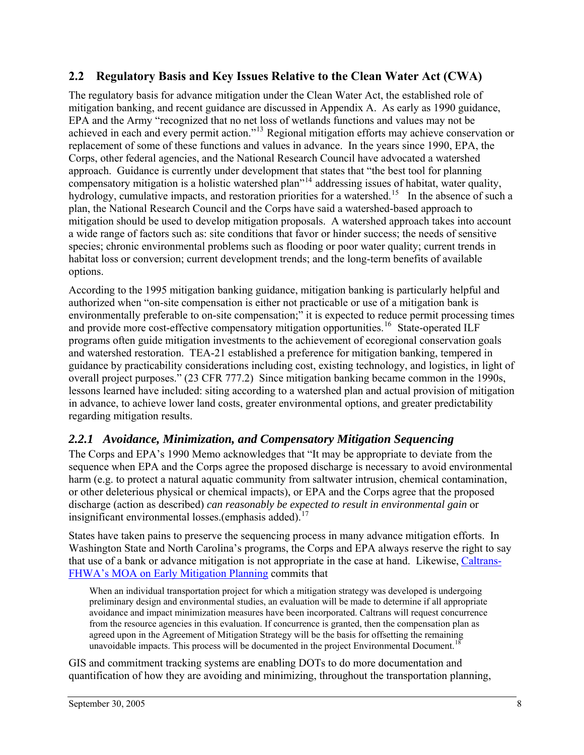#### <span id="page-12-0"></span>**2.2 Regulatory Basis and Key Issues Relative to the Clean Water Act (CWA)**

The regulatory basis for advance mitigation under the Clean Water Act, the established role of mitigation banking, and recent guidance are discussed in Appendix A. As early as 1990 guidance, EPA and the Army "recognized that no net loss of wetlands functions and values may not be achieved in each and every permit action."[13](#page-83-1) Regional mitigation efforts may achieve conservation or replacement of some of these functions and values in advance. In the years since 1990, EPA, the Corps, other federal agencies, and the National Research Council have advocated a watershed approach. Guidance is currently under development that states that "the best tool for planning compensatory mitigation is a holistic watershed plan"[14](#page-83-1) addressing issues of habitat, water quality, hydrology, cumulative impacts, and restoration priorities for a watershed.<sup>[15](#page-83-1)</sup> In the absence of such a plan, the National Research Council and the Corps have said a watershed-based approach to mitigation should be used to develop mitigation proposals. A watershed approach takes into account a wide range of factors such as: site conditions that favor or hinder success; the needs of sensitive species; chronic environmental problems such as flooding or poor water quality; current trends in habitat loss or conversion; current development trends; and the long-term benefits of available options.

According to the 1995 mitigation banking guidance, mitigation banking is particularly helpful and authorized when "on-site compensation is either not practicable or use of a mitigation bank is environmentally preferable to on-site compensation;" it is expected to reduce permit processing times and provide more cost-effective compensatory mitigation opportunities.<sup>[16](#page-83-1)</sup> State-operated ILF programs often guide mitigation investments to the achievement of ecoregional conservation goals and watershed restoration. TEA-21 established a preference for mitigation banking, tempered in guidance by practicability considerations including cost, existing technology, and logistics, in light of overall project purposes." (23 CFR 777.2) Since mitigation banking became common in the 1990s, lessons learned have included: siting according to a watershed plan and actual provision of mitigation in advance, to achieve lower land costs, greater environmental options, and greater predictability regarding mitigation results.

#### *2.2.1 Avoidance, Minimization, and Compensatory Mitigation Sequencing*

The Corps and EPA's 1990 Memo acknowledges that "It may be appropriate to deviate from the sequence when EPA and the Corps agree the proposed discharge is necessary to avoid environmental harm (e.g. to protect a natural aquatic community from saltwater intrusion, chemical contamination, or other deleterious physical or chemical impacts), or EPA and the Corps agree that the proposed discharge (action as described) *can reasonably be expected to result in environmental gain* or insignificant environmental losses.(emphasis added).<sup>[17](#page-83-1)</sup>

States have taken pains to preserve the sequencing process in many advance mitigation efforts. In Washington State and North Carolina's programs, the Corps and EPA always reserve the right to say that use of a bank or advance mitigation is not appropriate in the case at hand. Likewise, [Caltrans-](http://www.fhwa.dot.gov/cadiv/pre/moajoan.htm)[FHWA's MOA on Early Mitigation Planning](http://www.fhwa.dot.gov/cadiv/pre/moajoan.htm) commits that

When an individual transportation project for which a mitigation strategy was developed is undergoing preliminary design and environmental studies, an evaluation will be made to determine if all appropriate avoidance and impact minimization measures have been incorporated. Caltrans will request concurrence from the resource agencies in this evaluation. If concurrence is granted, then the compensation plan as agreed upon in the Agreement of Mitigation Strategy will be the basis for offsetting the remaining unavoidable impacts. This process will be documented in the project Environmental Document.<sup>[18](#page-83-1)</sup>

GIS and commitment tracking systems are enabling DOTs to do more documentation and quantification of how they are avoiding and minimizing, throughout the transportation planning,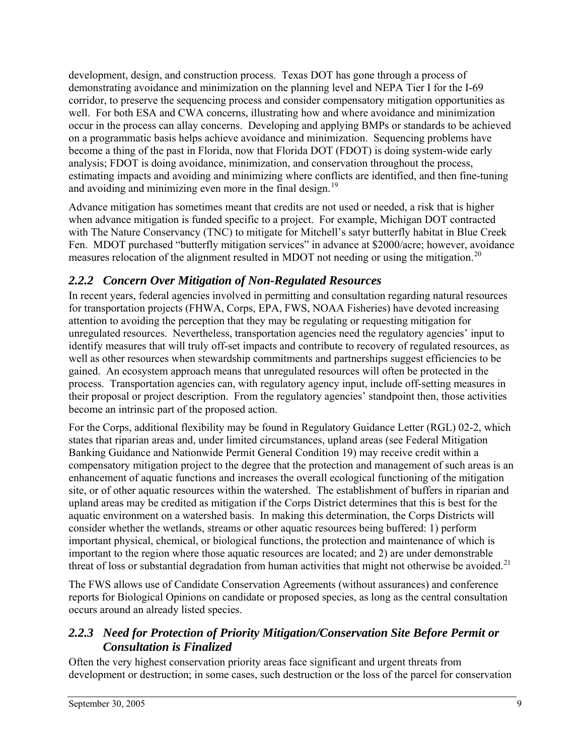<span id="page-13-0"></span>development, design, and construction process. Texas DOT has gone through a process of demonstrating avoidance and minimization on the planning level and NEPA Tier I for the I-69 corridor, to preserve the sequencing process and consider compensatory mitigation opportunities as well. For both ESA and CWA concerns, illustrating how and where avoidance and minimization occur in the process can allay concerns. Developing and applying BMPs or standards to be achieved on a programmatic basis helps achieve avoidance and minimization. Sequencing problems have become a thing of the past in Florida, now that Florida DOT (FDOT) is doing system-wide early analysis; FDOT is doing avoidance, minimization, and conservation throughout the process, estimating impacts and avoiding and minimizing where conflicts are identified, and then fine-tuning and avoiding and minimizing even more in the final design.<sup>[19](#page-83-1)</sup>

Advance mitigation has sometimes meant that credits are not used or needed, a risk that is higher when advance mitigation is funded specific to a project. For example, Michigan DOT contracted with The Nature Conservancy (TNC) to mitigate for Mitchell's satyr butterfly habitat in Blue Creek Fen. MDOT purchased "butterfly mitigation services" in advance at \$2000/acre; however, avoidance measures relocation of the alignment resulted in MDOT not needing or using the mitigation.<sup>[20](#page-83-1)</sup>

## *2.2.2 Concern Over Mitigation of Non-Regulated Resources*

In recent years, federal agencies involved in permitting and consultation regarding natural resources for transportation projects (FHWA, Corps, EPA, FWS, NOAA Fisheries) have devoted increasing attention to avoiding the perception that they may be regulating or requesting mitigation for unregulated resources. Nevertheless, transportation agencies need the regulatory agencies' input to identify measures that will truly off-set impacts and contribute to recovery of regulated resources, as well as other resources when stewardship commitments and partnerships suggest efficiencies to be gained. An ecosystem approach means that unregulated resources will often be protected in the process. Transportation agencies can, with regulatory agency input, include off-setting measures in their proposal or project description. From the regulatory agencies' standpoint then, those activities become an intrinsic part of the proposed action.

For the Corps, additional flexibility may be found in Regulatory Guidance Letter (RGL) 02-2, which states that riparian areas and, under limited circumstances, upland areas (see Federal Mitigation Banking Guidance and Nationwide Permit General Condition 19) may receive credit within a compensatory mitigation project to the degree that the protection and management of such areas is an enhancement of aquatic functions and increases the overall ecological functioning of the mitigation site, or of other aquatic resources within the watershed. The establishment of buffers in riparian and upland areas may be credited as mitigation if the Corps District determines that this is best for the aquatic environment on a watershed basis. In making this determination, the Corps Districts will consider whether the wetlands, streams or other aquatic resources being buffered: 1) perform important physical, chemical, or biological functions, the protection and maintenance of which is important to the region where those aquatic resources are located; and 2) are under demonstrable threat of loss or substantial degradation from human activities that might not otherwise be avoided.<sup>[21](#page-83-1)</sup>

The FWS allows use of Candidate Conservation Agreements (without assurances) and conference reports for Biological Opinions on candidate or proposed species, as long as the central consultation occurs around an already listed species.

## *2.2.3 Need for Protection of Priority Mitigation/Conservation Site Before Permit or Consultation is Finalized*

Often the very highest conservation priority areas face significant and urgent threats from development or destruction; in some cases, such destruction or the loss of the parcel for conservation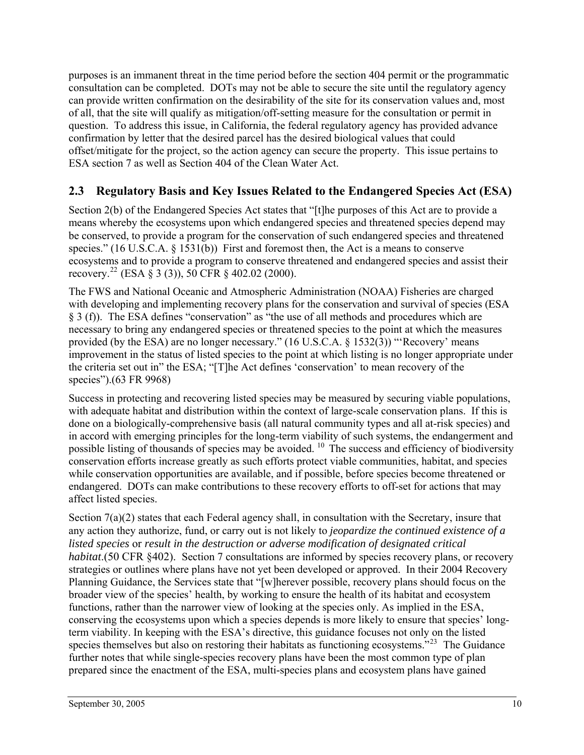<span id="page-14-0"></span>purposes is an immanent threat in the time period before the section 404 permit or the programmatic consultation can be completed. DOTs may not be able to secure the site until the regulatory agency can provide written confirmation on the desirability of the site for its conservation values and, most of all, that the site will qualify as mitigation/off-setting measure for the consultation or permit in question. To address this issue, in California, the federal regulatory agency has provided advance confirmation by letter that the desired parcel has the desired biological values that could offset/mitigate for the project, so the action agency can secure the property. This issue pertains to ESA section 7 as well as Section 404 of the Clean Water Act.

### **2.3 Regulatory Basis and Key Issues Related to the Endangered Species Act (ESA)**

Section 2(b) of the Endangered Species Act states that "[t]he purposes of this Act are to provide a means whereby the ecosystems upon which endangered species and threatened species depend may be conserved, to provide a program for the conservation of such endangered species and threatened species." (16 U.S.C.A. § 1531(b)) First and foremost then, the Act is a means to conserve ecosystems and to provide a program to conserve threatened and endangered species and assist their recovery.<sup>[22](#page-83-1)</sup> (ESA § 3 (3)), 50 CFR § 402.02 (2000).

The FWS and National Oceanic and Atmospheric Administration (NOAA) Fisheries are charged with developing and implementing recovery plans for the conservation and survival of species (ESA § 3 (f)). The ESA defines "conservation" as "the use of all methods and procedures which are necessary to bring any endangered species or threatened species to the point at which the measures provided (by the ESA) are no longer necessary." (16 U.S.C.A. § 1532(3)) "'Recovery' means improvement in the status of listed species to the point at which listing is no longer appropriate under the criteria set out in" the ESA; "[T]he Act defines 'conservation' to mean recovery of the species").(63 FR 9968)

Success in protecting and recovering listed species may be measured by securing viable populations, with adequate habitat and distribution within the context of large-scale conservation plans. If this is done on a biologically-comprehensive basis (all natural community types and all at-risk species) and in accord with emerging principles for the long-term viability of such systems, the endangerment and possible listing of thousands of species may be avoided. <sup>10</sup> The success and efficiency of biodiversity conservation efforts increase greatly as such efforts protect viable communities, habitat, and species while conservation opportunities are available, and if possible, before species become threatened or endangered. DOTs can make contributions to these recovery efforts to off-set for actions that may affect listed species.

Section  $7(a)(2)$  states that each Federal agency shall, in consultation with the Secretary, insure that any action they authorize, fund, or carry out is not likely to *jeopardize the continued existence of a listed species* or *result in the destruction or adverse modification of designated critical habitat*.(50 CFR §402). Section 7 consultations are informed by species recovery plans, or recovery strategies or outlines where plans have not yet been developed or approved. In their 2004 Recovery Planning Guidance, the Services state that "[w]herever possible, recovery plans should focus on the broader view of the species' health, by working to ensure the health of its habitat and ecosystem functions, rather than the narrower view of looking at the species only. As implied in the ESA, conserving the ecosystems upon which a species depends is more likely to ensure that species' longterm viability. In keeping with the ESA's directive, this guidance focuses not only on the listed species themselves but also on restoring their habitats as functioning ecosystems."<sup>[23](#page-83-1)</sup> The Guidance further notes that while single-species recovery plans have been the most common type of plan prepared since the enactment of the ESA, multi-species plans and ecosystem plans have gained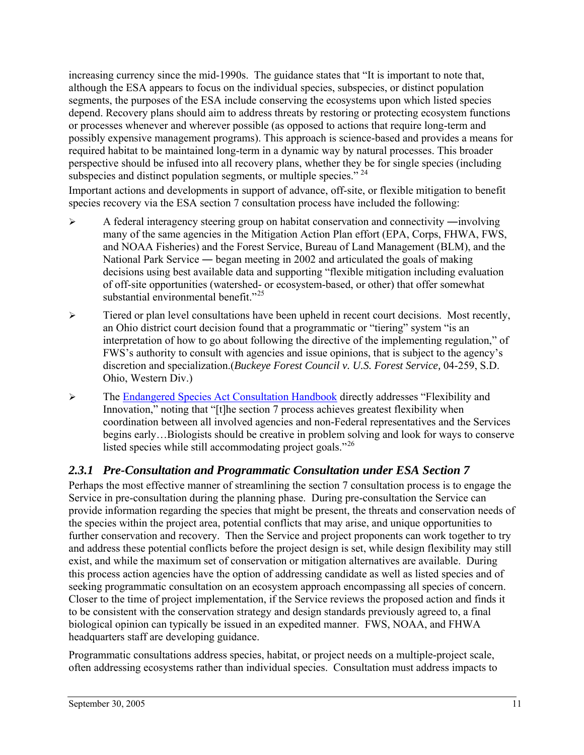<span id="page-15-0"></span>increasing currency since the mid-1990s. The guidance states that "It is important to note that, although the ESA appears to focus on the individual species, subspecies, or distinct population segments, the purposes of the ESA include conserving the ecosystems upon which listed species depend. Recovery plans should aim to address threats by restoring or protecting ecosystem functions or processes whenever and wherever possible (as opposed to actions that require long-term and possibly expensive management programs). This approach is science-based and provides a means for required habitat to be maintained long-term in a dynamic way by natural processes. This broader perspective should be infused into all recovery plans, whether they be for single species (including subspecies and distinct population segments, or multiple species."  $24$ 

Important actions and developments in support of advance, off-site, or flexible mitigation to benefit species recovery via the ESA section 7 consultation process have included the following:

- ¾ A federal interagency steering group on habitat conservation and connectivity ―involving many of the same agencies in the Mitigation Action Plan effort (EPA, Corps, FHWA, FWS, and NOAA Fisheries) and the Forest Service, Bureau of Land Management (BLM), and the National Park Service — began meeting in 2002 and articulated the goals of making decisions using best available data and supporting "flexible mitigation including evaluation of off-site opportunities (watershed- or ecosystem-based, or other) that offer somewhat substantial environmental benefit."<sup>[25](#page-83-1)</sup>
- $\triangleright$  Tiered or plan level consultations have been upheld in recent court decisions. Most recently, an Ohio district court decision found that a programmatic or "tiering" system "is an interpretation of how to go about following the directive of the implementing regulation," of FWS's authority to consult with agencies and issue opinions, that is subject to the agency's discretion and specialization.(*Buckeye Forest Council v. U.S. Forest Service,* 04-259, S.D. Ohio, Western Div.)
- ¾ The [Endangered Species Act Consultation Handbook](http://www.fws.gov/endangered/consultations/s7hndbk/s7hndbk.htm) directly addresses "Flexibility and Innovation," noting that "[t]he section 7 process achieves greatest flexibility when coordination between all involved agencies and non-Federal representatives and the Services begins early…Biologists should be creative in problem solving and look for ways to conserve listed species while still accommodating project goals."<sup>[26](#page-83-1)</sup>

#### *2.3.1 Pre-Consultation and Programmatic Consultation under ESA Section 7*

Perhaps the most effective manner of streamlining the section 7 consultation process is to engage the Service in pre-consultation during the planning phase. During pre-consultation the Service can provide information regarding the species that might be present, the threats and conservation needs of the species within the project area, potential conflicts that may arise, and unique opportunities to further conservation and recovery. Then the Service and project proponents can work together to try and address these potential conflicts before the project design is set, while design flexibility may still exist, and while the maximum set of conservation or mitigation alternatives are available. During this process action agencies have the option of addressing candidate as well as listed species and of seeking programmatic consultation on an ecosystem approach encompassing all species of concern. Closer to the time of project implementation, if the Service reviews the proposed action and finds it to be consistent with the conservation strategy and design standards previously agreed to, a final biological opinion can typically be issued in an expedited manner. FWS, NOAA, and FHWA headquarters staff are developing guidance.

Programmatic consultations address species, habitat, or project needs on a multiple-project scale, often addressing ecosystems rather than individual species. Consultation must address impacts to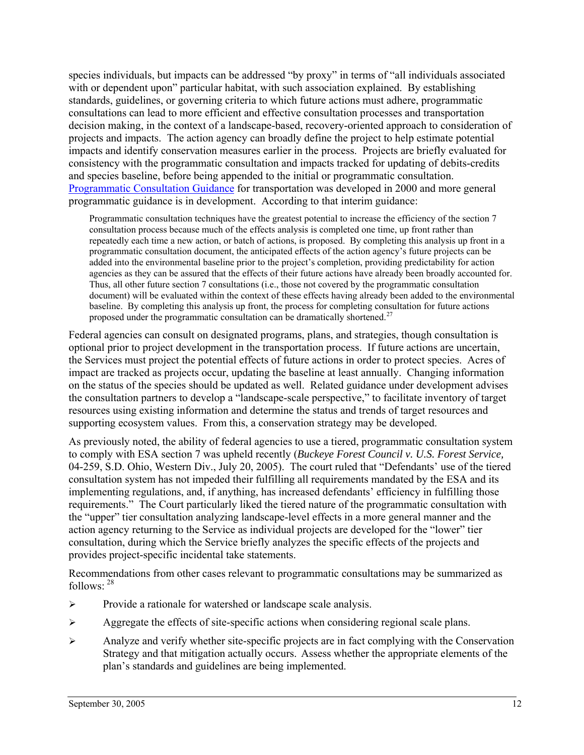species individuals, but impacts can be addressed "by proxy" in terms of "all individuals associated with or dependent upon" particular habitat, with such association explained. By establishing standards, guidelines, or governing criteria to which future actions must adhere, programmatic consultations can lead to more efficient and effective consultation processes and transportation decision making, in the context of a landscape-based, recovery-oriented approach to consideration of projects and impacts. The action agency can broadly define the project to help estimate potential impacts and identify conservation measures earlier in the process. Projects are briefly evaluated for consistency with the programmatic consultation and impacts tracked for updating of debits-credits and species baseline, before being appended to the initial or programmatic consultation. [Programmatic Consultation Guidance](http://www.fws.gov/endangered/consultations/DOT-guidance.html) for transportation was developed in 2000 and more general programmatic guidance is in development. According to that interim guidance:

Programmatic consultation techniques have the greatest potential to increase the efficiency of the section 7 consultation process because much of the effects analysis is completed one time, up front rather than repeatedly each time a new action, or batch of actions, is proposed. By completing this analysis up front in a programmatic consultation document, the anticipated effects of the action agency's future projects can be added into the environmental baseline prior to the project's completion, providing predictability for action agencies as they can be assured that the effects of their future actions have already been broadly accounted for. Thus, all other future section 7 consultations (i.e., those not covered by the programmatic consultation document) will be evaluated within the context of these effects having already been added to the environmental baseline. By completing this analysis up front, the process for completing consultation for future actions proposed under the programmatic consultation can be dramatically shortened.<sup>[27](#page-83-1)</sup>

Federal agencies can consult on designated programs, plans, and strategies, though consultation is optional prior to project development in the transportation process. If future actions are uncertain, the Services must project the potential effects of future actions in order to protect species. Acres of impact are tracked as projects occur, updating the baseline at least annually. Changing information on the status of the species should be updated as well. Related guidance under development advises the consultation partners to develop a "landscape-scale perspective," to facilitate inventory of target resources using existing information and determine the status and trends of target resources and supporting ecosystem values. From this, a conservation strategy may be developed.

As previously noted, the ability of federal agencies to use a tiered, programmatic consultation system to comply with ESA section 7 was upheld recently (*Buckeye Forest Council v. U.S. Forest Service,*  04-259, S.D. Ohio, Western Div., July 20, 2005). The court ruled that "Defendants' use of the tiered consultation system has not impeded their fulfilling all requirements mandated by the ESA and its implementing regulations, and, if anything, has increased defendants' efficiency in fulfilling those requirements." The Court particularly liked the tiered nature of the programmatic consultation with the "upper" tier consultation analyzing landscape-level effects in a more general manner and the action agency returning to the Service as individual projects are developed for the "lower" tier consultation, during which the Service briefly analyzes the specific effects of the projects and provides project-specific incidental take statements.

Recommendations from other cases relevant to programmatic consultations may be summarized as follows: [28](#page-83-1)

- ¾ Provide a rationale for watershed or landscape scale analysis.
- ¾ Aggregate the effects of site-specific actions when considering regional scale plans.
- $\triangleright$  Analyze and verify whether site-specific projects are in fact complying with the Conservation Strategy and that mitigation actually occurs. Assess whether the appropriate elements of the plan's standards and guidelines are being implemented.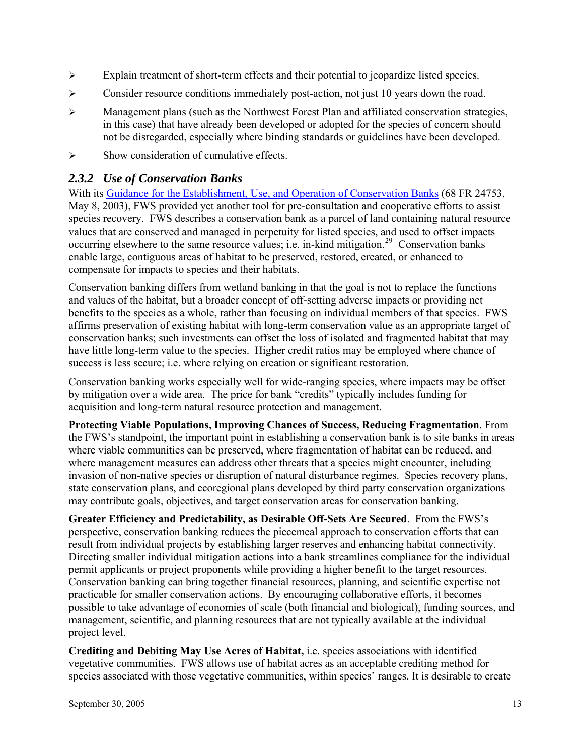- <span id="page-17-0"></span>¾ Explain treatment of short-term effects and their potential to jeopardize listed species.
- ¾ Consider resource conditions immediately post-action, not just 10 years down the road.
- $\triangleright$  Management plans (such as the Northwest Forest Plan and affiliated conservation strategies, in this case) that have already been developed or adopted for the species of concern should not be disregarded, especially where binding standards or guidelines have been developed.
- $\triangleright$  Show consideration of cumulative effects.

#### *2.3.2 Use of Conservation Banks*

With its [Guidance for the Establishment, Use, and Operation of Conservation Banks](http://endangered.fws.gov/policies/conservation-banking.pdf) (68 FR 24753, May 8, 2003), FWS provided yet another tool for pre-consultation and cooperative efforts to assist species recovery. FWS describes a conservation bank as a parcel of land containing natural resource values that are conserved and managed in perpetuity for listed species, and used to offset impacts occurring elsewhere to the same resource values; i.e. in-kind mitigation.<sup>[29](#page-83-1)</sup> Conservation banks enable large, contiguous areas of habitat to be preserved, restored, created, or enhanced to compensate for impacts to species and their habitats.

Conservation banking differs from wetland banking in that the goal is not to replace the functions and values of the habitat, but a broader concept of off-setting adverse impacts or providing net benefits to the species as a whole, rather than focusing on individual members of that species. FWS affirms preservation of existing habitat with long-term conservation value as an appropriate target of conservation banks; such investments can offset the loss of isolated and fragmented habitat that may have little long-term value to the species. Higher credit ratios may be employed where chance of success is less secure; i.e. where relying on creation or significant restoration.

Conservation banking works especially well for wide-ranging species, where impacts may be offset by mitigation over a wide area. The price for bank "credits" typically includes funding for acquisition and long-term natural resource protection and management.

**Protecting Viable Populations, Improving Chances of Success, Reducing Fragmentation**. From the FWS's standpoint, the important point in establishing a conservation bank is to site banks in areas where viable communities can be preserved, where fragmentation of habitat can be reduced, and where management measures can address other threats that a species might encounter, including invasion of non-native species or disruption of natural disturbance regimes. Species recovery plans, state conservation plans, and ecoregional plans developed by third party conservation organizations may contribute goals, objectives, and target conservation areas for conservation banking.

**Greater Efficiency and Predictability, as Desirable Off-Sets Are Secured**. From the FWS's perspective, conservation banking reduces the piecemeal approach to conservation efforts that can result from individual projects by establishing larger reserves and enhancing habitat connectivity. Directing smaller individual mitigation actions into a bank streamlines compliance for the individual permit applicants or project proponents while providing a higher benefit to the target resources. Conservation banking can bring together financial resources, planning, and scientific expertise not practicable for smaller conservation actions. By encouraging collaborative efforts, it becomes possible to take advantage of economies of scale (both financial and biological), funding sources, and management, scientific, and planning resources that are not typically available at the individual project level.

**Crediting and Debiting May Use Acres of Habitat,** i.e. species associations with identified vegetative communities. FWS allows use of habitat acres as an acceptable crediting method for species associated with those vegetative communities, within species' ranges. It is desirable to create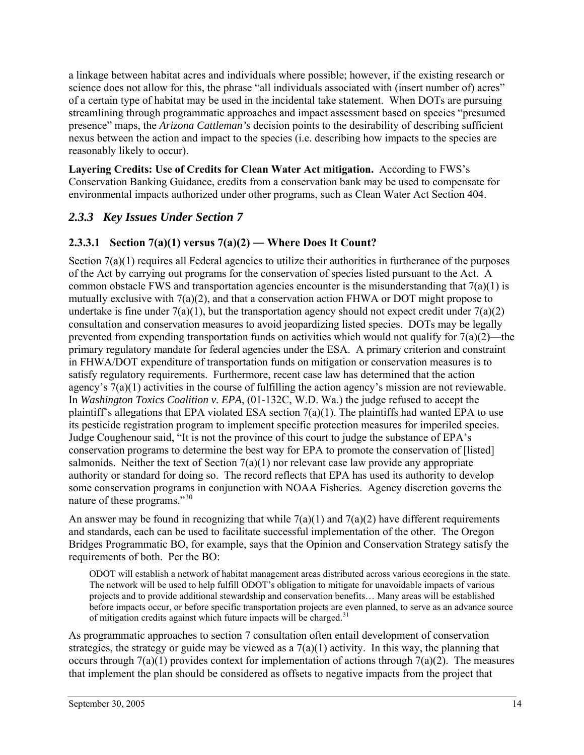<span id="page-18-0"></span>a linkage between habitat acres and individuals where possible; however, if the existing research or science does not allow for this, the phrase "all individuals associated with (insert number of) acres" of a certain type of habitat may be used in the incidental take statement. When DOTs are pursuing streamlining through programmatic approaches and impact assessment based on species "presumed presence" maps, the *Arizona Cattleman's* decision points to the desirability of describing sufficient nexus between the action and impact to the species (i.e. describing how impacts to the species are reasonably likely to occur).

**Layering Credits: Use of Credits for Clean Water Act mitigation.** According to FWS's Conservation Banking Guidance, credits from a conservation bank may be used to compensate for environmental impacts authorized under other programs, such as Clean Water Act Section 404.

#### *2.3.3 Key Issues Under Section 7*

#### **2.3.3.1 Section 7(a)(1) versus 7(a)(2) ― Where Does It Count?**

Section  $7(a)(1)$  requires all Federal agencies to utilize their authorities in furtherance of the purposes of the Act by carrying out programs for the conservation of species listed pursuant to the Act. A common obstacle FWS and transportation agencies encounter is the misunderstanding that  $7(a)(1)$  is mutually exclusive with 7(a)(2), and that a conservation action FHWA or DOT might propose to undertake is fine under  $7(a)(1)$ , but the transportation agency should not expect credit under  $7(a)(2)$ consultation and conservation measures to avoid jeopardizing listed species. DOTs may be legally prevented from expending transportation funds on activities which would not qualify for  $7(a)(2)$ —the primary regulatory mandate for federal agencies under the ESA. A primary criterion and constraint in FHWA/DOT expenditure of transportation funds on mitigation or conservation measures is to satisfy regulatory requirements. Furthermore, recent case law has determined that the action agency's 7(a)(1) activities in the course of fulfilling the action agency's mission are not reviewable. In *Washington Toxics Coalition v. EPA*, (01-132C, W.D. Wa.) the judge refused to accept the plaintiff's allegations that EPA violated ESA section  $7(a)(1)$ . The plaintiffs had wanted EPA to use its pesticide registration program to implement specific protection measures for imperiled species. Judge Coughenour said, "It is not the province of this court to judge the substance of EPA's conservation programs to determine the best way for EPA to promote the conservation of [listed] salmonids. Neither the text of Section  $7(a)(1)$  nor relevant case law provide any appropriate authority or standard for doing so. The record reflects that EPA has used its authority to develop some conservation programs in conjunction with NOAA Fisheries. Agency discretion governs the nature of these programs."[30](#page-83-1)

An answer may be found in recognizing that while  $7(a)(1)$  and  $7(a)(2)$  have different requirements and standards, each can be used to facilitate successful implementation of the other. The Oregon Bridges Programmatic BO, for example, says that the Opinion and Conservation Strategy satisfy the requirements of both. Per the BO:

ODOT will establish a network of habitat management areas distributed across various ecoregions in the state. The network will be used to help fulfill ODOT's obligation to mitigate for unavoidable impacts of various projects and to provide additional stewardship and conservation benefits… Many areas will be established before impacts occur, or before specific transportation projects are even planned, to serve as an advance source of mitigation credits against which future impacts will be charged.<sup>[31](#page-83-1)</sup>

As programmatic approaches to section 7 consultation often entail development of conservation strategies, the strategy or guide may be viewed as a  $7(a)(1)$  activity. In this way, the planning that occurs through  $7(a)(1)$  provides context for implementation of actions through  $7(a)(2)$ . The measures that implement the plan should be considered as offsets to negative impacts from the project that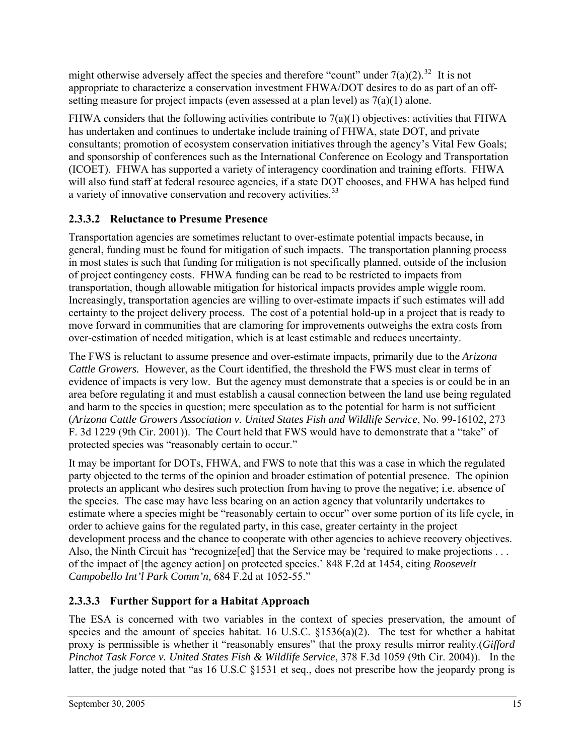might otherwise adversely affect the species and therefore "count" under  $7(a)(2)$ .<sup>[32](#page-83-1)</sup> It is not appropriate to characterize a conservation investment FHWA/DOT desires to do as part of an offsetting measure for project impacts (even assessed at a plan level) as  $7(a)(1)$  alone.

FHWA considers that the following activities contribute to  $7(a)(1)$  objectives: activities that FHWA has undertaken and continues to undertake include training of FHWA, state DOT, and private consultants; promotion of ecosystem conservation initiatives through the agency's Vital Few Goals; and sponsorship of conferences such as the International Conference on Ecology and Transportation (ICOET). FHWA has supported a variety of interagency coordination and training efforts. FHWA will also fund staff at federal resource agencies, if a state DOT chooses, and FHWA has helped fund a variety of innovative conservation and recovery activities.<sup>[33](#page-83-1)</sup>

## **2.3.3.2 Reluctance to Presume Presence**

Transportation agencies are sometimes reluctant to over-estimate potential impacts because, in general, funding must be found for mitigation of such impacts. The transportation planning process in most states is such that funding for mitigation is not specifically planned, outside of the inclusion of project contingency costs. FHWA funding can be read to be restricted to impacts from transportation, though allowable mitigation for historical impacts provides ample wiggle room. Increasingly, transportation agencies are willing to over-estimate impacts if such estimates will add certainty to the project delivery process. The cost of a potential hold-up in a project that is ready to move forward in communities that are clamoring for improvements outweighs the extra costs from over-estimation of needed mitigation, which is at least estimable and reduces uncertainty.

The FWS is reluctant to assume presence and over-estimate impacts, primarily due to the *Arizona Cattle Growers.* However, as the Court identified, the threshold the FWS must clear in terms of evidence of impacts is very low. But the agency must demonstrate that a species is or could be in an area before regulating it and must establish a causal connection between the land use being regulated and harm to the species in question; mere speculation as to the potential for harm is not sufficient (*Arizona Cattle Growers Association v. United States Fish and Wildlife Service*, No. 99-16102, 273 F. 3d 1229 (9th Cir. 2001)). The Court held that FWS would have to demonstrate that a "take" of protected species was "reasonably certain to occur."

It may be important for DOTs, FHWA, and FWS to note that this was a case in which the regulated party objected to the terms of the opinion and broader estimation of potential presence. The opinion protects an applicant who desires such protection from having to prove the negative; i.e. absence of the species. The case may have less bearing on an action agency that voluntarily undertakes to estimate where a species might be "reasonably certain to occur" over some portion of its life cycle, in order to achieve gains for the regulated party, in this case, greater certainty in the project development process and the chance to cooperate with other agencies to achieve recovery objectives. Also, the Ninth Circuit has "recognize [ed] that the Service may be 'required to make projections . . . of the impact of [the agency action] on protected species.' 848 F.2d at 1454, citing *Roosevelt Campobello Int'l Park Comm'n,* 684 F.2d at 1052-55."

## **2.3.3.3 Further Support for a Habitat Approach**

The ESA is concerned with two variables in the context of species preservation, the amount of species and the amount of species habitat. 16 U.S.C.  $\S 1536(a)(2)$ . The test for whether a habitat proxy is permissible is whether it "reasonably ensures" that the proxy results mirror reality.(*Gifford Pinchot Task Force v. United States Fish & Wildlife Service*, 378 F.3d 1059 (9th Cir. 2004)). In the latter, the judge noted that "as 16 U.S.C §1531 et seq., does not prescribe how the jeopardy prong is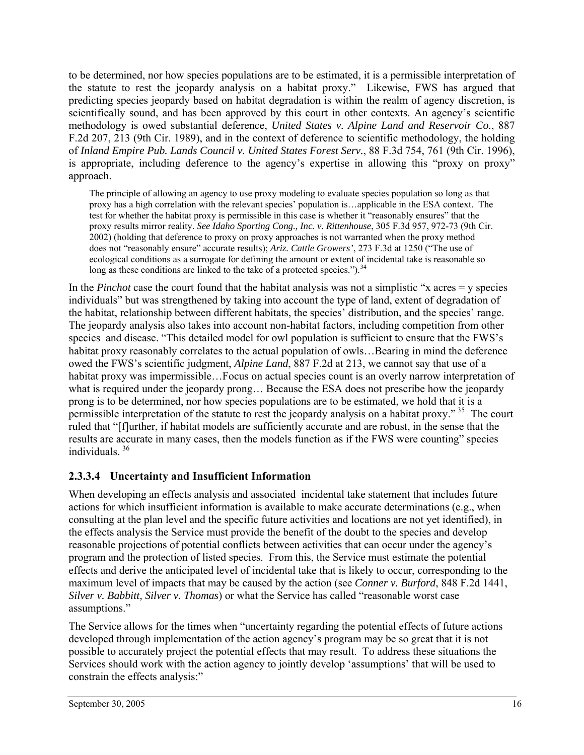to be determined, nor how species populations are to be estimated, it is a permissible interpretation of the statute to rest the jeopardy analysis on a habitat proxy." Likewise, FWS has argued that predicting species jeopardy based on habitat degradation is within the realm of agency discretion, is scientifically sound, and has been approved by this court in other contexts. An agency's scientific methodology is owed substantial deference, *United States v. Alpine Land and Reservoir Co.*, 887 F.2d 207, 213 (9th Cir. 1989), and in the context of deference to scientific methodology, the holding of *Inland Empire Pub. Lands Council v. United States Forest Serv.*, 88 F.3d 754, 761 (9th Cir. 1996), is appropriate, including deference to the agency's expertise in allowing this "proxy on proxy" approach.

The principle of allowing an agency to use proxy modeling to evaluate species population so long as that proxy has a high correlation with the relevant species' population is…applicable in the ESA context. The test for whether the habitat proxy is permissible in this case is whether it "reasonably ensures" that the proxy results mirror reality. *See Idaho Sporting Cong., Inc. v. Rittenhouse*, 305 F.3d 957, 972-73 (9th Cir. 2002) (holding that deference to proxy on proxy approaches is not warranted when the proxy method does not "reasonably ensure" accurate results); *Ariz. Cattle Growers'*, 273 F.3d at 1250 ("The use of ecological conditions as a surrogate for defining the amount or extent of incidental take is reasonable so long as these conditions are linked to the take of a protected species.").  $34$ 

In the *Pinchot* case the court found that the habitat analysis was not a simplistic "x acres = y species individuals" but was strengthened by taking into account the type of land, extent of degradation of the habitat, relationship between different habitats, the species' distribution, and the species' range. The jeopardy analysis also takes into account non-habitat factors, including competition from other species and disease. "This detailed model for owl population is sufficient to ensure that the FWS's habitat proxy reasonably correlates to the actual population of owls...Bearing in mind the deference owed the FWS's scientific judgment, *Alpine Land*, 887 F.2d at 213, we cannot say that use of a habitat proxy was impermissible…Focus on actual species count is an overly narrow interpretation of what is required under the jeopardy prong... Because the ESA does not prescribe how the jeopardy prong is to be determined, nor how species populations are to be estimated, we hold that it is a permissible interpretation of the statute to rest the jeopardy analysis on a habitat proxy." [35](#page-83-1) The court ruled that "[f]urther, if habitat models are sufficiently accurate and are robust, in the sense that the results are accurate in many cases, then the models function as if the FWS were counting" species individuals. [36](#page-83-1)

#### **2.3.3.4 Uncertainty and Insufficient Information**

When developing an effects analysis and associated incidental take statement that includes future actions for which insufficient information is available to make accurate determinations (e.g., when consulting at the plan level and the specific future activities and locations are not yet identified), in the effects analysis the Service must provide the benefit of the doubt to the species and develop reasonable projections of potential conflicts between activities that can occur under the agency's program and the protection of listed species. From this, the Service must estimate the potential effects and derive the anticipated level of incidental take that is likely to occur, corresponding to the maximum level of impacts that may be caused by the action (see *Conner v. Burford*, 848 F.2d 1441, *Silver v. Babbitt, Silver v. Thomas*) or what the Service has called "reasonable worst case assumptions."

The Service allows for the times when "uncertainty regarding the potential effects of future actions developed through implementation of the action agency's program may be so great that it is not possible to accurately project the potential effects that may result. To address these situations the Services should work with the action agency to jointly develop 'assumptions' that will be used to constrain the effects analysis:"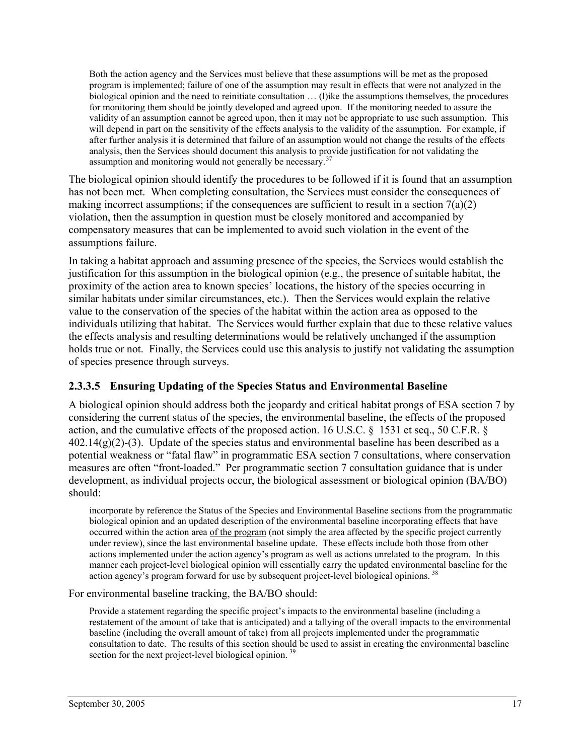Both the action agency and the Services must believe that these assumptions will be met as the proposed program is implemented; failure of one of the assumption may result in effects that were not analyzed in the biological opinion and the need to reinitiate consultation … (l)ike the assumptions themselves, the procedures for monitoring them should be jointly developed and agreed upon. If the monitoring needed to assure the validity of an assumption cannot be agreed upon, then it may not be appropriate to use such assumption. This will depend in part on the sensitivity of the effects analysis to the validity of the assumption. For example, if after further analysis it is determined that failure of an assumption would not change the results of the effects analysis, then the Services should document this analysis to provide justification for not validating the assumption and monitoring would not generally be necessary.<sup>[37](#page-83-1)</sup>

The biological opinion should identify the procedures to be followed if it is found that an assumption has not been met. When completing consultation, the Services must consider the consequences of making incorrect assumptions; if the consequences are sufficient to result in a section  $7(a)(2)$ violation, then the assumption in question must be closely monitored and accompanied by compensatory measures that can be implemented to avoid such violation in the event of the assumptions failure.

In taking a habitat approach and assuming presence of the species, the Services would establish the justification for this assumption in the biological opinion (e.g., the presence of suitable habitat, the proximity of the action area to known species' locations, the history of the species occurring in similar habitats under similar circumstances, etc.). Then the Services would explain the relative value to the conservation of the species of the habitat within the action area as opposed to the individuals utilizing that habitat. The Services would further explain that due to these relative values the effects analysis and resulting determinations would be relatively unchanged if the assumption holds true or not. Finally, the Services could use this analysis to justify not validating the assumption of species presence through surveys.

#### **2.3.3.5 Ensuring Updating of the Species Status and Environmental Baseline**

A biological opinion should address both the jeopardy and critical habitat prongs of ESA section 7 by considering the current status of the species, the environmental baseline, the effects of the proposed action, and the cumulative effects of the proposed action. 16 U.S.C. § 1531 et seq., 50 C.F.R. §  $402.14(g)(2)-(3)$ . Update of the species status and environmental baseline has been described as a potential weakness or "fatal flaw" in programmatic ESA section 7 consultations, where conservation measures are often "front-loaded." Per programmatic section 7 consultation guidance that is under development, as individual projects occur, the biological assessment or biological opinion (BA/BO) should:

incorporate by reference the Status of the Species and Environmental Baseline sections from the programmatic biological opinion and an updated description of the environmental baseline incorporating effects that have occurred within the action area of the program (not simply the area affected by the specific project currently under review), since the last environmental baseline update. These effects include both those from other actions implemented under the action agency's program as well as actions unrelated to the program. In this manner each project-level biological opinion will essentially carry the updated environmental baseline for the action agency's program forward for use by subsequent project-level biological opinions. [38](#page-83-1)

For environmental baseline tracking, the BA/BO should:

Provide a statement regarding the specific project's impacts to the environmental baseline (including a restatement of the amount of take that is anticipated) and a tallying of the overall impacts to the environmental baseline (including the overall amount of take) from all projects implemented under the programmatic consultation to date. The results of this section should be used to assist in creating the environmental baseline section for the next project-level biological opinion.<sup>[39](#page-83-1)</sup>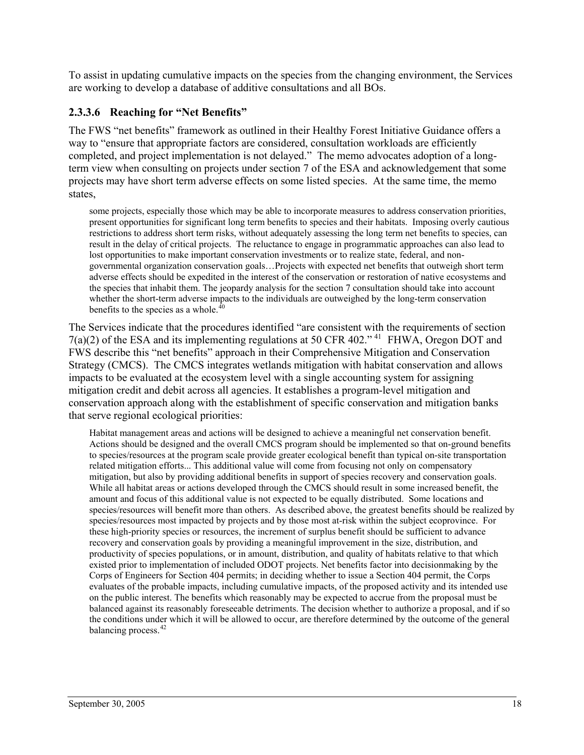To assist in updating cumulative impacts on the species from the changing environment, the Services are working to develop a database of additive consultations and all BOs.

#### **2.3.3.6 Reaching for "Net Benefits"**

The FWS "net benefits" framework as outlined in their Healthy Forest Initiative Guidance offers a way to "ensure that appropriate factors are considered, consultation workloads are efficiently completed, and project implementation is not delayed." The memo advocates adoption of a longterm view when consulting on projects under section 7 of the ESA and acknowledgement that some projects may have short term adverse effects on some listed species. At the same time, the memo states,

some projects, especially those which may be able to incorporate measures to address conservation priorities, present opportunities for significant long term benefits to species and their habitats. Imposing overly cautious restrictions to address short term risks, without adequately assessing the long term net benefits to species, can result in the delay of critical projects. The reluctance to engage in programmatic approaches can also lead to lost opportunities to make important conservation investments or to realize state, federal, and nongovernmental organization conservation goals…Projects with expected net benefits that outweigh short term adverse effects should be expedited in the interest of the conservation or restoration of native ecosystems and the species that inhabit them. The jeopardy analysis for the section 7 consultation should take into account whether the short-term adverse impacts to the individuals are outweighed by the long-term conservation benefits to the species as a whole. $^{40}$  $^{40}$  $^{40}$ 

The Services indicate that the procedures identified "are consistent with the requirements of section  $7(a)(2)$  of the ESA and its implementing regulations at 50 CFR 402."<sup>[41](#page-83-1)</sup> FHWA, Oregon DOT and FWS describe this "net benefits" approach in their Comprehensive Mitigation and Conservation Strategy (CMCS). The CMCS integrates wetlands mitigation with habitat conservation and allows impacts to be evaluated at the ecosystem level with a single accounting system for assigning mitigation credit and debit across all agencies. It establishes a program-level mitigation and conservation approach along with the establishment of specific conservation and mitigation banks that serve regional ecological priorities:

Habitat management areas and actions will be designed to achieve a meaningful net conservation benefit. Actions should be designed and the overall CMCS program should be implemented so that on-ground benefits to species/resources at the program scale provide greater ecological benefit than typical on-site transportation related mitigation efforts... This additional value will come from focusing not only on compensatory mitigation, but also by providing additional benefits in support of species recovery and conservation goals. While all habitat areas or actions developed through the CMCS should result in some increased benefit, the amount and focus of this additional value is not expected to be equally distributed. Some locations and species/resources will benefit more than others. As described above, the greatest benefits should be realized by species/resources most impacted by projects and by those most at-risk within the subject ecoprovince. For these high-priority species or resources, the increment of surplus benefit should be sufficient to advance recovery and conservation goals by providing a meaningful improvement in the size, distribution, and productivity of species populations, or in amount, distribution, and quality of habitats relative to that which existed prior to implementation of included ODOT projects. Net benefits factor into decisionmaking by the Corps of Engineers for Section 404 permits; in deciding whether to issue a Section 404 permit, the Corps evaluates of the probable impacts, including cumulative impacts, of the proposed activity and its intended use on the public interest. The benefits which reasonably may be expected to accrue from the proposal must be balanced against its reasonably foreseeable detriments. The decision whether to authorize a proposal, and if so the conditions under which it will be allowed to occur, are therefore determined by the outcome of the general balancing process.<sup>[42](#page-83-1)</sup>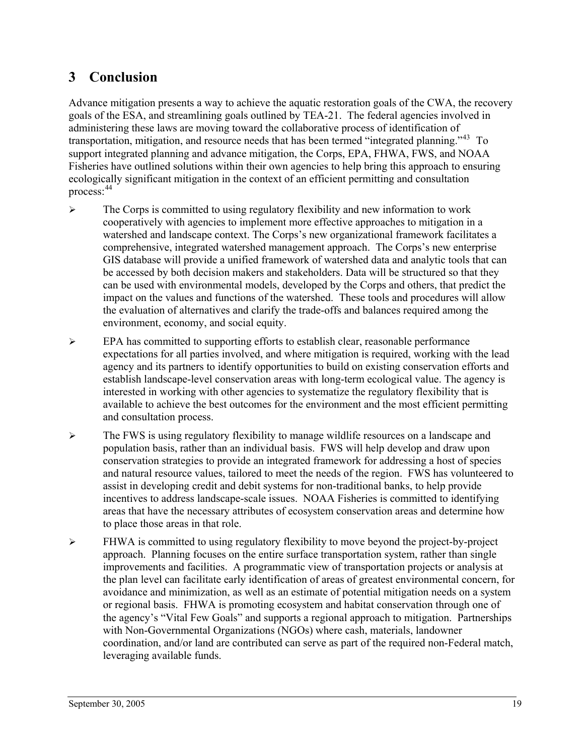## <span id="page-23-0"></span>**3 Conclusion**

Advance mitigation presents a way to achieve the aquatic restoration goals of the CWA, the recovery goals of the ESA, and streamlining goals outlined by TEA-21. The federal agencies involved in administering these laws are moving toward the collaborative process of identification of transportation, mitigation, and resource needs that has been termed "integrated planning."[43](#page-83-1) To support integrated planning and advance mitigation, the Corps, EPA, FHWA, FWS, and NOAA Fisheries have outlined solutions within their own agencies to help bring this approach to ensuring ecologically significant mitigation in the context of an efficient permitting and consultation process: [44](#page-83-1)

- ¾ The Corps is committed to using regulatory flexibility and new information to work cooperatively with agencies to implement more effective approaches to mitigation in a watershed and landscape context. The Corps's new organizational framework facilitates a comprehensive, integrated watershed management approach. The Corps's new enterprise GIS database will provide a unified framework of watershed data and analytic tools that can be accessed by both decision makers and stakeholders. Data will be structured so that they can be used with environmental models, developed by the Corps and others, that predict the impact on the values and functions of the watershed. These tools and procedures will allow the evaluation of alternatives and clarify the trade-offs and balances required among the environment, economy, and social equity.
- ¾ EPA has committed to supporting efforts to establish clear, reasonable performance expectations for all parties involved, and where mitigation is required, working with the lead agency and its partners to identify opportunities to build on existing conservation efforts and establish landscape-level conservation areas with long-term ecological value. The agency is interested in working with other agencies to systematize the regulatory flexibility that is available to achieve the best outcomes for the environment and the most efficient permitting and consultation process.
- ¾ The FWS is using regulatory flexibility to manage wildlife resources on a landscape and population basis, rather than an individual basis. FWS will help develop and draw upon conservation strategies to provide an integrated framework for addressing a host of species and natural resource values, tailored to meet the needs of the region. FWS has volunteered to assist in developing credit and debit systems for non-traditional banks, to help provide incentives to address landscape-scale issues. NOAA Fisheries is committed to identifying areas that have the necessary attributes of ecosystem conservation areas and determine how to place those areas in that role.
- $\triangleright$  FHWA is committed to using regulatory flexibility to move beyond the project-by-project approach. Planning focuses on the entire surface transportation system, rather than single improvements and facilities. A programmatic view of transportation projects or analysis at the plan level can facilitate early identification of areas of greatest environmental concern, for avoidance and minimization, as well as an estimate of potential mitigation needs on a system or regional basis. FHWA is promoting ecosystem and habitat conservation through one of the agency's "Vital Few Goals" and supports a regional approach to mitigation. Partnerships with Non-Governmental Organizations (NGOs) where cash, materials, landowner coordination, and/or land are contributed can serve as part of the required non-Federal match, leveraging available funds.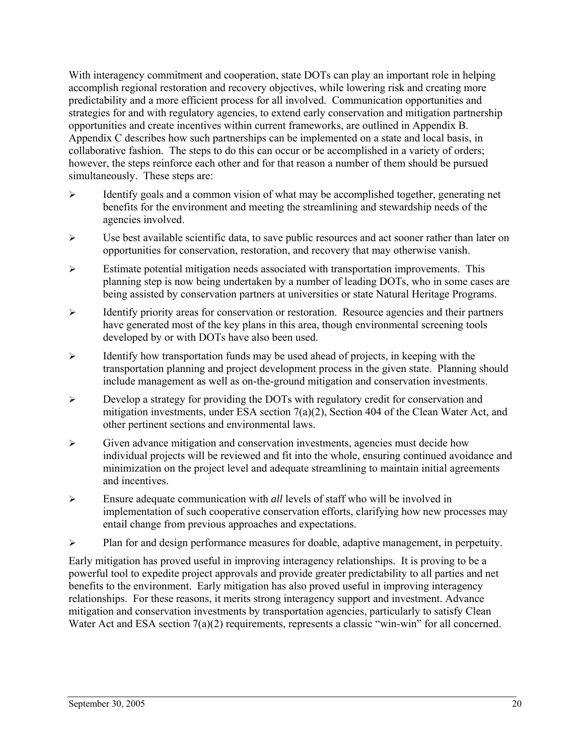With interagency commitment and cooperation, state DOTs can play an important role in helping accomplish regional restoration and recovery objectives, while lowering risk and creating more predictability and a more efficient process for all involved. Communication opportunities and strategies for and with regulatory agencies, to extend early conservation and mitigation partnership opportunities and create incentives within current frameworks, are outlined in Appendix B. Appendix C describes how such partnerships can be implemented on a state and local basis, in collaborative fashion. The steps to do this can occur or be accomplished in a variety of orders; however, the steps reinforce each other and for that reason a number of them should be pursued simultaneously. These steps are:

- $\triangleright$  Identify goals and a common vision of what may be accomplished together, generating net benefits for the environment and meeting the streamlining and stewardship needs of the agencies involved.
- $\triangleright$  Use best available scientific data, to save public resources and act sooner rather than later on opportunities for conservation, restoration, and recovery that may otherwise vanish.
- $\triangleright$  Estimate potential mitigation needs associated with transportation improvements. This planning step is now being undertaken by a number of leading DOTs, who in some cases are being assisted by conservation partners at universities or state Natural Heritage Programs.
- ¾ Identify priority areas for conservation or restoration. Resource agencies and their partners have generated most of the key plans in this area, though environmental screening tools developed by or with DOTs have also been used.
- $\triangleright$  Identify how transportation funds may be used ahead of projects, in keeping with the transportation planning and project development process in the given state. Planning should include management as well as on-the-ground mitigation and conservation investments.
- $\triangleright$  Develop a strategy for providing the DOTs with regulatory credit for conservation and mitigation investments, under ESA section 7(a)(2), Section 404 of the Clean Water Act, and other pertinent sections and environmental laws.
- $\triangleright$  Given advance mitigation and conservation investments, agencies must decide how individual projects will be reviewed and fit into the whole, ensuring continued avoidance and minimization on the project level and adequate streamlining to maintain initial agreements and incentives.
- ¾ Ensure adequate communication with *all* levels of staff who will be involved in implementation of such cooperative conservation efforts, clarifying how new processes may entail change from previous approaches and expectations.
- $\triangleright$  Plan for and design performance measures for doable, adaptive management, in perpetuity.

Early mitigation has proved useful in improving interagency relationships. It is proving to be a powerful tool to expedite project approvals and provide greater predictability to all parties and net benefits to the environment. Early mitigation has also proved useful in improving interagency relationships. For these reasons, it merits strong interagency support and investment. Advance mitigation and conservation investments by transportation agencies, particularly to satisfy Clean Water Act and ESA section 7(a)(2) requirements, represents a classic "win-win" for all concerned.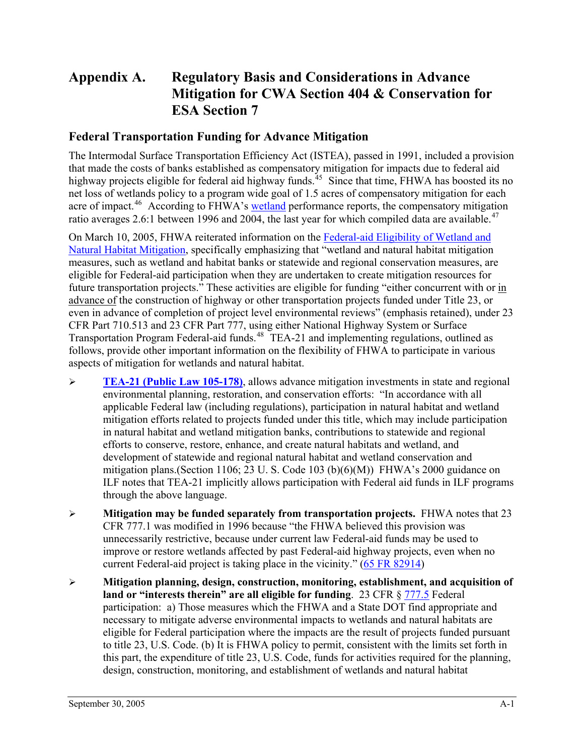## <span id="page-25-0"></span>**Appendix A. Regulatory Basis and Considerations in Advance Mitigation for CWA Section 404 & Conservation for ESA Section 7**

#### **Federal Transportation Funding for Advance Mitigation**

The Intermodal Surface Transportation Efficiency Act (ISTEA), passed in 1991, included a provision that made the costs of banks established as compensatory mitigation for impacts due to federal aid highway projects eligible for federal aid highway funds.<sup>[45](#page-83-2)</sup> Since that time, FHWA has boosted its no net loss of wetlands policy to a program wide goal of 1.5 acres of compensatory mitigation for each acre of impact.<sup>[46](#page-83-2)</sup> According to FHWA's [wetland](http://www.fhwa.dot.gov/environment/perform/wetrpt04.htm) performance reports, the compensatory mitigation ratio averages 2.6:1 between 1996 and 2004, the last year for which compiled data are available.<sup>[47](#page-83-2)</sup>

On March 10, 2005, FHWA reiterated information on the [Federal-aid Eligibility of Wetland and](http://www.environment.transportation.org/documents/mitigation_guidance.doc)  [Natural Habitat Mitigation,](http://www.environment.transportation.org/documents/mitigation_guidance.doc) specifically emphasizing that "wetland and natural habitat mitigation measures, such as wetland and habitat banks or statewide and regional conservation measures, are eligible for Federal-aid participation when they are undertaken to create mitigation resources for future transportation projects." These activities are eligible for funding "either concurrent with or in advance of the construction of highway or other transportation projects funded under Title 23, or even in advance of completion of project level environmental reviews" (emphasis retained), under 23 CFR Part 710.513 and 23 CFR Part 777, using either National Highway System or Surface Transportation Program Federal-aid funds.<sup>[48](#page-83-2)</sup> TEA-21 and implementing regulations, outlined as follows, provide other important information on the flexibility of FHWA to participate in various aspects of mitigation for wetlands and natural habitat.

- ¾ **[TEA-21 \(Public Law 105-178\)](http://www.nrdc.org/legislation/damage/chap4.asp)**, allows advance mitigation investments in state and regional environmental planning, restoration, and conservation efforts: "In accordance with all applicable Federal law (including regulations), participation in natural habitat and wetland mitigation efforts related to projects funded under this title, which may include participation in natural habitat and wetland mitigation banks, contributions to statewide and regional efforts to conserve, restore, enhance, and create natural habitats and wetland, and development of statewide and regional natural habitat and wetland conservation and mitigation plans.(Section 1106; 23 U. S. Code 103 (b) $(6)(M)$ ) FHWA's 2000 guidance on ILF notes that TEA-21 implicitly allows participation with Federal aid funds in ILF programs through the above language.
- ¾ **Mitigation may be funded separately from transportation projects.** FHWA notes that 23 CFR 777.1 was modified in 1996 because "the FHWA believed this provision was unnecessarily restrictive, because under current law Federal-aid funds may be used to improve or restore wetlands affected by past Federal-aid highway projects, even when no current Federal-aid project is taking place in the vicinity." [\(65 FR 82914](http://www.fhwa.dot.gov/environment/fr29de00.pdf))
- ¾ **Mitigation planning, design, construction, monitoring, establishment, and acquisition of land or "interests therein" are all eligible for funding**. 23 CFR § [777.5](http://www.fhwa.dot.gov/hep/23cfr777.htm#sec.777.5) Federal participation: a) Those measures which the FHWA and a State DOT find appropriate and necessary to mitigate adverse environmental impacts to wetlands and natural habitats are eligible for Federal participation where the impacts are the result of projects funded pursuant to title 23, U.S. Code. (b) It is FHWA policy to permit, consistent with the limits set forth in this part, the expenditure of title 23, U.S. Code, funds for activities required for the planning, design, construction, monitoring, and establishment of wetlands and natural habitat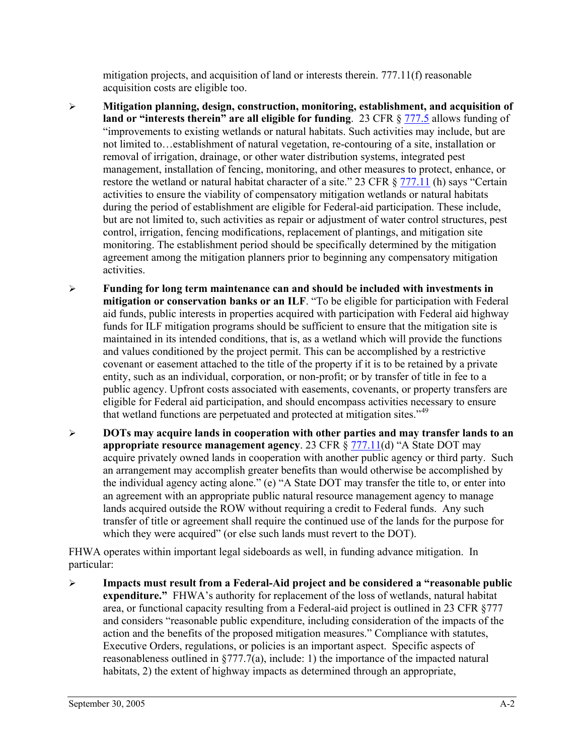mitigation projects, and acquisition of land or interests therein. 777.11(f) reasonable acquisition costs are eligible too.

- ¾ **Mitigation planning, design, construction, monitoring, establishment, and acquisition of land or "interests therein" are all eligible for funding.** 23 CFR § [777.5](http://www.fhwa.dot.gov/hep/23cfr777.htm#sec.777.5) allows funding of "improvements to existing wetlands or natural habitats. Such activities may include, but are not limited to…establishment of natural vegetation, re-contouring of a site, installation or removal of irrigation, drainage, or other water distribution systems, integrated pest management, installation of fencing, monitoring, and other measures to protect, enhance, or restore the wetland or natural habitat character of a site." 23 CFR § [777.11](http://www.fhwa.dot.gov/hep/23cfr777.htm#sec.777.11) (h) says "Certain activities to ensure the viability of compensatory mitigation wetlands or natural habitats during the period of establishment are eligible for Federal-aid participation. These include, but are not limited to, such activities as repair or adjustment of water control structures, pest control, irrigation, fencing modifications, replacement of plantings, and mitigation site monitoring. The establishment period should be specifically determined by the mitigation agreement among the mitigation planners prior to beginning any compensatory mitigation activities.
- ¾ **Funding for long term maintenance can and should be included with investments in mitigation or conservation banks or an ILF**. "To be eligible for participation with Federal aid funds, public interests in properties acquired with participation with Federal aid highway funds for ILF mitigation programs should be sufficient to ensure that the mitigation site is maintained in its intended conditions, that is, as a wetland which will provide the functions and values conditioned by the project permit. This can be accomplished by a restrictive covenant or easement attached to the title of the property if it is to be retained by a private entity, such as an individual, corporation, or non-profit; or by transfer of title in fee to a public agency. Upfront costs associated with easements, covenants, or property transfers are eligible for Federal aid participation, and should encompass activities necessary to ensure that wetland functions are perpetuated and protected at mitigation sites."[49](#page-83-2)
- ¾ **DOTs may acquire lands in cooperation with other parties and may transfer lands to an appropriate resource management agency**. 23 CFR § [777.11\(](http://www.fhwa.dot.gov/hep/23cfr777.htm#sec.777.11)d) "A State DOT may acquire privately owned lands in cooperation with another public agency or third party. Such an arrangement may accomplish greater benefits than would otherwise be accomplished by the individual agency acting alone." (e) "A State DOT may transfer the title to, or enter into an agreement with an appropriate public natural resource management agency to manage lands acquired outside the ROW without requiring a credit to Federal funds. Any such transfer of title or agreement shall require the continued use of the lands for the purpose for which they were acquired" (or else such lands must revert to the DOT).

FHWA operates within important legal sideboards as well, in funding advance mitigation. In particular:

¾ **Impacts must result from a Federal-Aid project and be considered a "reasonable public expenditure."** FHWA's authority for replacement of the loss of wetlands, natural habitat area, or functional capacity resulting from a Federal-aid project is outlined in 23 CFR §777 and considers "reasonable public expenditure, including consideration of the impacts of the action and the benefits of the proposed mitigation measures." Compliance with statutes, Executive Orders, regulations, or policies is an important aspect. Specific aspects of reasonableness outlined in §777.7(a), include: 1) the importance of the impacted natural habitats, 2) the extent of highway impacts as determined through an appropriate,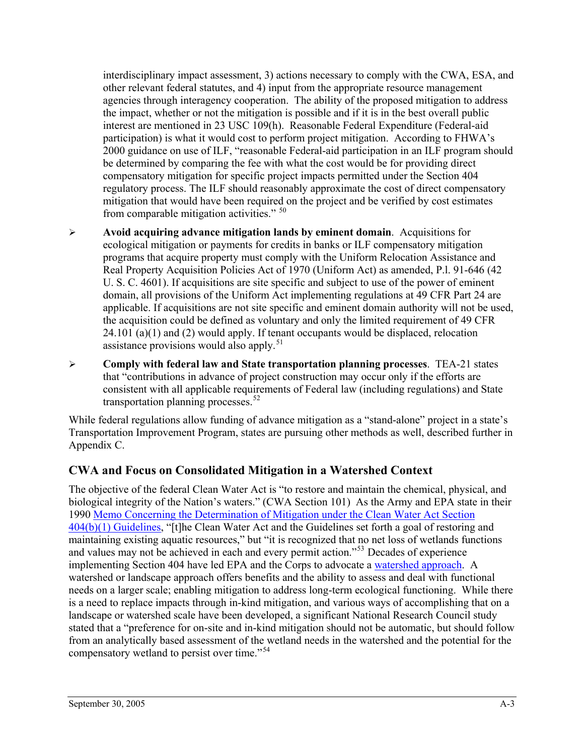<span id="page-27-0"></span>interdisciplinary impact assessment, 3) actions necessary to comply with the CWA, ESA, and other relevant federal statutes, and 4) input from the appropriate resource management agencies through interagency cooperation. The ability of the proposed mitigation to address the impact, whether or not the mitigation is possible and if it is in the best overall public interest are mentioned in 23 USC 109(h). Reasonable Federal Expenditure (Federal-aid participation) is what it would cost to perform project mitigation. According to FHWA's 2000 guidance on use of ILF, "reasonable Federal-aid participation in an ILF program should be determined by comparing the fee with what the cost would be for providing direct compensatory mitigation for specific project impacts permitted under the Section 404 regulatory process. The ILF should reasonably approximate the cost of direct compensatory mitigation that would have been required on the project and be verified by cost estimates from comparable mitigation activities." [50](#page-83-2)

- ¾ **Avoid acquiring advance mitigation lands by eminent domain**. Acquisitions for ecological mitigation or payments for credits in banks or ILF compensatory mitigation programs that acquire property must comply with the Uniform Relocation Assistance and Real Property Acquisition Policies Act of 1970 (Uniform Act) as amended, P.l. 91-646 (42 U. S. C. 4601). If acquisitions are site specific and subject to use of the power of eminent domain, all provisions of the Uniform Act implementing regulations at 49 CFR Part 24 are applicable. If acquisitions are not site specific and eminent domain authority will not be used, the acquisition could be defined as voluntary and only the limited requirement of 49 CFR  $24.101$  (a)(1) and (2) would apply. If tenant occupants would be displaced, relocation assistance provisions would also apply.<sup>[51](#page-83-2)</sup>
- ¾ **Comply with federal law and State transportation planning processes**. TEA-21 states that "contributions in advance of project construction may occur only if the efforts are consistent with all applicable requirements of Federal law (including regulations) and State transportation planning processes.  $52$

While federal regulations allow funding of advance mitigation as a "stand-alone" project in a state's Transportation Improvement Program, states are pursuing other methods as well, described further in Appendix C.

#### **CWA and Focus on Consolidated Mitigation in a Watershed Context**

The objective of the federal Clean Water Act is "to restore and maintain the chemical, physical, and biological integrity of the Nation's waters." (CWA Section 101) As the Army and EPA state in their 1990 [Memo Concerning the Determination of Mitigation under the Clean Water Act Section](http://www.usace.army.mil/inet/functions/cw/cecwo/reg/mitigate.htm)  [404\(b\)\(1\) Guidelines,](http://www.usace.army.mil/inet/functions/cw/cecwo/reg/mitigate.htm) "[t]he Clean Water Act and the Guidelines set forth a goal of restoring and maintaining existing aquatic resources," but "it is recognized that no net loss of wetlands functions and values may not be achieved in each and every permit action."<sup>[53](#page-83-2)</sup> Decades of experience implementing Section 404 have led EPA and the Corps to advocate a [watershed approach](http://www.epa.gov/owow/wetlands/facts/fact26.html). A watershed or landscape approach offers benefits and the ability to assess and deal with functional needs on a larger scale; enabling mitigation to address long-term ecological functioning. While there is a need to replace impacts through in-kind mitigation, and various ways of accomplishing that on a landscape or watershed scale have been developed, a significant National Research Council study stated that a "preference for on-site and in-kind mitigation should not be automatic, but should follow from an analytically based assessment of the wetland needs in the watershed and the potential for the compensatory wetland to persist over time."[54](#page-83-2)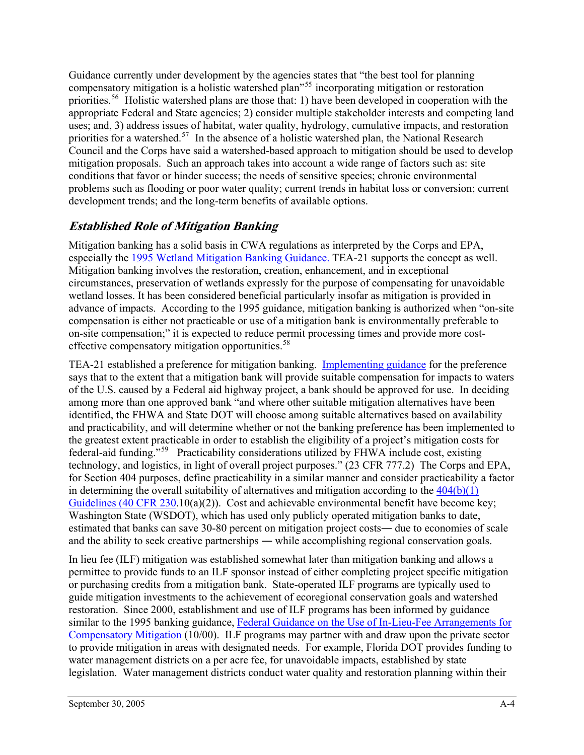Guidance currently under development by the agencies states that "the best tool for planning compensatory mitigation is a holistic watershed plan<sup>[55](#page-83-2)5</sup> incorporating mitigation or restoration priorities.[56](#page-83-2) Holistic watershed plans are those that: 1) have been developed in cooperation with the appropriate Federal and State agencies; 2) consider multiple stakeholder interests and competing land uses; and, 3) address issues of habitat, water quality, hydrology, cumulative impacts, and restoration priorities for a watershed.<sup>[57](#page-83-2)</sup> In the absence of a holistic watershed plan, the National Research Council and the Corps have said a watershed-based approach to mitigation should be used to develop mitigation proposals. Such an approach takes into account a wide range of factors such as: site conditions that favor or hinder success; the needs of sensitive species; chronic environmental problems such as flooding or poor water quality; current trends in habitat loss or conversion; current development trends; and the long-term benefits of available options.

### **Established Role of Mitigation Banking**

Mitigation banking has a solid basis in CWA regulations as interpreted by the Corps and EPA, especially the [1995 Wetland Mitigation Banking Guidance.](http://www.epa.gov/owow/wetlands/guidance/mitbankn.html) TEA-21 supports the concept as well. Mitigation banking involves the restoration, creation, enhancement, and in exceptional circumstances, preservation of wetlands expressly for the purpose of compensating for unavoidable wetland losses. It has been considered beneficial particularly insofar as mitigation is provided in advance of impacts. According to the 1995 guidance, mitigation banking is authorized when "on-site compensation is either not practicable or use of a mitigation bank is environmentally preferable to on-site compensation;" it is expected to reduce permit processing times and provide more cost-effective compensatory mitigation opportunities.<sup>[58](#page-83-2)</sup>

TEA-21 established a preference for mitigation banking. [Implementing guidance](http://www.fhwa.dot.gov/environment/wetland/tea21bnk.htm) for the preference says that to the extent that a mitigation bank will provide suitable compensation for impacts to waters of the U.S. caused by a Federal aid highway project, a bank should be approved for use. In deciding among more than one approved bank "and where other suitable mitigation alternatives have been identified, the FHWA and State DOT will choose among suitable alternatives based on availability and practicability, and will determine whether or not the banking preference has been implemented to the greatest extent practicable in order to establish the eligibility of a project's mitigation costs for federal-aid funding."[59](#page-83-2) Practicability considerations utilized by FHWA include cost, existing technology, and logistics, in light of overall project purposes." (23 CFR 777.2) The Corps and EPA, for Section 404 purposes, define practicability in a similar manner and consider practicability a factor in determining the overall suitability of alternatives and mitigation according to the  $404(b)(1)$ [Guidelines \(40 CFR 230.](http://www.epa.gov/owow/wetlands/pdf/40cfrPart230.pdf)10(a)(2)). Cost and achievable environmental benefit have become key; Washington State (WSDOT), which has used only publicly operated mitigation banks to date, estimated that banks can save 30-80 percent on mitigation project costs― due to economies of scale and the ability to seek creative partnerships ― while accomplishing regional conservation goals.

In lieu fee (ILF) mitigation was established somewhat later than mitigation banking and allows a permittee to provide funds to an ILF sponsor instead of either completing project specific mitigation or purchasing credits from a mitigation bank. State-operated ILF programs are typically used to guide mitigation investments to the achievement of ecoregional conservation goals and watershed restoration. Since 2000, establishment and use of ILF programs has been informed by guidance similar to the 1995 banking guidance, Federal Guidance on the Use of In-Lieu-Fee Arrangements for [Compensatory Mitigation](http://www.epa.gov/owow/wetlands/regs/inlieufee.pdf) (10/00). ILF programs may partner with and draw upon the private sector to provide mitigation in areas with designated needs. For example, Florida DOT provides funding to water management districts on a per acre fee, for unavoidable impacts, established by state legislation. Water management districts conduct water quality and restoration planning within their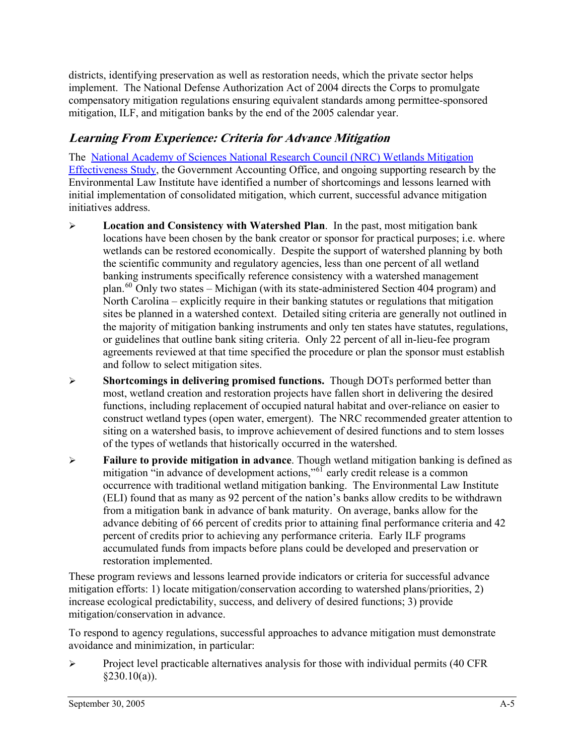districts, identifying preservation as well as restoration needs, which the private sector helps implement. The National Defense Authorization Act of 2004 directs the Corps to promulgate compensatory mitigation regulations ensuring equivalent standards among permittee-sponsored mitigation, ILF, and mitigation banks by the end of the 2005 calendar year.

## **Learning From Experience: Criteria for Advance Mitigation**

The [National Academy of Sciences National Research Council \(NRC\) Wetlands Mitigation](http://www.nap.edu/books/0309074320/html/)  [Effectiveness Study,](http://www.nap.edu/books/0309074320/html/) the Government Accounting Office, and ongoing supporting research by the Environmental Law Institute have identified a number of shortcomings and lessons learned with initial implementation of consolidated mitigation, which current, successful advance mitigation initiatives address.

- ¾ **Location and Consistency with Watershed Plan**. In the past, most mitigation bank locations have been chosen by the bank creator or sponsor for practical purposes; i.e. where wetlands can be restored economically. Despite the support of watershed planning by both the scientific community and regulatory agencies, less than one percent of all wetland banking instruments specifically reference consistency with a watershed management plan.<sup>[60](#page-83-2)</sup> Only two states – Michigan (with its state-administered Section 404 program) and North Carolina – explicitly require in their banking statutes or regulations that mitigation sites be planned in a watershed context. Detailed siting criteria are generally not outlined in the majority of mitigation banking instruments and only ten states have statutes, regulations, or guidelines that outline bank siting criteria. Only 22 percent of all in-lieu-fee program agreements reviewed at that time specified the procedure or plan the sponsor must establish and follow to select mitigation sites.
- ¾ **Shortcomings in delivering promised functions.** Though DOTs performed better than most, wetland creation and restoration projects have fallen short in delivering the desired functions, including replacement of occupied natural habitat and over-reliance on easier to construct wetland types (open water, emergent). The NRC recommended greater attention to siting on a watershed basis, to improve achievement of desired functions and to stem losses of the types of wetlands that historically occurred in the watershed.
- ¾ **Failure to provide mitigation in advance**. Though wetland mitigation banking is defined as mitigation <sup>"i</sup>n advance of development actions,"<sup>[61](#page-83-2)</sup> early credit release is a common occurrence with traditional wetland mitigation banking. The Environmental Law Institute (ELI) found that as many as 92 percent of the nation's banks allow credits to be withdrawn from a mitigation bank in advance of bank maturity. On average, banks allow for the advance debiting of 66 percent of credits prior to attaining final performance criteria and 42 percent of credits prior to achieving any performance criteria. Early ILF programs accumulated funds from impacts before plans could be developed and preservation or restoration implemented.

These program reviews and lessons learned provide indicators or criteria for successful advance mitigation efforts: 1) locate mitigation/conservation according to watershed plans/priorities, 2) increase ecological predictability, success, and delivery of desired functions; 3) provide mitigation/conservation in advance.

To respond to agency regulations, successful approaches to advance mitigation must demonstrate avoidance and minimization, in particular:

 $\triangleright$  Project level practicable alternatives analysis for those with individual permits (40 CFR  $§230.10(a)$ ).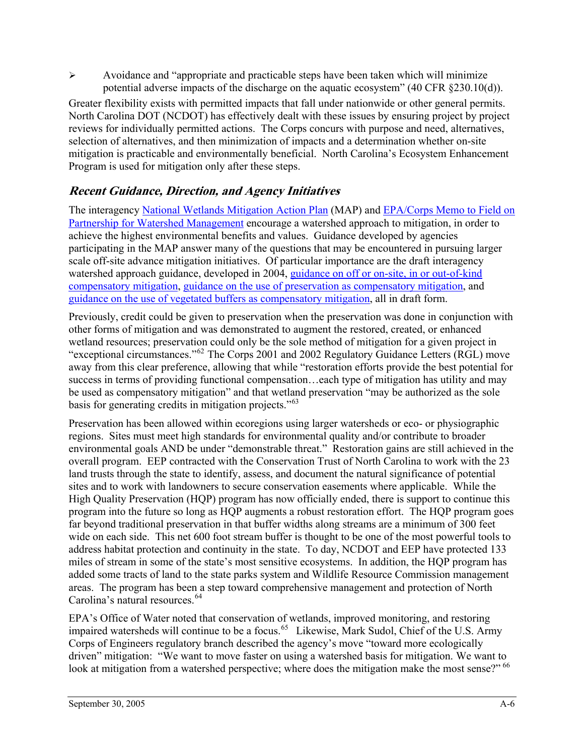$\triangleright$  Avoidance and "appropriate and practicable steps have been taken which will minimize potential adverse impacts of the discharge on the aquatic ecosystem" (40 CFR §230.10(d)).

Greater flexibility exists with permitted impacts that fall under nationwide or other general permits. North Carolina DOT (NCDOT) has effectively dealt with these issues by ensuring project by project reviews for individually permitted actions. The Corps concurs with purpose and need, alternatives, selection of alternatives, and then minimization of impacts and a determination whether on-site mitigation is practicable and environmentally beneficial. North Carolina's Ecosystem Enhancement Program is used for mitigation only after these steps.

## **Recent Guidance, Direction, and Agency Initiatives**

The interagency [National Wetlands Mitigation Action Plan](http://www.epa.gov/owow/wetlands/pdf/map1226withsign.pdf) (MAP) and [EPA/Corps Memo to Field on](http://www.epa.gov/owow/wetlands/pdf/Regas-Riley_memo.pdf)  [Partnership for Watershed Management](http://www.epa.gov/owow/wetlands/pdf/Regas-Riley_memo.pdf) encourage a watershed approach to mitigation, in order to achieve the highest environmental benefits and values. Guidance developed by agencies participating in the MAP answer many of the questions that may be encountered in pursuing larger scale off-site advance mitigation initiatives. Of particular importance are the draft interagency watershed approach guidance, developed in 2004, [guidance on off or on-site, in or out-of-kind](http://www.mitigationactionplan.gov/040407SiteKindGuidance.html)  [compensatory mitigation,](http://www.mitigationactionplan.gov/040407SiteKindGuidance.html) [guidance on the use of preservation as compensatory mitigation,](http://www.mitigationactionplan.gov/Preservation_8-27-04.htm) and [guidance on the use of vegetated buffers as compensatory mitigation,](http://www.mitigationactionplan.gov/Buffer_8-27-04.htm) all in draft form.

Previously, credit could be given to preservation when the preservation was done in conjunction with other forms of mitigation and was demonstrated to augment the restored, created, or enhanced wetland resources; preservation could only be the sole method of mitigation for a given project in "exceptional circumstances."<sup>[62](#page-83-2)</sup> The Corps 2001 and 2002 Regulatory Guidance Letters (RGL) move away from this clear preference, allowing that while "restoration efforts provide the best potential for success in terms of providing functional compensation…each type of mitigation has utility and may be used as compensatory mitigation" and that wetland preservation "may be authorized as the sole basis for generating credits in mitigation projects."[63](#page-83-2)

Preservation has been allowed within ecoregions using larger watersheds or eco- or physiographic regions. Sites must meet high standards for environmental quality and/or contribute to broader environmental goals AND be under "demonstrable threat." Restoration gains are still achieved in the overall program. EEP contracted with the Conservation Trust of North Carolina to work with the 23 land trusts through the state to identify, assess, and document the natural significance of potential sites and to work with landowners to secure conservation easements where applicable. While the High Quality Preservation (HQP) program has now officially ended, there is support to continue this program into the future so long as HQP augments a robust restoration effort. The HQP program goes far beyond traditional preservation in that buffer widths along streams are a minimum of 300 feet wide on each side. This net 600 foot stream buffer is thought to be one of the most powerful tools to address habitat protection and continuity in the state. To day, NCDOT and EEP have protected 133 miles of stream in some of the state's most sensitive ecosystems. In addition, the HQP program has added some tracts of land to the state parks system and Wildlife Resource Commission management areas. The program has been a step toward comprehensive management and protection of North Carolina's natural resources.<sup>[64](#page-83-2)</sup>

EPA's Office of Water noted that conservation of wetlands, improved monitoring, and restoring impaired watersheds will continue to be a focus.[65](#page-83-2)Likewise, Mark Sudol, Chief of the U.S. Army Corps of Engineers regulatory branch described the agency's move "toward more ecologically driven" mitigation: "We want to move faster on using a watershed basis for mitigation. We want to look at mitigation from a watershed perspective; where does the mitigation make the most sense?" <sup>[66](#page-83-2)</sup>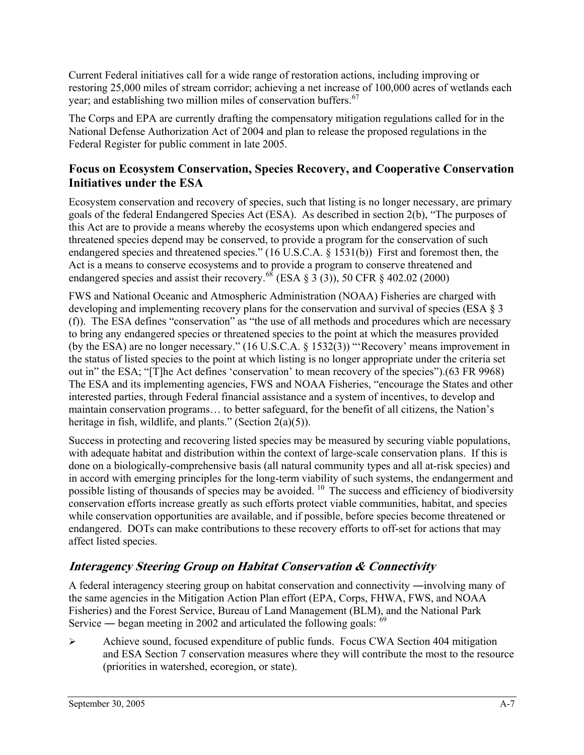<span id="page-31-0"></span>Current Federal initiatives call for a wide range of restoration actions, including improving or restoring 25,000 miles of stream corridor; achieving a net increase of 100,000 acres of wetlands each year; and establishing two million miles of conservation buffers.<sup>[67](#page-83-2)</sup>

The Corps and EPA are currently drafting the compensatory mitigation regulations called for in the National Defense Authorization Act of 2004 and plan to release the proposed regulations in the Federal Register for public comment in late 2005.

#### **Focus on Ecosystem Conservation, Species Recovery, and Cooperative Conservation Initiatives under the ESA**

Ecosystem conservation and recovery of species, such that listing is no longer necessary, are primary goals of the federal Endangered Species Act (ESA). As described in section 2(b), "The purposes of this Act are to provide a means whereby the ecosystems upon which endangered species and threatened species depend may be conserved, to provide a program for the conservation of such endangered species and threatened species." (16 U.S.C.A. § 1531(b)) First and foremost then, the Act is a means to conserve ecosystems and to provide a program to conserve threatened and endangered species and assist their recovery.<sup>[68](#page-83-2)</sup> (ESA § 3 (3)), 50 CFR § 402.02 (2000)

FWS and National Oceanic and Atmospheric Administration (NOAA) Fisheries are charged with developing and implementing recovery plans for the conservation and survival of species (ESA § 3 (f)). The ESA defines "conservation" as "the use of all methods and procedures which are necessary to bring any endangered species or threatened species to the point at which the measures provided (by the ESA) are no longer necessary." (16 U.S.C.A. § 1532(3)) "'Recovery' means improvement in the status of listed species to the point at which listing is no longer appropriate under the criteria set out in" the ESA; "[T]he Act defines 'conservation' to mean recovery of the species").(63 FR 9968) The ESA and its implementing agencies, FWS and NOAA Fisheries, "encourage the States and other interested parties, through Federal financial assistance and a system of incentives, to develop and maintain conservation programs… to better safeguard, for the benefit of all citizens, the Nation's heritage in fish, wildlife, and plants." (Section  $2(a)(5)$ ).

Success in protecting and recovering listed species may be measured by securing viable populations, with adequate habitat and distribution within the context of large-scale conservation plans. If this is done on a biologically-comprehensive basis (all natural community types and all at-risk species) and in accord with emerging principles for the long-term viability of such systems, the endangerment and possible listing of thousands of species may be avoided. 10 The success and efficiency of biodiversity conservation efforts increase greatly as such efforts protect viable communities, habitat, and species while conservation opportunities are available, and if possible, before species become threatened or endangered. DOTs can make contributions to these recovery efforts to off-set for actions that may affect listed species.

## **Interagency Steering Group on Habitat Conservation & Connectivity**

A federal interagency steering group on habitat conservation and connectivity ―involving many of the same agencies in the Mitigation Action Plan effort (EPA, Corps, FHWA, FWS, and NOAA Fisheries) and the Forest Service, Bureau of Land Management (BLM), and the National Park Service — began meeting in 2002 and articulated the following goals:  $69$ 

 $\triangleright$  Achieve sound, focused expenditure of public funds. Focus CWA Section 404 mitigation and ESA Section 7 conservation measures where they will contribute the most to the resource (priorities in watershed, ecoregion, or state).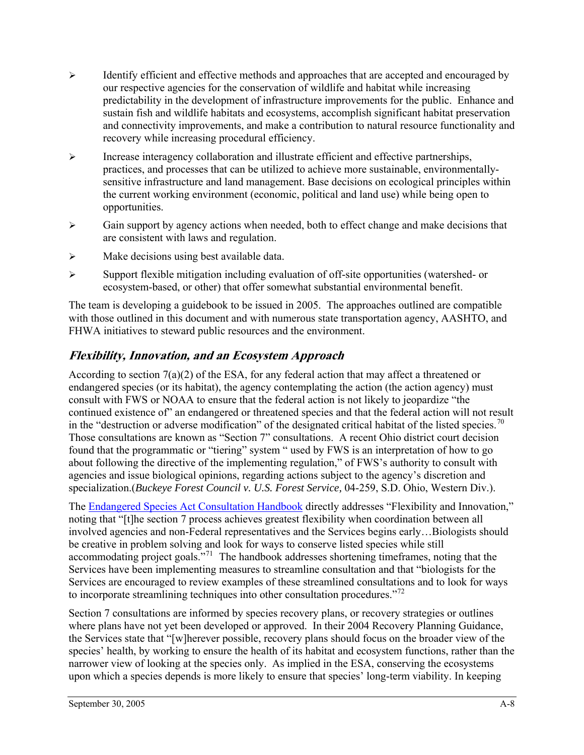- $\triangleright$  Identify efficient and effective methods and approaches that are accepted and encouraged by our respective agencies for the conservation of wildlife and habitat while increasing predictability in the development of infrastructure improvements for the public. Enhance and sustain fish and wildlife habitats and ecosystems, accomplish significant habitat preservation and connectivity improvements, and make a contribution to natural resource functionality and recovery while increasing procedural efficiency.
- $\triangleright$  Increase interagency collaboration and illustrate efficient and effective partnerships, practices, and processes that can be utilized to achieve more sustainable, environmentallysensitive infrastructure and land management. Base decisions on ecological principles within the current working environment (economic, political and land use) while being open to opportunities.
- $\triangleright$  Gain support by agency actions when needed, both to effect change and make decisions that are consistent with laws and regulation.
- $\triangleright$  Make decisions using best available data.
- $\triangleright$  Support flexible mitigation including evaluation of off-site opportunities (watershed- or ecosystem-based, or other) that offer somewhat substantial environmental benefit.

The team is developing a guidebook to be issued in 2005. The approaches outlined are compatible with those outlined in this document and with numerous state transportation agency, AASHTO, and FHWA initiatives to steward public resources and the environment.

### **Flexibility, Innovation, and an Ecosystem Approach**

According to section 7(a)(2) of the ESA, for any federal action that may affect a threatened or endangered species (or its habitat), the agency contemplating the action (the action agency) must consult with FWS or NOAA to ensure that the federal action is not likely to jeopardize "the continued existence of" an endangered or threatened species and that the federal action will not result in the "destruction or adverse modification" of the designated critical habitat of the listed species.<sup>[70](#page-83-2)</sup> Those consultations are known as "Section 7" consultations. A recent Ohio district court decision found that the programmatic or "tiering" system " used by FWS is an interpretation of how to go about following the directive of the implementing regulation," of FWS's authority to consult with agencies and issue biological opinions, regarding actions subject to the agency's discretion and specialization.(*Buckeye Forest Council v. U.S. Forest Service,* 04-259, S.D. Ohio, Western Div.).

The [Endangered Species Act Consultation Handbook](http://www.fws.gov/endangered/consultations/s7hndbk/s7hndbk.htm) directly addresses "Flexibility and Innovation," noting that "[t]he section 7 process achieves greatest flexibility when coordination between all involved agencies and non-Federal representatives and the Services begins early…Biologists should be creative in problem solving and look for ways to conserve listed species while still accommodating project goals."[71](#page-83-2) The handbook addresses shortening timeframes, noting that the Services have been implementing measures to streamline consultation and that "biologists for the Services are encouraged to review examples of these streamlined consultations and to look for ways to incorporate streamlining techniques into other consultation procedures."<sup>[72](#page-83-2)</sup>

Section 7 consultations are informed by species recovery plans, or recovery strategies or outlines where plans have not yet been developed or approved. In their 2004 Recovery Planning Guidance, the Services state that "[w]herever possible, recovery plans should focus on the broader view of the species' health, by working to ensure the health of its habitat and ecosystem functions, rather than the narrower view of looking at the species only. As implied in the ESA, conserving the ecosystems upon which a species depends is more likely to ensure that species' long-term viability. In keeping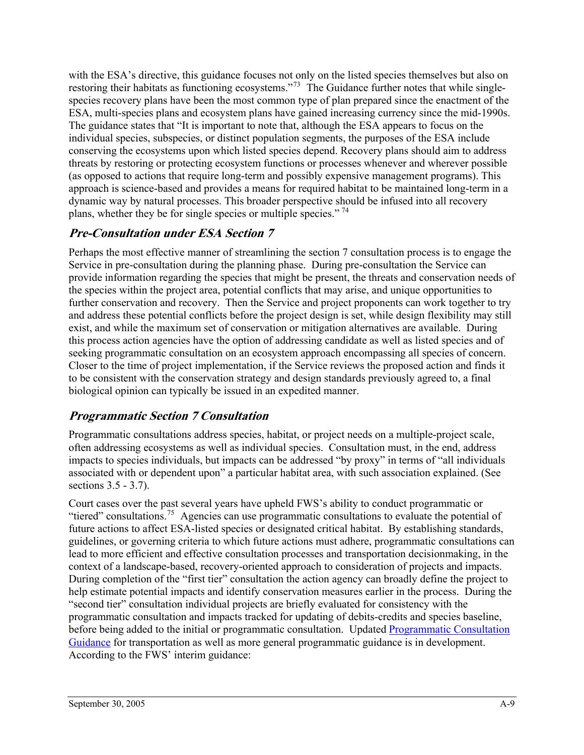with the ESA's directive, this guidance focuses not only on the listed species themselves but also on restoring their habitats as functioning ecosystems."<sup>[73](#page-83-2)</sup> The Guidance further notes that while singlespecies recovery plans have been the most common type of plan prepared since the enactment of the ESA, multi-species plans and ecosystem plans have gained increasing currency since the mid-1990s. The guidance states that "It is important to note that, although the ESA appears to focus on the individual species, subspecies, or distinct population segments, the purposes of the ESA include conserving the ecosystems upon which listed species depend. Recovery plans should aim to address threats by restoring or protecting ecosystem functions or processes whenever and wherever possible (as opposed to actions that require long-term and possibly expensive management programs). This approach is science-based and provides a means for required habitat to be maintained long-term in a dynamic way by natural processes. This broader perspective should be infused into all recovery plans, whether they be for single species or multiple species." [74](#page-83-2)

### **Pre-Consultation under ESA Section 7**

Perhaps the most effective manner of streamlining the section 7 consultation process is to engage the Service in pre-consultation during the planning phase. During pre-consultation the Service can provide information regarding the species that might be present, the threats and conservation needs of the species within the project area, potential conflicts that may arise, and unique opportunities to further conservation and recovery. Then the Service and project proponents can work together to try and address these potential conflicts before the project design is set, while design flexibility may still exist, and while the maximum set of conservation or mitigation alternatives are available. During this process action agencies have the option of addressing candidate as well as listed species and of seeking programmatic consultation on an ecosystem approach encompassing all species of concern. Closer to the time of project implementation, if the Service reviews the proposed action and finds it to be consistent with the conservation strategy and design standards previously agreed to, a final biological opinion can typically be issued in an expedited manner.

## **Programmatic Section 7 Consultation**

Programmatic consultations address species, habitat, or project needs on a multiple-project scale, often addressing ecosystems as well as individual species. Consultation must, in the end, address impacts to species individuals, but impacts can be addressed "by proxy" in terms of "all individuals associated with or dependent upon" a particular habitat area, with such association explained. (See sections 3.5 - 3.7).

Court cases over the past several years have upheld FWS's ability to conduct programmatic or "tiered" consultations.[75](#page-83-2) Agencies can use programmatic consultations to evaluate the potential of future actions to affect ESA-listed species or designated critical habitat. By establishing standards, guidelines, or governing criteria to which future actions must adhere, programmatic consultations can lead to more efficient and effective consultation processes and transportation decisionmaking, in the context of a landscape-based, recovery-oriented approach to consideration of projects and impacts. During completion of the "first tier" consultation the action agency can broadly define the project to help estimate potential impacts and identify conservation measures earlier in the process. During the "second tier" consultation individual projects are briefly evaluated for consistency with the programmatic consultation and impacts tracked for updating of debits-credits and species baseline, before being added to the initial or programmatic consultation. Updated [Programmatic Consultation](http://www.fws.gov/endangered/consultations/DOT-guidance.html)  [Guidance](http://www.fws.gov/endangered/consultations/DOT-guidance.html) for transportation as well as more general programmatic guidance is in development. According to the FWS' interim guidance: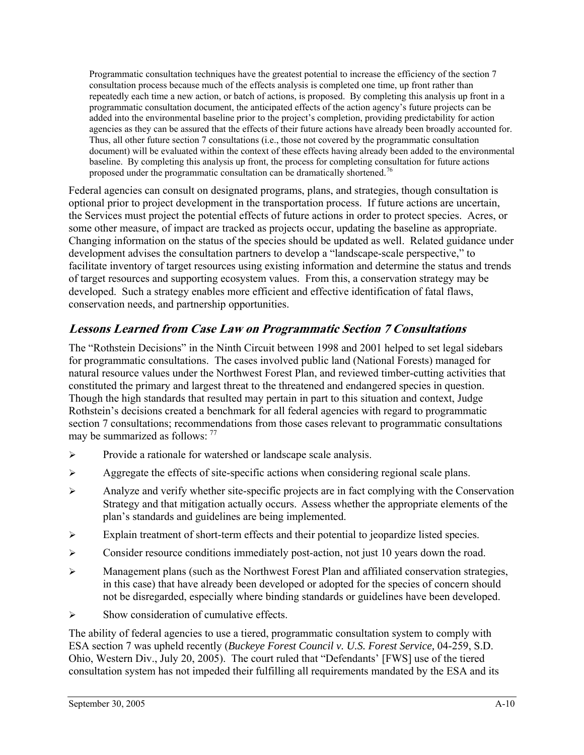Programmatic consultation techniques have the greatest potential to increase the efficiency of the section 7 consultation process because much of the effects analysis is completed one time, up front rather than repeatedly each time a new action, or batch of actions, is proposed. By completing this analysis up front in a programmatic consultation document, the anticipated effects of the action agency's future projects can be added into the environmental baseline prior to the project's completion, providing predictability for action agencies as they can be assured that the effects of their future actions have already been broadly accounted for. Thus, all other future section 7 consultations (i.e., those not covered by the programmatic consultation document) will be evaluated within the context of these effects having already been added to the environmental baseline. By completing this analysis up front, the process for completing consultation for future actions proposed under the programmatic consultation can be dramatically shortened.<sup>[76](#page-83-2)</sup>

Federal agencies can consult on designated programs, plans, and strategies, though consultation is optional prior to project development in the transportation process. If future actions are uncertain, the Services must project the potential effects of future actions in order to protect species. Acres, or some other measure, of impact are tracked as projects occur, updating the baseline as appropriate. Changing information on the status of the species should be updated as well. Related guidance under development advises the consultation partners to develop a "landscape-scale perspective," to facilitate inventory of target resources using existing information and determine the status and trends of target resources and supporting ecosystem values. From this, a conservation strategy may be developed. Such a strategy enables more efficient and effective identification of fatal flaws, conservation needs, and partnership opportunities.

### **Lessons Learned from Case Law on Programmatic Section 7 Consultations**

The "Rothstein Decisions" in the Ninth Circuit between 1998 and 2001 helped to set legal sidebars for programmatic consultations. The cases involved public land (National Forests) managed for natural resource values under the Northwest Forest Plan, and reviewed timber-cutting activities that constituted the primary and largest threat to the threatened and endangered species in question. Though the high standards that resulted may pertain in part to this situation and context, Judge Rothstein's decisions created a benchmark for all federal agencies with regard to programmatic section 7 consultations; recommendations from those cases relevant to programmatic consultations may be summarized as follows: [77](#page-83-2)

- ¾ Provide a rationale for watershed or landscape scale analysis.
- $\triangleright$  Aggregate the effects of site-specific actions when considering regional scale plans.
- $\triangleright$  Analyze and verify whether site-specific projects are in fact complying with the Conservation Strategy and that mitigation actually occurs. Assess whether the appropriate elements of the plan's standards and guidelines are being implemented.
- ¾ Explain treatment of short-term effects and their potential to jeopardize listed species.
- $\triangleright$  Consider resource conditions immediately post-action, not just 10 years down the road.
- $\triangleright$  Management plans (such as the Northwest Forest Plan and affiliated conservation strategies, in this case) that have already been developed or adopted for the species of concern should not be disregarded, especially where binding standards or guidelines have been developed.
- $\triangleright$  Show consideration of cumulative effects.

The ability of federal agencies to use a tiered, programmatic consultation system to comply with ESA section 7 was upheld recently (*Buckeye Forest Council v. U.S. Forest Service,* 04-259, S.D. Ohio, Western Div., July 20, 2005). The court ruled that "Defendants' [FWS] use of the tiered consultation system has not impeded their fulfilling all requirements mandated by the ESA and its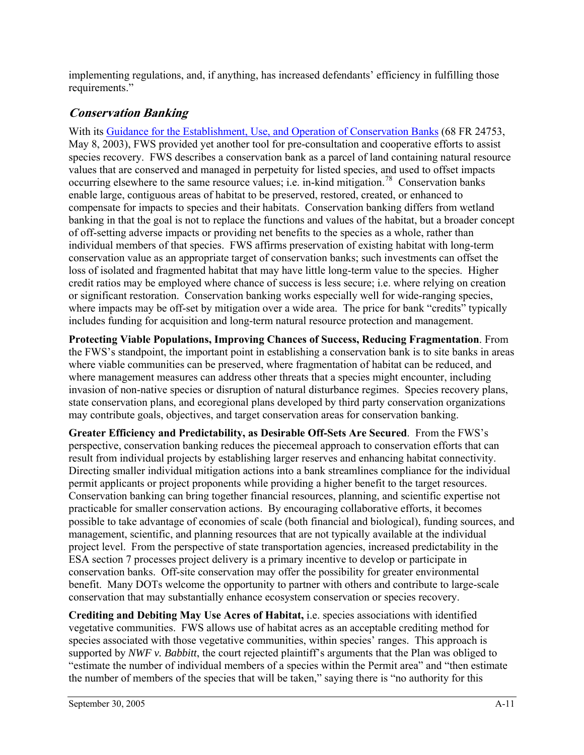implementing regulations, and, if anything, has increased defendants' efficiency in fulfilling those requirements."

### **Conservation Banking**

With its [Guidance for the Establishment, Use, and Operation of Conservation Banks](http://endangered.fws.gov/policies/conservation-banking.pdf) (68 FR 24753, May 8, 2003), FWS provided yet another tool for pre-consultation and cooperative efforts to assist species recovery. FWS describes a conservation bank as a parcel of land containing natural resource values that are conserved and managed in perpetuity for listed species, and used to offset impacts occurring elsewhere to the same resource values; i.e. in-kind mitigation.<sup>[78](#page-83-2)</sup> Conservation banks enable large, contiguous areas of habitat to be preserved, restored, created, or enhanced to compensate for impacts to species and their habitats. Conservation banking differs from wetland banking in that the goal is not to replace the functions and values of the habitat, but a broader concept of off-setting adverse impacts or providing net benefits to the species as a whole, rather than individual members of that species. FWS affirms preservation of existing habitat with long-term conservation value as an appropriate target of conservation banks; such investments can offset the loss of isolated and fragmented habitat that may have little long-term value to the species. Higher credit ratios may be employed where chance of success is less secure; i.e. where relying on creation or significant restoration. Conservation banking works especially well for wide-ranging species, where impacts may be off-set by mitigation over a wide area. The price for bank "credits" typically includes funding for acquisition and long-term natural resource protection and management.

**Protecting Viable Populations, Improving Chances of Success, Reducing Fragmentation**. From the FWS's standpoint, the important point in establishing a conservation bank is to site banks in areas where viable communities can be preserved, where fragmentation of habitat can be reduced, and where management measures can address other threats that a species might encounter, including invasion of non-native species or disruption of natural disturbance regimes. Species recovery plans, state conservation plans, and ecoregional plans developed by third party conservation organizations may contribute goals, objectives, and target conservation areas for conservation banking.

**Greater Efficiency and Predictability, as Desirable Off-Sets Are Secured**. From the FWS's perspective, conservation banking reduces the piecemeal approach to conservation efforts that can result from individual projects by establishing larger reserves and enhancing habitat connectivity. Directing smaller individual mitigation actions into a bank streamlines compliance for the individual permit applicants or project proponents while providing a higher benefit to the target resources. Conservation banking can bring together financial resources, planning, and scientific expertise not practicable for smaller conservation actions. By encouraging collaborative efforts, it becomes possible to take advantage of economies of scale (both financial and biological), funding sources, and management, scientific, and planning resources that are not typically available at the individual project level. From the perspective of state transportation agencies, increased predictability in the ESA section 7 processes project delivery is a primary incentive to develop or participate in conservation banks. Off-site conservation may offer the possibility for greater environmental benefit. Many DOTs welcome the opportunity to partner with others and contribute to large-scale conservation that may substantially enhance ecosystem conservation or species recovery.

**Crediting and Debiting May Use Acres of Habitat,** i.e. species associations with identified vegetative communities. FWS allows use of habitat acres as an acceptable crediting method for species associated with those vegetative communities, within species' ranges. This approach is supported by *NWF v. Babbitt*, the court rejected plaintiff's arguments that the Plan was obliged to "estimate the number of individual members of a species within the Permit area" and "then estimate the number of members of the species that will be taken," saying there is "no authority for this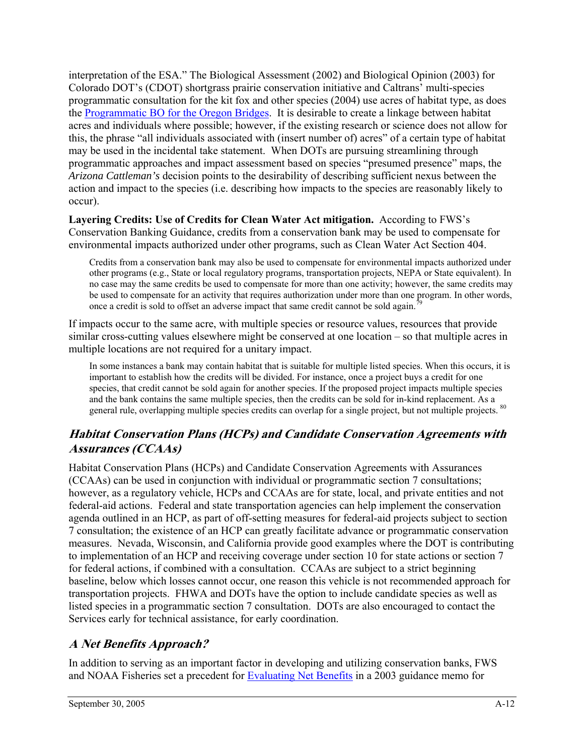interpretation of the ESA." The Biological Assessment (2002) and Biological Opinion (2003) for Colorado DOT's (CDOT) shortgrass prairie conservation initiative and Caltrans' multi-species programmatic consultation for the kit fox and other species (2004) use acres of habitat type, as does the [Programmatic BO for the Oregon Bridges](http://www.odotbridgesee.org/media/biological_opinion.pdf). It is desirable to create a linkage between habitat acres and individuals where possible; however, if the existing research or science does not allow for this, the phrase "all individuals associated with (insert number of) acres" of a certain type of habitat may be used in the incidental take statement. When DOTs are pursuing streamlining through programmatic approaches and impact assessment based on species "presumed presence" maps, the *Arizona Cattleman's* decision points to the desirability of describing sufficient nexus between the action and impact to the species (i.e. describing how impacts to the species are reasonably likely to occur).

**Layering Credits: Use of Credits for Clean Water Act mitigation.** According to FWS's Conservation Banking Guidance, credits from a conservation bank may be used to compensate for environmental impacts authorized under other programs, such as Clean Water Act Section 404.

Credits from a conservation bank may also be used to compensate for environmental impacts authorized under other programs (e.g., State or local regulatory programs, transportation projects, NEPA or State equivalent). In no case may the same credits be used to compensate for more than one activity; however, the same credits may be used to compensate for an activity that requires authorization under more than one program. In other words, once a credit is sold to offset an adverse impact that same credit cannot be sold again.<sup>7</sup>

If impacts occur to the same acre, with multiple species or resource values, resources that provide similar cross-cutting values elsewhere might be conserved at one location – so that multiple acres in multiple locations are not required for a unitary impact.

In some instances a bank may contain habitat that is suitable for multiple listed species. When this occurs, it is important to establish how the credits will be divided. For instance, once a project buys a credit for one species, that credit cannot be sold again for another species. If the proposed project impacts multiple species and the bank contains the same multiple species, then the credits can be sold for in-kind replacement. As a general rule, overlapping multiple species credits can overlap for a single project, but not multiple projects. <sup>[80](#page-83-0)</sup>

## **Habitat Conservation Plans (HCPs) and Candidate Conservation Agreements with Assurances (CCAAs)**

Habitat Conservation Plans (HCPs) and Candidate Conservation Agreements with Assurances (CCAAs) can be used in conjunction with individual or programmatic section 7 consultations; however, as a regulatory vehicle, HCPs and CCAAs are for state, local, and private entities and not federal-aid actions. Federal and state transportation agencies can help implement the conservation agenda outlined in an HCP, as part of off-setting measures for federal-aid projects subject to section 7 consultation; the existence of an HCP can greatly facilitate advance or programmatic conservation measures. Nevada, Wisconsin, and California provide good examples where the DOT is contributing to implementation of an HCP and receiving coverage under section 10 for state actions or section 7 for federal actions, if combined with a consultation. CCAAs are subject to a strict beginning baseline, below which losses cannot occur, one reason this vehicle is not recommended approach for transportation projects. FHWA and DOTs have the option to include candidate species as well as listed species in a programmatic section 7 consultation. DOTs are also encouraged to contact the Services early for technical assistance, for early coordination.

## **A Net Benefits Approach?**

In addition to serving as an important factor in developing and utilizing conservation banks, FWS and NOAA Fisheries set a precedent for [Evaluating Net Benefits](http://www.fws.gov/endangered/consultations/healthy_forest.pdf) in a 2003 guidance memo for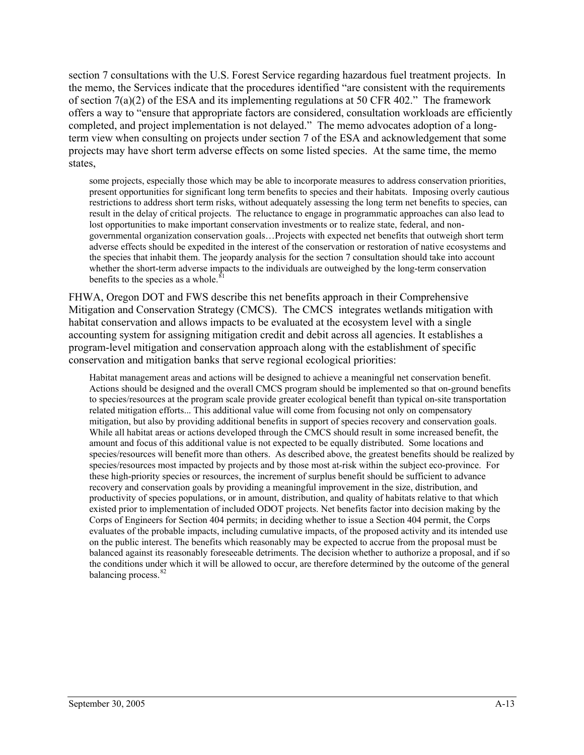section 7 consultations with the U.S. Forest Service regarding hazardous fuel treatment projects. In the memo, the Services indicate that the procedures identified "are consistent with the requirements of section 7(a)(2) of the ESA and its implementing regulations at 50 CFR 402." The framework offers a way to "ensure that appropriate factors are considered, consultation workloads are efficiently completed, and project implementation is not delayed." The memo advocates adoption of a longterm view when consulting on projects under section 7 of the ESA and acknowledgement that some projects may have short term adverse effects on some listed species. At the same time, the memo states,

some projects, especially those which may be able to incorporate measures to address conservation priorities, present opportunities for significant long term benefits to species and their habitats. Imposing overly cautious restrictions to address short term risks, without adequately assessing the long term net benefits to species, can result in the delay of critical projects. The reluctance to engage in programmatic approaches can also lead to lost opportunities to make important conservation investments or to realize state, federal, and nongovernmental organization conservation goals…Projects with expected net benefits that outweigh short term adverse effects should be expedited in the interest of the conservation or restoration of native ecosystems and the species that inhabit them. The jeopardy analysis for the section 7 consultation should take into account whether the short-term adverse impacts to the individuals are outweighed by the long-term conservation benefits to the species as a whole.<sup>8</sup>

FHWA, Oregon DOT and FWS describe this net benefits approach in their Comprehensive Mitigation and Conservation Strategy (CMCS). The CMCS integrates wetlands mitigation with habitat conservation and allows impacts to be evaluated at the ecosystem level with a single accounting system for assigning mitigation credit and debit across all agencies. It establishes a program-level mitigation and conservation approach along with the establishment of specific conservation and mitigation banks that serve regional ecological priorities:

Habitat management areas and actions will be designed to achieve a meaningful net conservation benefit. Actions should be designed and the overall CMCS program should be implemented so that on-ground benefits to species/resources at the program scale provide greater ecological benefit than typical on-site transportation related mitigation efforts... This additional value will come from focusing not only on compensatory mitigation, but also by providing additional benefits in support of species recovery and conservation goals. While all habitat areas or actions developed through the CMCS should result in some increased benefit, the amount and focus of this additional value is not expected to be equally distributed. Some locations and species/resources will benefit more than others. As described above, the greatest benefits should be realized by species/resources most impacted by projects and by those most at-risk within the subject eco-province. For these high-priority species or resources, the increment of surplus benefit should be sufficient to advance recovery and conservation goals by providing a meaningful improvement in the size, distribution, and productivity of species populations, or in amount, distribution, and quality of habitats relative to that which existed prior to implementation of included ODOT projects. Net benefits factor into decision making by the Corps of Engineers for Section 404 permits; in deciding whether to issue a Section 404 permit, the Corps evaluates of the probable impacts, including cumulative impacts, of the proposed activity and its intended use on the public interest. The benefits which reasonably may be expected to accrue from the proposal must be balanced against its reasonably foreseeable detriments. The decision whether to authorize a proposal, and if so the conditions under which it will be allowed to occur, are therefore determined by the outcome of the general balancing process.<sup>[82](#page-83-0)</sup>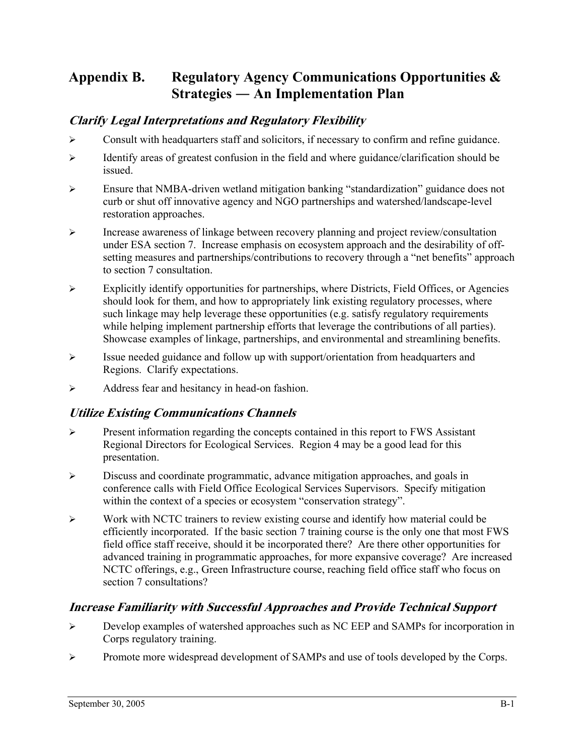# **Appendix B. Regulatory Agency Communications Opportunities & Strategies ― An Implementation Plan**

## **Clarify Legal Interpretations and Regulatory Flexibility**

- $\triangleright$  Consult with headquarters staff and solicitors, if necessary to confirm and refine guidance.
- ¾ Identify areas of greatest confusion in the field and where guidance/clarification should be issued.
- ¾ Ensure that NMBA-driven wetland mitigation banking "standardization" guidance does not curb or shut off innovative agency and NGO partnerships and watershed/landscape-level restoration approaches.
- $\triangleright$  Increase awareness of linkage between recovery planning and project review/consultation under ESA section 7. Increase emphasis on ecosystem approach and the desirability of offsetting measures and partnerships/contributions to recovery through a "net benefits" approach to section 7 consultation.
- $\triangleright$  Explicitly identify opportunities for partnerships, where Districts, Field Offices, or Agencies should look for them, and how to appropriately link existing regulatory processes, where such linkage may help leverage these opportunities (e.g. satisfy regulatory requirements while helping implement partnership efforts that leverage the contributions of all parties). Showcase examples of linkage, partnerships, and environmental and streamlining benefits.
- ¾ Issue needed guidance and follow up with support/orientation from headquarters and Regions. Clarify expectations.
- ¾ Address fear and hesitancy in head-on fashion.

## **Utilize Existing Communications Channels**

- $\triangleright$  Present information regarding the concepts contained in this report to FWS Assistant Regional Directors for Ecological Services. Region 4 may be a good lead for this presentation.
- ¾ Discuss and coordinate programmatic, advance mitigation approaches, and goals in conference calls with Field Office Ecological Services Supervisors. Specify mitigation within the context of a species or ecosystem "conservation strategy".
- ¾ Work with NCTC trainers to review existing course and identify how material could be efficiently incorporated. If the basic section 7 training course is the only one that most FWS field office staff receive, should it be incorporated there? Are there other opportunities for advanced training in programmatic approaches, for more expansive coverage? Are increased NCTC offerings, e.g., Green Infrastructure course, reaching field office staff who focus on section 7 consultations?

## **Increase Familiarity with Successful Approaches and Provide Technical Support**

- ¾ Develop examples of watershed approaches such as NC EEP and SAMPs for incorporation in Corps regulatory training.
- ¾ Promote more widespread development of SAMPs and use of tools developed by the Corps.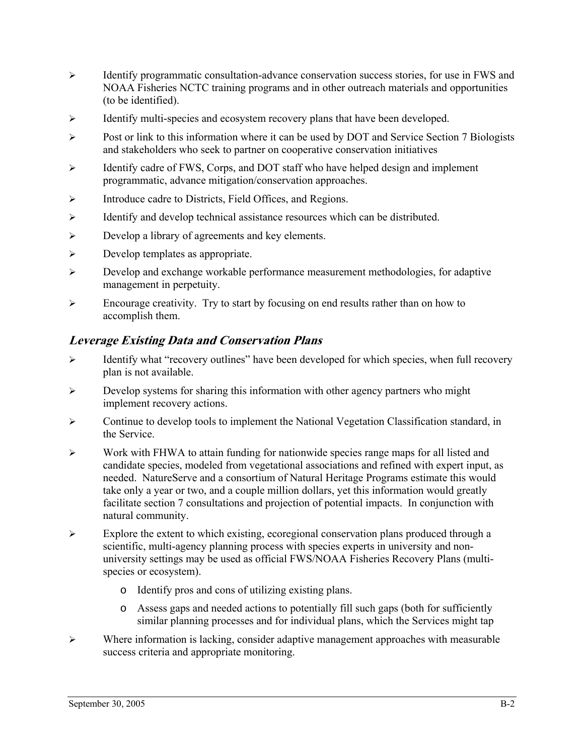- $\triangleright$  Identify programmatic consultation-advance conservation success stories, for use in FWS and NOAA Fisheries NCTC training programs and in other outreach materials and opportunities (to be identified).
- $\triangleright$  Identify multi-species and ecosystem recovery plans that have been developed.
- ¾ Post or link to this information where it can be used by DOT and Service Section 7 Biologists and stakeholders who seek to partner on cooperative conservation initiatives
- ¾ Identify cadre of FWS, Corps, and DOT staff who have helped design and implement programmatic, advance mitigation/conservation approaches.
- ¾ Introduce cadre to Districts, Field Offices, and Regions.
- $\triangleright$  Identify and develop technical assistance resources which can be distributed.
- ¾ Develop a library of agreements and key elements.
- $\triangleright$  Develop templates as appropriate.
- ¾ Develop and exchange workable performance measurement methodologies, for adaptive management in perpetuity.
- ¾ Encourage creativity. Try to start by focusing on end results rather than on how to accomplish them.

### **Leverage Existing Data and Conservation Plans**

- $\triangleright$  Identify what "recovery outlines" have been developed for which species, when full recovery plan is not available.
- $\triangleright$  Develop systems for sharing this information with other agency partners who might implement recovery actions.
- $\triangleright$  Continue to develop tools to implement the National Vegetation Classification standard, in the Service.
- $\triangleright$  Work with FHWA to attain funding for nationwide species range maps for all listed and candidate species, modeled from vegetational associations and refined with expert input, as needed. NatureServe and a consortium of Natural Heritage Programs estimate this would take only a year or two, and a couple million dollars, yet this information would greatly facilitate section 7 consultations and projection of potential impacts. In conjunction with natural community.
- ¾ Explore the extent to which existing, ecoregional conservation plans produced through a scientific, multi-agency planning process with species experts in university and nonuniversity settings may be used as official FWS/NOAA Fisheries Recovery Plans (multispecies or ecosystem).
	- o Identify pros and cons of utilizing existing plans.
	- o Assess gaps and needed actions to potentially fill such gaps (both for sufficiently similar planning processes and for individual plans, which the Services might tap
- ¾ Where information is lacking, consider adaptive management approaches with measurable success criteria and appropriate monitoring.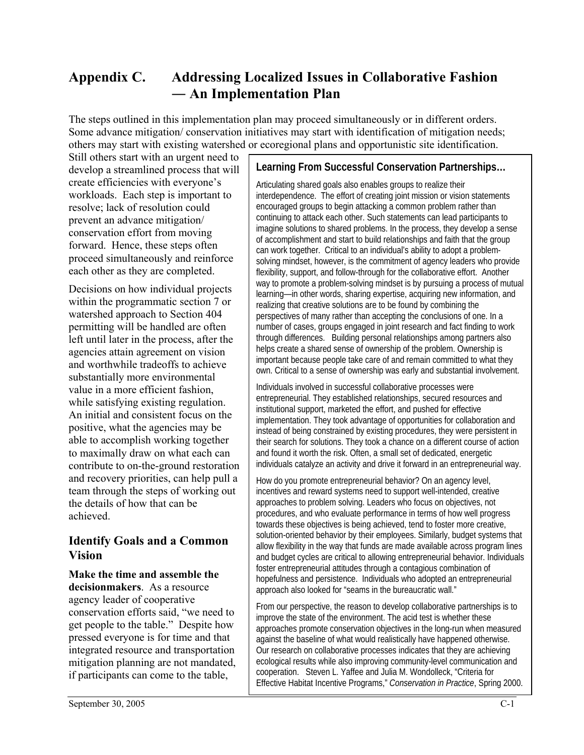# **Appendix C. Addressing Localized Issues in Collaborative Fashion ― An Implementation Plan**

The steps outlined in this implementation plan may proceed simultaneously or in different orders. Some advance mitigation/ conservation initiatives may start with identification of mitigation needs; others may start with existing watershed or ecoregional plans and opportunistic site identification.

Still others start with an urgent need to develop a streamlined process that will create efficiencies with everyone's workloads. Each step is important to resolve; lack of resolution could prevent an advance mitigation/ conservation effort from moving forward. Hence, these steps often proceed simultaneously and reinforce each other as they are completed.

Decisions on how individual projects within the programmatic section 7 or watershed approach to Section 404 permitting will be handled are often left until later in the process, after the agencies attain agreement on vision and worthwhile tradeoffs to achieve substantially more environmental value in a more efficient fashion, while satisfying existing regulation. An initial and consistent focus on the positive, what the agencies may be able to accomplish working together to maximally draw on what each can contribute to on-the-ground restoration and recovery priorities, can help pull a team through the steps of working out the details of how that can be achieved.

### **Identify Goals and a Common Vision**

#### **Make the time and assemble the decisionmakers**. As a resource agency leader of cooperative conservation efforts said, "we need to get people to the table." Despite how pressed everyone is for time and that integrated resource and transportation mitigation planning are not mandated, if participants can come to the table,

### **Learning From Successful Conservation Partnerships…**

Articulating shared goals also enables groups to realize their interdependence. The effort of creating joint mission or vision statements encouraged groups to begin attacking a common problem rather than continuing to attack each other. Such statements can lead participants to imagine solutions to shared problems. In the process, they develop a sense of accomplishment and start to build relationships and faith that the group can work together. Critical to an individual's ability to adopt a problemsolving mindset, however, is the commitment of agency leaders who provide flexibility, support, and follow-through for the collaborative effort. Another way to promote a problem-solving mindset is by pursuing a process of mutual learning—in other words, sharing expertise, acquiring new information, and realizing that creative solutions are to be found by combining the perspectives of many rather than accepting the conclusions of one. In a number of cases, groups engaged in joint research and fact finding to work through differences. Building personal relationships among partners also helps create a shared sense of ownership of the problem. Ownership is important because people take care of and remain committed to what they own. Critical to a sense of ownership was early and substantial involvement.

Individuals involved in successful collaborative processes were entrepreneurial. They established relationships, secured resources and institutional support, marketed the effort, and pushed for effective implementation. They took advantage of opportunities for collaboration and instead of being constrained by existing procedures, they were persistent in their search for solutions. They took a chance on a different course of action and found it worth the risk. Often, a small set of dedicated, energetic individuals catalyze an activity and drive it forward in an entrepreneurial way.

How do you promote entrepreneurial behavior? On an agency level, incentives and reward systems need to support well-intended, creative approaches to problem solving. Leaders who focus on objectives, not procedures, and who evaluate performance in terms of how well progress towards these objectives is being achieved, tend to foster more creative, solution-oriented behavior by their employees. Similarly, budget systems that allow flexibility in the way that funds are made available across program lines and budget cycles are critical to allowing entrepreneurial behavior. Individuals foster entrepreneurial attitudes through a contagious combination of hopefulness and persistence. Individuals who adopted an entrepreneurial approach also looked for "seams in the bureaucratic wall."

From our perspective, the reason to develop collaborative partnerships is to improve the state of the environment. The acid test is whether these approaches promote conservation objectives in the long-run when measured against the baseline of what would realistically have happened otherwise. Our research on collaborative processes indicates that they are achieving ecological results while also improving community-level communication and cooperation. Steven L. Yaffee and Julia M. Wondolleck, "Criteria for Effective Habitat Incentive Programs," *Conservation in Practice*, Spring 2000.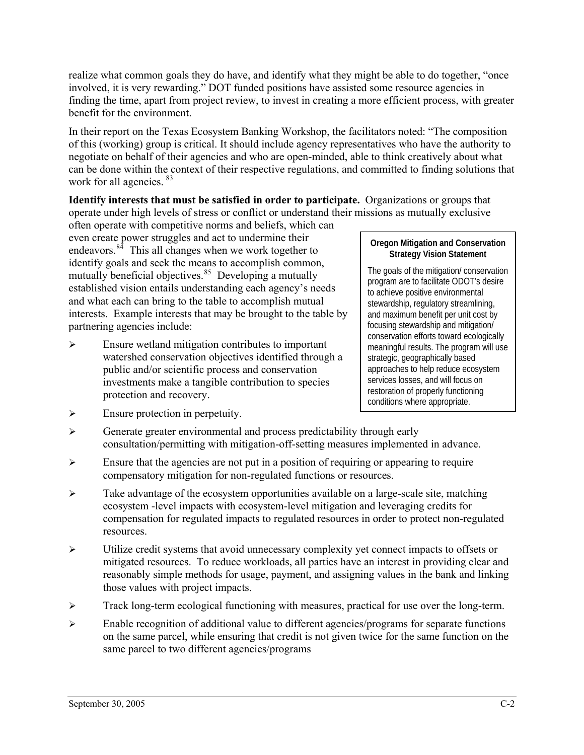realize what common goals they do have, and identify what they might be able to do together, "once involved, it is very rewarding." DOT funded positions have assisted some resource agencies in finding the time, apart from project review, to invest in creating a more efficient process, with greater benefit for the environment.

In their report on the Texas Ecosystem Banking Workshop, the facilitators noted: "The composition of this (working) group is critical. It should include agency representatives who have the authority to negotiate on behalf of their agencies and who are open-minded, able to think creatively about what can be done within the context of their respective regulations, and committed to finding solutions that work for all agencies. <sup>[83](#page-83-0)</sup>

**Identify interests that must be satisfied in order to participate.** Organizations or groups that operate under high levels of stress or conflict or understand their missions as mutually exclusive

often operate with competitive norms and beliefs, which can even create power struggles and act to undermine their endeavors. $84$  This all changes when we work together to identify goals and seek the means to accomplish common, mutually beneficial objectives. $85$  Developing a mutually established vision entails understanding each agency's needs and what each can bring to the table to accomplish mutual interests. Example interests that may be brought to the table by partnering agencies include:

 $\triangleright$  Ensure wetland mitigation contributes to important watershed conservation objectives identified through a public and/or scientific process and conservation investments make a tangible contribution to species protection and recovery.

#### **Oregon Mitigation and Conservation Strategy Vision Statement**

The goals of the mitigation/ conservation program are to facilitate ODOT's desire to achieve positive environmental stewardship, regulatory streamlining, and maximum benefit per unit cost by focusing stewardship and mitigation/ conservation efforts toward ecologically meaningful results. The program will use strategic, geographically based approaches to help reduce ecosystem services losses, and will focus on restoration of properly functioning conditions where appropriate.

- $\triangleright$  Ensure protection in perpetuity.
- ¾ Generate greater environmental and process predictability through early consultation/permitting with mitigation-off-setting measures implemented in advance.
- $\triangleright$  Ensure that the agencies are not put in a position of requiring or appearing to require compensatory mitigation for non-regulated functions or resources.
- $\triangleright$  Take advantage of the ecosystem opportunities available on a large-scale site, matching ecosystem -level impacts with ecosystem-level mitigation and leveraging credits for compensation for regulated impacts to regulated resources in order to protect non-regulated resources.
- ¾ Utilize credit systems that avoid unnecessary complexity yet connect impacts to offsets or mitigated resources. To reduce workloads, all parties have an interest in providing clear and reasonably simple methods for usage, payment, and assigning values in the bank and linking those values with project impacts.
- $\triangleright$  Track long-term ecological functioning with measures, practical for use over the long-term.
- $\triangleright$  Enable recognition of additional value to different agencies/programs for separate functions on the same parcel, while ensuring that credit is not given twice for the same function on the same parcel to two different agencies/programs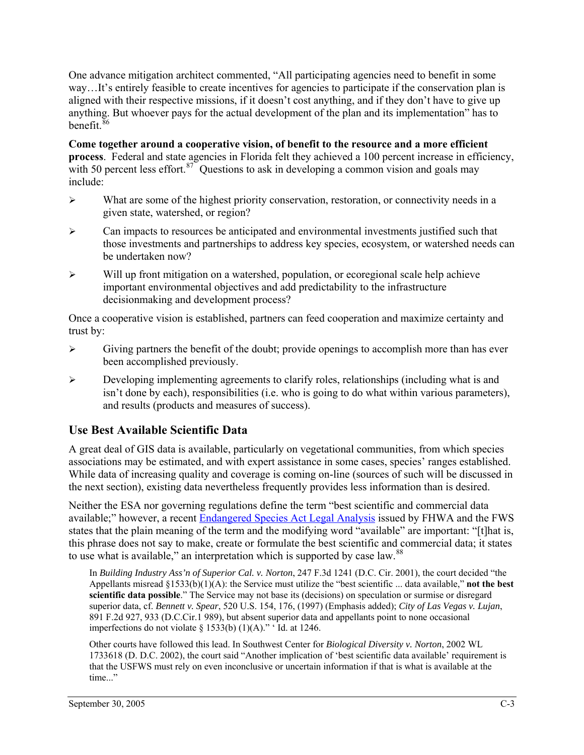One advance mitigation architect commented, "All participating agencies need to benefit in some way…It's entirely feasible to create incentives for agencies to participate if the conservation plan is aligned with their respective missions, if it doesn't cost anything, and if they don't have to give up anything. But whoever pays for the actual development of the plan and its implementation" has to benefit.<sup>[86](#page-83-0)</sup>

**Come together around a cooperative vision, of benefit to the resource and a more efficient process**. Federal and state agencies in Florida felt they achieved a 100 percent increase in efficiency, with 50 percent less effort.<sup>[87](#page-83-0)</sup> Questions to ask in developing a common vision and goals may include:

- $\triangleright$  What are some of the highest priority conservation, restoration, or connectivity needs in a given state, watershed, or region?
- ¾ Can impacts to resources be anticipated and environmental investments justified such that those investments and partnerships to address key species, ecosystem, or watershed needs can be undertaken now?
- $\triangleright$  Will up front mitigation on a watershed, population, or ecoregional scale help achieve important environmental objectives and add predictability to the infrastructure decisionmaking and development process?

Once a cooperative vision is established, partners can feed cooperation and maximize certainty and trust by:

- $\triangleright$  Giving partners the benefit of the doubt; provide openings to accomplish more than has ever been accomplished previously.
- $\triangleright$  Developing implementing agreements to clarify roles, relationships (including what is and isn't done by each), responsibilities (i.e. who is going to do what within various parameters), and results (products and measures of success).

## **Use Best Available Scientific Data**

A great deal of GIS data is available, particularly on vegetational communities, from which species associations may be estimated, and with expert assistance in some cases, species' ranges established. While data of increasing quality and coverage is coming on-line (sources of such will be discussed in the next section), existing data nevertheless frequently provides less information than is desired.

Neither the ESA nor governing regulations define the term "best scientific and commercial data available;" however, a recent [Endangered Species Act Legal Analysis](http://www.fhwa.dot.gov/environment/ecosystems/esalegalemail.htm) issued by FHWA and the FWS states that the plain meaning of the term and the modifying word "available" are important: "[t]hat is, this phrase does not say to make, create or formulate the best scientific and commercial data; it states to use what is available," an interpretation which is supported by case law.<sup>[88](#page-83-0)</sup>

In *Building Industry Ass'n of Superior Cal. v. Norton*, 247 F.3d 1241 (D.C. Cir. 2001), the court decided "the Appellants misread §1533(b)(1)(A): the Service must utilize the "best scientific ... data available," **not the best scientific data possible**." The Service may not base its (decisions) on speculation or surmise or disregard superior data, cf. *Bennett v. Spear*, 520 U.S. 154, 176, (1997) (Emphasis added); *City of Las Vegas v. Lujan*, 891 F.2d 927, 933 (D.C.Cir.1 989), but absent superior data and appellants point to none occasional imperfections do not violate  $\S$  1533(b) (1)(A)." 'Id. at 1246.

Other courts have followed this lead. In Southwest Center for *Biological Diversity v. Norton*, 2002 WL 1733618 (D. D.C. 2002), the court said "Another implication of 'best scientific data available' requirement is that the USFWS must rely on even inconclusive or uncertain information if that is what is available at the time..."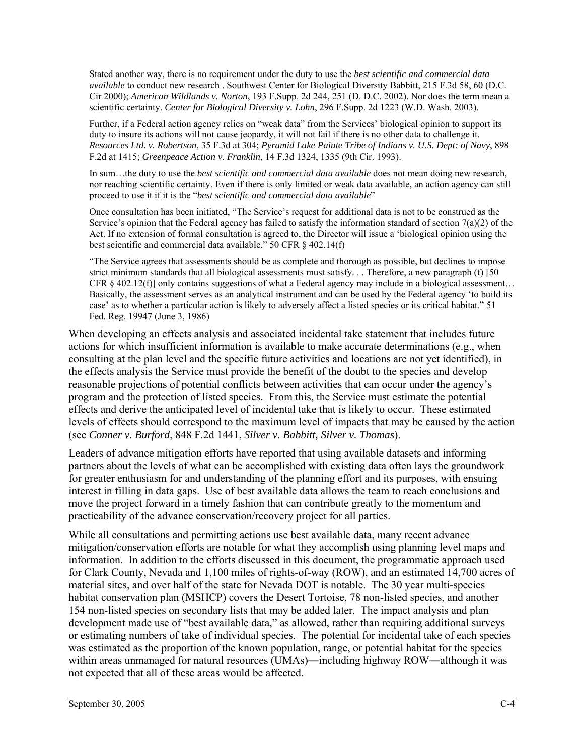Stated another way, there is no requirement under the duty to use the *best scientific and commercial data available* to conduct new research . Southwest Center for Biological Diversity Babbitt, 215 F.3d 58, 60 (D.C. Cir 2000); *American Wildlands v. Norton*, 193 F.Supp. 2d 244, 251 (D. D.C. 2002). Nor does the term mean a scientific certainty. *Center for Biological Diversity v. Lohn*, 296 F.Supp. 2d 1223 (W.D. Wash. 2003).

Further, if a Federal action agency relies on "weak data" from the Services' biological opinion to support its duty to insure its actions will not cause jeopardy, it will not fail if there is no other data to challenge it. *Resources Ltd. v. Robertson*, 35 F.3d at 304; *Pyramid Lake Paiute Tribe of Indians v. U.S. Dept: of Navy*, 898 F.2d at 1415; *Greenpeace Action v. Franklin*, 14 F.3d 1324, 1335 (9th Cir. 1993).

In sum…the duty to use the *best scientific and commercial data available* does not mean doing new research, nor reaching scientific certainty. Even if there is only limited or weak data available, an action agency can still proceed to use it if it is the "*best scientific and commercial data available*"

Once consultation has been initiated, "The Service's request for additional data is not to be construed as the Service's opinion that the Federal agency has failed to satisfy the information standard of section  $7(a)(2)$  of the Act. If no extension of formal consultation is agreed to, the Director will issue a 'biological opinion using the best scientific and commercial data available." 50 CFR § 402.14(f)

"The Service agrees that assessments should be as complete and thorough as possible, but declines to impose strict minimum standards that all biological assessments must satisfy. . . Therefore, a new paragraph (f) [50 CFR § 402.12(f)] only contains suggestions of what a Federal agency may include in a biological assessment… Basically, the assessment serves as an analytical instrument and can be used by the Federal agency 'to build its case' as to whether a particular action is likely to adversely affect a listed species or its critical habitat." 51 Fed. Reg. 19947 (June 3, 1986)

When developing an effects analysis and associated incidental take statement that includes future actions for which insufficient information is available to make accurate determinations (e.g., when consulting at the plan level and the specific future activities and locations are not yet identified), in the effects analysis the Service must provide the benefit of the doubt to the species and develop reasonable projections of potential conflicts between activities that can occur under the agency's program and the protection of listed species. From this, the Service must estimate the potential effects and derive the anticipated level of incidental take that is likely to occur. These estimated levels of effects should correspond to the maximum level of impacts that may be caused by the action (see *Conner v. Burford*, 848 F.2d 1441, *Silver v. Babbitt, Silver v. Thomas*).

Leaders of advance mitigation efforts have reported that using available datasets and informing partners about the levels of what can be accomplished with existing data often lays the groundwork for greater enthusiasm for and understanding of the planning effort and its purposes, with ensuing interest in filling in data gaps. Use of best available data allows the team to reach conclusions and move the project forward in a timely fashion that can contribute greatly to the momentum and practicability of the advance conservation/recovery project for all parties.

While all consultations and permitting actions use best available data, many recent advance mitigation/conservation efforts are notable for what they accomplish using planning level maps and information. In addition to the efforts discussed in this document, the programmatic approach used for Clark County, Nevada and 1,100 miles of rights-of-way (ROW), and an estimated 14,700 acres of material sites, and over half of the state for Nevada DOT is notable. The 30 year multi-species habitat conservation plan (MSHCP) covers the Desert Tortoise, 78 non-listed species, and another 154 non-listed species on secondary lists that may be added later. The impact analysis and plan development made use of "best available data," as allowed, rather than requiring additional surveys or estimating numbers of take of individual species. The potential for incidental take of each species was estimated as the proportion of the known population, range, or potential habitat for the species within areas unmanaged for natural resources (UMAs)—including highway ROW—although it was not expected that all of these areas would be affected.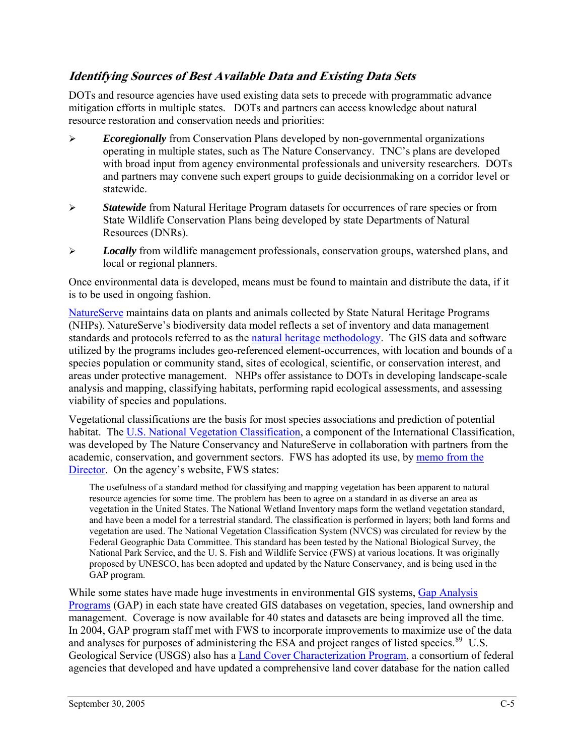## **Identifying Sources of Best Available Data and Existing Data Sets**

DOTs and resource agencies have used existing data sets to precede with programmatic advance mitigation efforts in multiple states. DOTs and partners can access knowledge about natural resource restoration and conservation needs and priorities:

- ¾ *Ecoregionally* from Conservation Plans developed by non-governmental organizations operating in multiple states, such as The Nature Conservancy. TNC's plans are developed with broad input from agency environmental professionals and university researchers. DOTs and partners may convene such expert groups to guide decisionmaking on a corridor level or statewide.
- ¾ *Statewide* from Natural Heritage Program datasets for occurrences of rare species or from State Wildlife Conservation Plans being developed by state Departments of Natural Resources (DNRs).
- ¾ *Locally* from wildlife management professionals, conservation groups, watershed plans, and local or regional planners.

Once environmental data is developed, means must be found to maintain and distribute the data, if it is to be used in ongoing fashion.

[NatureServe](http://www.natureserve.org/) maintains data on plants and animals collected by State Natural Heritage Programs (NHPs). NatureServe's biodiversity data model reflects a set of inventory and data management standards and protocols referred to as the [natural heritage methodology](http://www.natureserve.org/prodServices/heritagemethodology.jsp). The GIS data and software utilized by the programs includes geo-referenced element-occurrences, with location and bounds of a species population or community stand, sites of ecological, scientific, or conservation interest, and areas under protective management. NHPs offer assistance to DOTs in developing landscape-scale analysis and mapping, classifying habitats, performing rapid ecological assessments, and assessing viability of species and populations.

Vegetational classifications are the basis for most species associations and prediction of potential habitat. The [U.S. National Vegetation Classification](http://www.natureserve.org/library/seeingforest.pdf), a component of the International Classification, was developed by The Nature Conservancy and NatureServe in collaboration with partners from the academic, conservation, and government sectors. FWS has adopted its use, by [memo from the](http://www.fws.gov/data/dirfin.txt)  [Director](http://www.fws.gov/data/dirfin.txt). On the agency's website, FWS states:

The usefulness of a standard method for classifying and mapping vegetation has been apparent to natural resource agencies for some time. The problem has been to agree on a standard in as diverse an area as vegetation in the United States. The National Wetland Inventory maps form the wetland vegetation standard, and have been a model for a terrestrial standard. The classification is performed in layers; both land forms and vegetation are used. The National Vegetation Classification System (NVCS) was circulated for review by the Federal Geographic Data Committee. This standard has been tested by the National Biological Survey, the National Park Service, and the U. S. Fish and Wildlife Service (FWS) at various locations. It was originally proposed by UNESCO, has been adopted and updated by the Nature Conservancy, and is being used in the GAP program.

While some states have made huge investments in environmental GIS systems, Gap Analysis [Programs](http://www.gap.uidaho.edu/) (GAP) in each state have created GIS databases on vegetation, species, land ownership and management. Coverage is now available for 40 states and datasets are being improved all the time. In 2004, GAP program staff met with FWS to incorporate improvements to maximize use of the data and analyses for purposes of administering the ESA and project ranges of listed species.<sup>[89](#page-83-0)</sup> U.S. Geological Service (USGS) also has a [Land Cover Characterization Program](http://landcover.usgs.gov/index.asp), a consortium of federal agencies that developed and have updated a comprehensive land cover database for the nation called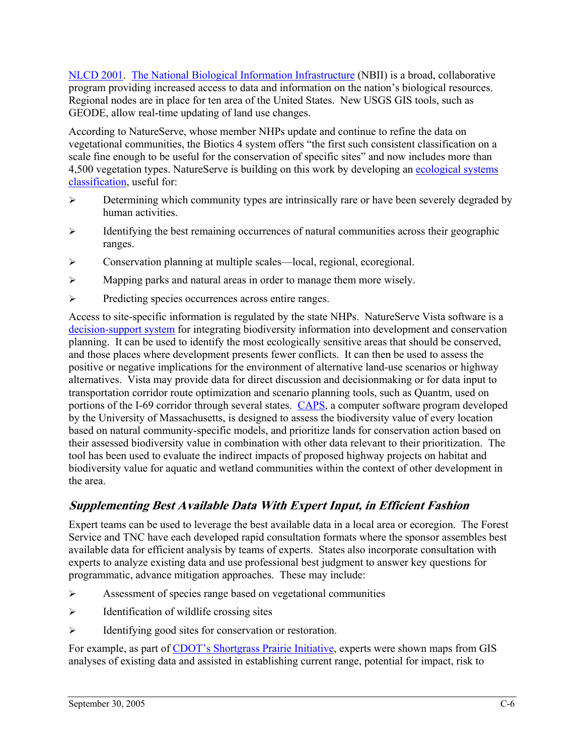[NLCD 2001](http://landcover.usgs.gov/natlandcover_2000.asp). [The National Biological Information Infrastructure](http://www.nbii.gov/) (NBII) is a broad, collaborative program providing increased access to data and information on the nation's biological resources. Regional nodes are in place for ten area of the United States. New USGS GIS tools, such as GEODE, allow real-time updating of land use changes.

According to NatureServe, whose member NHPs update and continue to refine the data on vegetational communities, the Biotics 4 system offers "the first such consistent classification on a scale fine enough to be useful for the conservation of specific sites" and now includes more than 4,500 vegetation types. NatureServe is building on this work by developing an ecological systems classification, useful for:

- $\triangleright$  Determining which community types are intrinsically rare or have been severely degraded by human activities.
- ¾ Identifying the best remaining occurrences of natural communities across their geographic ranges.
- ¾ Conservation planning at multiple scales—local, regional, ecoregional.
- $\triangleright$  Mapping parks and natural areas in order to manage them more wisely.
- ¾ Predicting species occurrences across entire ranges.

Access to site-specific information is regulated by the state NHPs. NatureServe Vista software is a [decision-support system](http://www.natureserve.org/prodServices/vista.jsp) for integrating biodiversity information into development and conservation planning. It can be used to identify the most ecologically sensitive areas that should be conserved, and those places where development presents fewer conflicts. It can then be used to assess the positive or negative implications for the environment of alternative land-use scenarios or highway alternatives. Vista may provide data for direct discussion and decisionmaking or for data input to transportation corridor route optimization and scenario planning tools, such as Quantm, used on portions of the I-69 corridor through several states. [CAPS,](http://www.umass.edu/landeco/research/caps/caps.html) a computer software program developed by the University of Massachusetts, is designed to assess the biodiversity value of every location based on natural community-specific models, and prioritize lands for conservation action based on their assessed biodiversity value in combination with other data relevant to their prioritization. The tool has been used to evaluate the indirect impacts of proposed highway projects on habitat and biodiversity value for aquatic and wetland communities within the context of other development in the area.

# **Supplementing Best Available Data With Expert Input, in Efficient Fashion**

Expert teams can be used to leverage the best available data in a local area or ecoregion. The Forest Service and TNC have each developed rapid consultation formats where the sponsor assembles best available data for efficient analysis by teams of experts. States also incorporate consultation with experts to analyze existing data and use professional best judgment to answer key questions for programmatic, advance mitigation approaches. These may include:

- ¾ Assessment of species range based on vegetational communities
- $\triangleright$  Identification of wildlife crossing sites
- ¾ Identifying good sites for conservation or restoration.

For example, as part of [CDOT's Shortgrass Prairie Initiative](http://environment.transportation.org/documents/stewardship/CO_Shortgrass_Prairie.htm), experts were shown maps from GIS analyses of existing data and assisted in establishing current range, potential for impact, risk to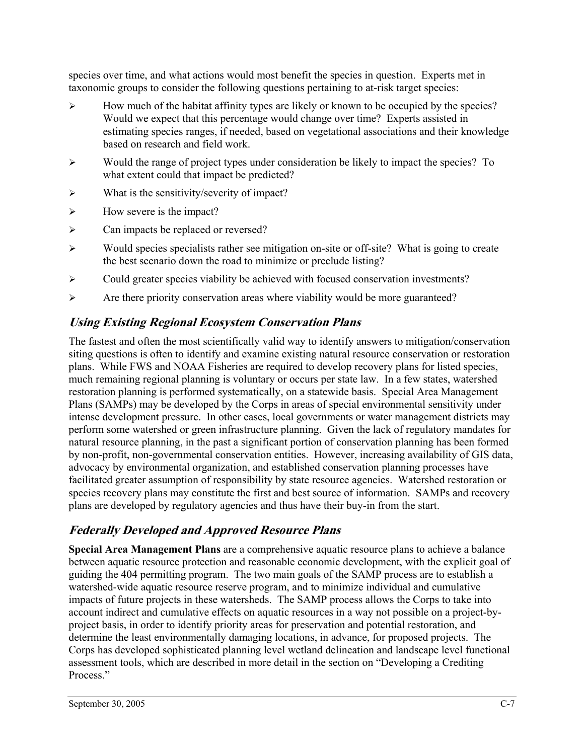species over time, and what actions would most benefit the species in question. Experts met in taxonomic groups to consider the following questions pertaining to at-risk target species:

- ¾ How much of the habitat affinity types are likely or known to be occupied by the species? Would we expect that this percentage would change over time? Experts assisted in estimating species ranges, if needed, based on vegetational associations and their knowledge based on research and field work.
- ¾ Would the range of project types under consideration be likely to impact the species? To what extent could that impact be predicted?
- $\triangleright$  What is the sensitivity/severity of impact?
- $\triangleright$  How severe is the impact?
- ¾ Can impacts be replaced or reversed?
- ¾ Would species specialists rather see mitigation on-site or off-site? What is going to create the best scenario down the road to minimize or preclude listing?
- $\triangleright$  Could greater species viability be achieved with focused conservation investments?
- ¾ Are there priority conservation areas where viability would be more guaranteed?

## **Using Existing Regional Ecosystem Conservation Plans**

The fastest and often the most scientifically valid way to identify answers to mitigation/conservation siting questions is often to identify and examine existing natural resource conservation or restoration plans. While FWS and NOAA Fisheries are required to develop recovery plans for listed species, much remaining regional planning is voluntary or occurs per state law. In a few states, watershed restoration planning is performed systematically, on a statewide basis. Special Area Management Plans (SAMPs) may be developed by the Corps in areas of special environmental sensitivity under intense development pressure. In other cases, local governments or water management districts may perform some watershed or green infrastructure planning. Given the lack of regulatory mandates for natural resource planning, in the past a significant portion of conservation planning has been formed by non-profit, non-governmental conservation entities. However, increasing availability of GIS data, advocacy by environmental organization, and established conservation planning processes have facilitated greater assumption of responsibility by state resource agencies. Watershed restoration or species recovery plans may constitute the first and best source of information. SAMPs and recovery plans are developed by regulatory agencies and thus have their buy-in from the start.

## **Federally Developed and Approved Resource Plans**

**Special Area Management Plans** are a comprehensive aquatic resource plans to achieve a balance between aquatic resource protection and reasonable economic development, with the explicit goal of guiding the 404 permitting program. The two main goals of the SAMP process are to establish a watershed-wide aquatic resource reserve program, and to minimize individual and cumulative impacts of future projects in these watersheds. The SAMP process allows the Corps to take into account indirect and cumulative effects on aquatic resources in a way not possible on a project-byproject basis, in order to identify priority areas for preservation and potential restoration, and determine the least environmentally damaging locations, in advance, for proposed projects. The Corps has developed sophisticated planning level wetland delineation and landscape level functional assessment tools, which are described in more detail in the section on "Developing a Crediting Process."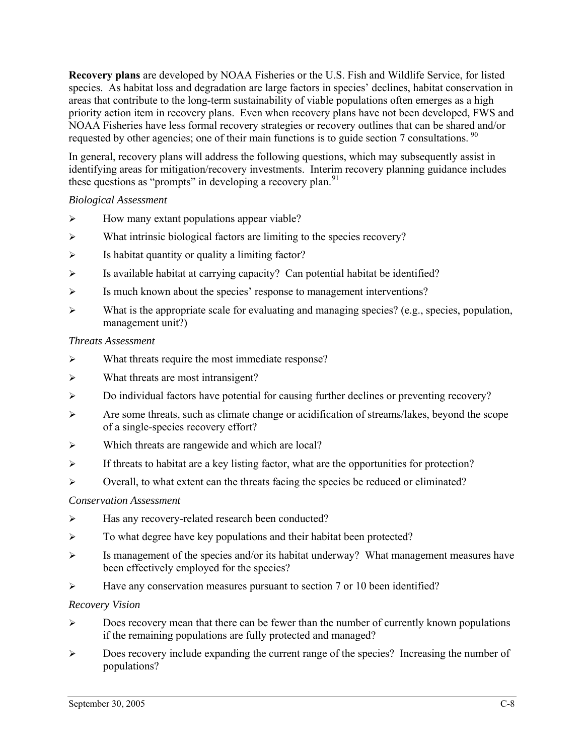**Recovery plans** are developed by NOAA Fisheries or the U.S. Fish and Wildlife Service, for listed species. As habitat loss and degradation are large factors in species' declines, habitat conservation in areas that contribute to the long-term sustainability of viable populations often emerges as a high priority action item in recovery plans. Even when recovery plans have not been developed, FWS and NOAA Fisheries have less formal recovery strategies or recovery outlines that can be shared and/or requested by other agencies; one of their main functions is to guide section 7 consultations.  $\frac{90}{90}$  $\frac{90}{90}$  $\frac{90}{90}$ 

In general, recovery plans will address the following questions, which may subsequently assist in identifying areas for mitigation/recovery investments. Interim recovery planning guidance includes these questions as "prompts" in developing a recovery plan.<sup>[91](#page-83-0)</sup>

#### *Biological Assessment*

- $\triangleright$  How many extant populations appear viable?
- $\triangleright$  What intrinsic biological factors are limiting to the species recovery?
- $\triangleright$  Is habitat quantity or quality a limiting factor?
- $\triangleright$  Is available habitat at carrying capacity? Can potential habitat be identified?
- ¾ Is much known about the species' response to management interventions?
- $\triangleright$  What is the appropriate scale for evaluating and managing species? (e.g., species, population, management unit?)

#### *Threats Assessment*

- ¾ What threats require the most immediate response?
- ¾ What threats are most intransigent?
- ¾ Do individual factors have potential for causing further declines or preventing recovery?
- ¾ Are some threats, such as climate change or acidification of streams/lakes, beyond the scope of a single-species recovery effort?
- ¾ Which threats are rangewide and which are local?
- $\triangleright$  If threats to habitat are a key listing factor, what are the opportunities for protection?
- ¾ Overall, to what extent can the threats facing the species be reduced or eliminated?

#### *Conservation Assessment*

- ¾ Has any recovery-related research been conducted?
- ¾ To what degree have key populations and their habitat been protected?
- ¾ Is management of the species and/or its habitat underway? What management measures have been effectively employed for the species?
- $\blacktriangleright$  Have any conservation measures pursuant to section 7 or 10 been identified?

#### *Recovery Vision*

- ¾ Does recovery mean that there can be fewer than the number of currently known populations if the remaining populations are fully protected and managed?
- ¾ Does recovery include expanding the current range of the species? Increasing the number of populations?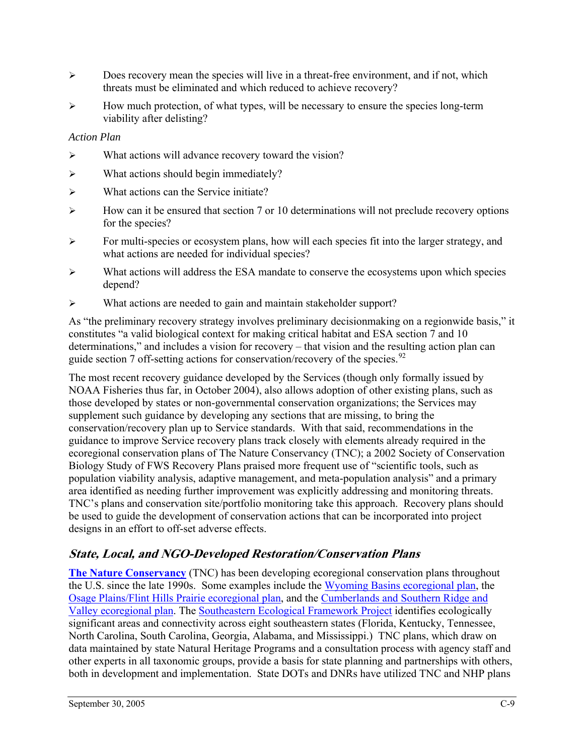- $\triangleright$  Does recovery mean the species will live in a threat-free environment, and if not, which threats must be eliminated and which reduced to achieve recovery?
- $\triangleright$  How much protection, of what types, will be necessary to ensure the species long-term viability after delisting?

#### *Action Plan*

- $\triangleright$  What actions will advance recovery toward the vision?
- $\triangleright$  What actions should begin immediately?
- $\triangleright$  What actions can the Service initiate?
- $\triangleright$  How can it be ensured that section 7 or 10 determinations will not preclude recovery options for the species?
- ¾ For multi-species or ecosystem plans, how will each species fit into the larger strategy, and what actions are needed for individual species?
- ¾ What actions will address the ESA mandate to conserve the ecosystems upon which species depend?
- ¾ What actions are needed to gain and maintain stakeholder support?

As "the preliminary recovery strategy involves preliminary decisionmaking on a regionwide basis," it constitutes "a valid biological context for making critical habitat and ESA section 7 and 10 determinations," and includes a vision for recovery – that vision and the resulting action plan can guide section 7 off-setting actions for conservation/recovery of the species.<sup>[92](#page-83-0)</sup>

The most recent recovery guidance developed by the Services (though only formally issued by NOAA Fisheries thus far, in October 2004), also allows adoption of other existing plans, such as those developed by states or non-governmental conservation organizations; the Services may supplement such guidance by developing any sections that are missing, to bring the conservation/recovery plan up to Service standards. With that said, recommendations in the guidance to improve Service recovery plans track closely with elements already required in the ecoregional conservation plans of The Nature Conservancy (TNC); a 2002 Society of Conservation Biology Study of FWS Recovery Plans praised more frequent use of "scientific tools, such as population viability analysis, adaptive management, and meta-population analysis" and a primary area identified as needing further improvement was explicitly addressing and monitoring threats. TNC's plans and conservation site/portfolio monitoring take this approach. Recovery plans should be used to guide the development of conservation actions that can be incorporated into project designs in an effort to off-set adverse effects.

## **State, Local, and NGO-Developed Restoration/Conservation Plans**

**[The Nature Conservancy](http://nature.org/)** (TNC) has been developing ecoregional conservation plans throughout the U.S. since the late 1990s. Some examples include the [Wyoming Basins ecoregional plan](http://www.conserveonline.org/2003/10/c/THE_PLAN), the [Osage Plains/Flint Hills Prairie ecoregional plan,](http://www.conserveonline.org/2000/12/b/final_plan) and the [Cumberlands and Southern Ridge and](http://www.conserveonline.org/2004/01/w/en/CSRVPlan.pdf)  [Valley ecoregional plan.](http://www.conserveonline.org/2004/01/w/en/CSRVPlan.pdf) The [Southeastern Ecological Framework Project](http://www.geoplan.ufl.edu/epa/index.html) identifies ecologically significant areas and connectivity across eight southeastern states (Florida, Kentucky, Tennessee, North Carolina, South Carolina, Georgia, Alabama, and Mississippi.) TNC plans, which draw on data maintained by state Natural Heritage Programs and a consultation process with agency staff and other experts in all taxonomic groups, provide a basis for state planning and partnerships with others, both in development and implementation. State DOTs and DNRs have utilized TNC and NHP plans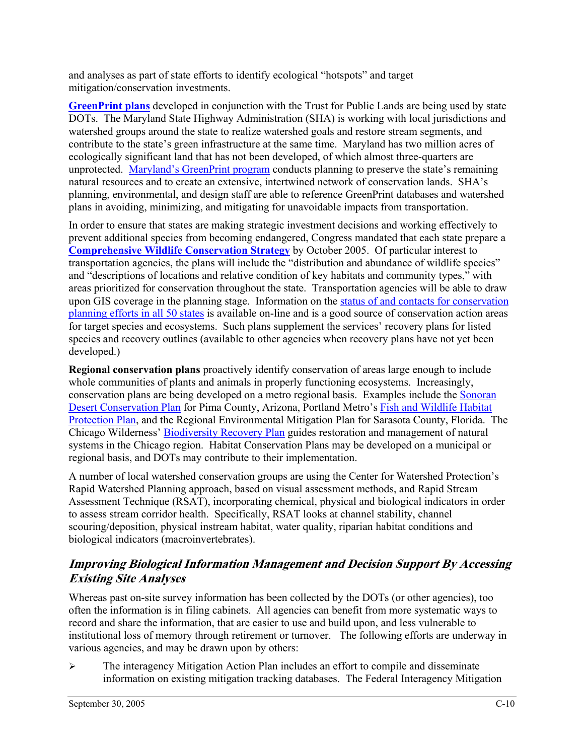and analyses as part of state efforts to identify ecological "hotspots" and target mitigation/conservation investments.

**[GreenPrint](http://www.esri.com/news/arcnews/fall04articles/king-county.html) plans** developed in conjunction with the Trust for Public Lands are being used by state DOTs. The Maryland State Highway Administration (SHA) is working with local jurisdictions and watershed groups around the state to realize watershed goals and restore stream segments, and contribute to the state's green infrastructure at the same time. Maryland has two million acres of ecologically significant land that has not been developed, of which almost three-quarters are unprotected. [Maryland's GreenPrint program](http://www.dnr.state.md.us/greenways/greenprint/) conducts planning to preserve the state's remaining natural resources and to create an extensive, intertwined network of conservation lands. SHA's planning, environmental, and design staff are able to reference GreenPrint databases and watershed plans in avoiding, minimizing, and mitigating for unavoidable impacts from transportation.

In order to ensure that states are making strategic investment decisions and working effectively to prevent additional species from becoming endangered, Congress mandated that each state prepare a **[Comprehensive Wildlife Conservation Strategy](http://www.biodiversitypartners.org/bioplanning/wildlifestrategies.shtml)** by October 2005. Of particular interest to transportation agencies, the plans will include the "distribution and abundance of wildlife species" and "descriptions of locations and relative condition of key habitats and community types," with areas prioritized for conservation throughout the state. Transportation agencies will be able to draw upon GIS coverage in the planning stage. Information on the [status of and contacts for conservation](http://www.teaming.com/cwcs_state_sites.htm)  [planning efforts in all 50 states](http://www.teaming.com/cwcs_state_sites.htm) is available on-line and is a good source of conservation action areas for target species and ecosystems. Such plans supplement the services' recovery plans for listed species and recovery outlines (available to other agencies when recovery plans have not yet been developed.)

**Regional conservation plans** proactively identify conservation of areas large enough to include whole communities of plants and animals in properly functioning ecosystems. Increasingly, conservation plans are being developed on a metro regional basis. Examples include the [Sonoran](http://www.co.pima.az.us/cmo/sdcp/)  [Desert Conservation Plan](http://www.co.pima.az.us/cmo/sdcp/) for Pima County, Arizona, Portland Metro's [Fish and Wildlife Habitat](http://www.metro-region.org/pssp.cfm?progservID=9)  [Protection Plan,](http://www.metro-region.org/pssp.cfm?progservID=9) and the Regional Environmental Mitigation Plan for Sarasota County, Florida. The Chicago Wilderness' [Biodiversity Recovery Plan](http://www.chicagowilderness.org/) guides restoration and management of natural systems in the Chicago region. Habitat Conservation Plans may be developed on a municipal or regional basis, and DOTs may contribute to their implementation.

A number of local watershed conservation groups are using the Center for Watershed Protection's Rapid Watershed Planning approach, based on visual assessment methods, and Rapid Stream Assessment Technique (RSAT), incorporating chemical, physical and biological indicators in order to assess stream corridor health. Specifically, RSAT looks at channel stability, channel scouring/deposition, physical instream habitat, water quality, riparian habitat conditions and biological indicators (macroinvertebrates).

## **Improving Biological Information Management and Decision Support By Accessing Existing Site Analyses**

Whereas past on-site survey information has been collected by the DOTs (or other agencies), too often the information is in filing cabinets. All agencies can benefit from more systematic ways to record and share the information, that are easier to use and build upon, and less vulnerable to institutional loss of memory through retirement or turnover. The following efforts are underway in various agencies, and may be drawn upon by others:

 $\triangleright$  The interagency Mitigation Action Plan includes an effort to compile and disseminate information on existing mitigation tracking databases. The Federal Interagency Mitigation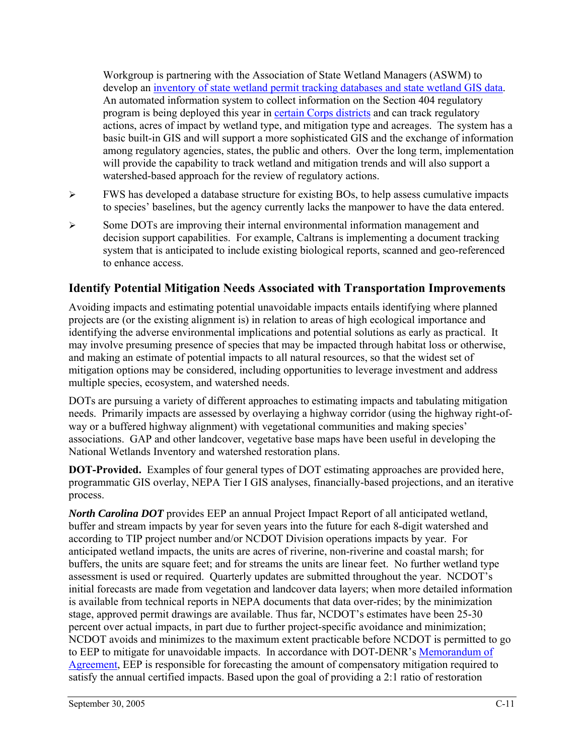Workgroup is partnering with the Association of State Wetland Managers (ASWM) to develop an [inventory of state wetland permit tracking databases and state wetland GIS data](http://www.aswm.org/swp/statemainpage9.htm). An automated information system to collect information on the Section 404 regulatory program is being deployed this year in [certain Corps districts](http://www.mitigationactionplan.gov/ORMdistricts.html) and can track regulatory actions, acres of impact by wetland type, and mitigation type and acreages. The system has a basic built-in GIS and will support a more sophisticated GIS and the exchange of information among regulatory agencies, states, the public and others. Over the long term, implementation will provide the capability to track wetland and mitigation trends and will also support a watershed-based approach for the review of regulatory actions.

- $\triangleright$  FWS has developed a database structure for existing BOs, to help assess cumulative impacts to species' baselines, but the agency currently lacks the manpower to have the data entered.
- ¾ Some DOTs are improving their internal environmental information management and decision support capabilities. For example, Caltrans is implementing a document tracking system that is anticipated to include existing biological reports, scanned and geo-referenced to enhance access.

### **Identify Potential Mitigation Needs Associated with Transportation Improvements**

Avoiding impacts and estimating potential unavoidable impacts entails identifying where planned projects are (or the existing alignment is) in relation to areas of high ecological importance and identifying the adverse environmental implications and potential solutions as early as practical. It may involve presuming presence of species that may be impacted through habitat loss or otherwise, and making an estimate of potential impacts to all natural resources, so that the widest set of mitigation options may be considered, including opportunities to leverage investment and address multiple species, ecosystem, and watershed needs.

DOTs are pursuing a variety of different approaches to estimating impacts and tabulating mitigation needs. Primarily impacts are assessed by overlaying a highway corridor (using the highway right-ofway or a buffered highway alignment) with vegetational communities and making species' associations. GAP and other landcover, vegetative base maps have been useful in developing the National Wetlands Inventory and watershed restoration plans.

**DOT-Provided.** Examples of four general types of DOT estimating approaches are provided here, programmatic GIS overlay, NEPA Tier I GIS analyses, financially-based projections, and an iterative process.

*North Carolina DOT* provides EEP an annual Project Impact Report of all anticipated wetland, buffer and stream impacts by year for seven years into the future for each 8-digit watershed and according to TIP project number and/or NCDOT Division operations impacts by year. For anticipated wetland impacts, the units are acres of riverine, non-riverine and coastal marsh; for buffers, the units are square feet; and for streams the units are linear feet. No further wetland type assessment is used or required. Quarterly updates are submitted throughout the year. NCDOT's initial forecasts are made from vegetation and landcover data layers; when more detailed information is available from technical reports in NEPA documents that data over-rides; by the minimization stage, approved permit drawings are available. Thus far, NCDOT's estimates have been 25-30 percent over actual impacts, in part due to further project-specific avoidance and minimization; NCDOT avoids and minimizes to the maximum extent practicable before NCDOT is permitted to go to EEP to mitigate for unavoidable impacts. In accordance with DOT-DENR's [Memorandum of](http://www.nceep.net/images/2004%20two-party%20MOA.pdf)  [Agreement](http://www.nceep.net/images/2004%20two-party%20MOA.pdf), EEP is responsible for forecasting the amount of compensatory mitigation required to satisfy the annual certified impacts. Based upon the goal of providing a 2:1 ratio of restoration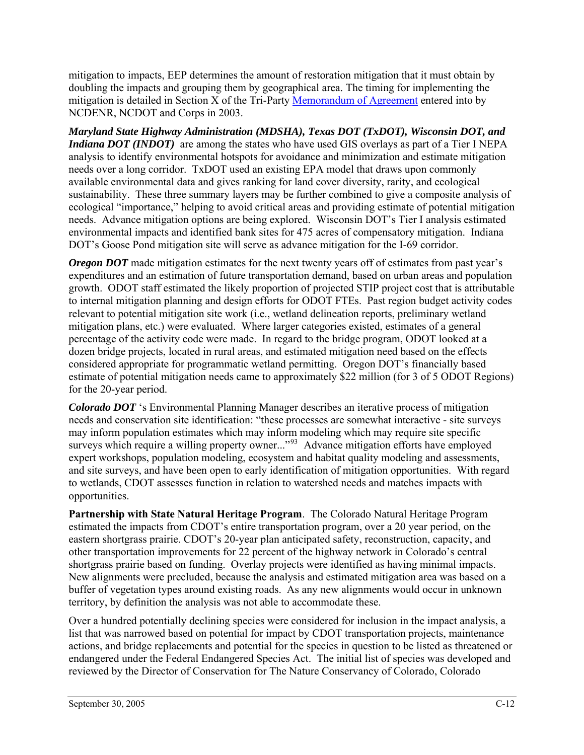mitigation to impacts, EEP determines the amount of restoration mitigation that it must obtain by doubling the impacts and grouping them by geographical area. The timing for implementing the mitigation is detailed in Section X of the Tri-Party [Memorandum of Agreement](http://www.nceep.net/images/Final%20MOA.pdf) entered into by NCDENR, NCDOT and Corps in 2003.

*Maryland State Highway Administration (MDSHA), Texas DOT (TxDOT), Wisconsin DOT, and Indiana DOT (INDOT)* are among the states who have used GIS overlays as part of a Tier I NEPA analysis to identify environmental hotspots for avoidance and minimization and estimate mitigation needs over a long corridor. TxDOT used an existing EPA model that draws upon commonly available environmental data and gives ranking for land cover diversity, rarity, and ecological sustainability. These three summary layers may be further combined to give a composite analysis of ecological "importance," helping to avoid critical areas and providing estimate of potential mitigation needs. Advance mitigation options are being explored. Wisconsin DOT's Tier I analysis estimated environmental impacts and identified bank sites for 475 acres of compensatory mitigation. Indiana DOT's Goose Pond mitigation site will serve as advance mitigation for the I-69 corridor.

*Oregon DOT* made mitigation estimates for the next twenty years off of estimates from past year's expenditures and an estimation of future transportation demand, based on urban areas and population growth. ODOT staff estimated the likely proportion of projected STIP project cost that is attributable to internal mitigation planning and design efforts for ODOT FTEs. Past region budget activity codes relevant to potential mitigation site work (i.e., wetland delineation reports, preliminary wetland mitigation plans, etc.) were evaluated. Where larger categories existed, estimates of a general percentage of the activity code were made. In regard to the bridge program, ODOT looked at a dozen bridge projects, located in rural areas, and estimated mitigation need based on the effects considered appropriate for programmatic wetland permitting. Oregon DOT's financially based estimate of potential mitigation needs came to approximately \$22 million (for 3 of 5 ODOT Regions) for the 20-year period.

*Colorado DOT* 's Environmental Planning Manager describes an iterative process of mitigation needs and conservation site identification: "these processes are somewhat interactive - site surveys may inform population estimates which may inform modeling which may require site specific surveys which require a willing property owner..."<sup>[93](#page-83-0)</sup> Advance mitigation efforts have employed expert workshops, population modeling, ecosystem and habitat quality modeling and assessments, and site surveys, and have been open to early identification of mitigation opportunities. With regard to wetlands, CDOT assesses function in relation to watershed needs and matches impacts with opportunities.

**Partnership with State Natural Heritage Program**. The Colorado Natural Heritage Program estimated the impacts from CDOT's entire transportation program, over a 20 year period, on the eastern shortgrass prairie. CDOT's 20-year plan anticipated safety, reconstruction, capacity, and other transportation improvements for 22 percent of the highway network in Colorado's central shortgrass prairie based on funding. Overlay projects were identified as having minimal impacts. New alignments were precluded, because the analysis and estimated mitigation area was based on a buffer of vegetation types around existing roads. As any new alignments would occur in unknown territory, by definition the analysis was not able to accommodate these.

Over a hundred potentially declining species were considered for inclusion in the impact analysis, a list that was narrowed based on potential for impact by CDOT transportation projects, maintenance actions, and bridge replacements and potential for the species in question to be listed as threatened or endangered under the Federal Endangered Species Act. The initial list of species was developed and reviewed by the Director of Conservation for The Nature Conservancy of Colorado, Colorado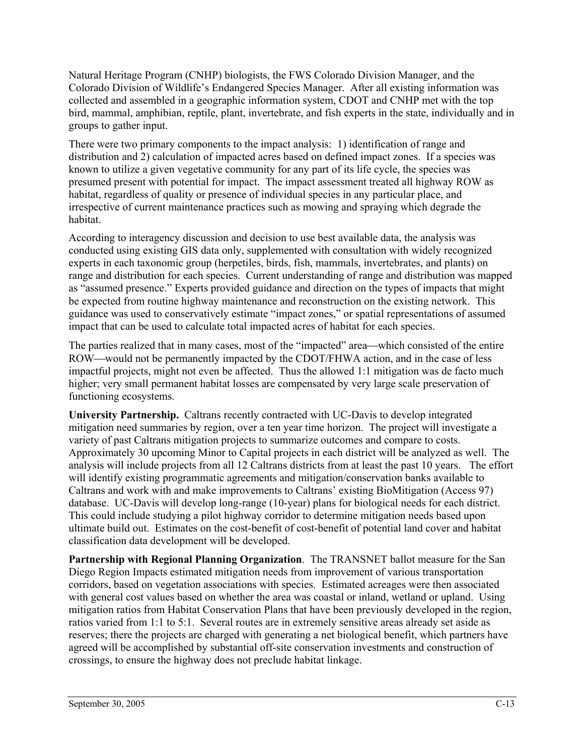Natural Heritage Program (CNHP) biologists, the FWS Colorado Division Manager, and the Colorado Division of Wildlife's Endangered Species Manager. After all existing information was collected and assembled in a geographic information system, CDOT and CNHP met with the top bird, mammal, amphibian, reptile, plant, invertebrate, and fish experts in the state, individually and in groups to gather input.

There were two primary components to the impact analysis: 1) identification of range and distribution and 2) calculation of impacted acres based on defined impact zones. If a species was known to utilize a given vegetative community for any part of its life cycle, the species was presumed present with potential for impact. The impact assessment treated all highway ROW as habitat, regardless of quality or presence of individual species in any particular place, and irrespective of current maintenance practices such as mowing and spraying which degrade the habitat.

According to interagency discussion and decision to use best available data, the analysis was conducted using existing GIS data only, supplemented with consultation with widely recognized experts in each taxonomic group (herpetiles, birds, fish, mammals, invertebrates, and plants) on range and distribution for each species. Current understanding of range and distribution was mapped as "assumed presence." Experts provided guidance and direction on the types of impacts that might be expected from routine highway maintenance and reconstruction on the existing network. This guidance was used to conservatively estimate "impact zones," or spatial representations of assumed impact that can be used to calculate total impacted acres of habitat for each species.

The parties realized that in many cases, most of the "impacted" area—which consisted of the entire ROW—would not be permanently impacted by the CDOT/FHWA action, and in the case of less impactful projects, might not even be affected. Thus the allowed 1:1 mitigation was de facto much higher; very small permanent habitat losses are compensated by very large scale preservation of functioning ecosystems.

**University Partnership.** Caltrans recently contracted with UC-Davis to develop integrated mitigation need summaries by region, over a ten year time horizon. The project will investigate a variety of past Caltrans mitigation projects to summarize outcomes and compare to costs. Approximately 30 upcoming Minor to Capital projects in each district will be analyzed as well. The analysis will include projects from all 12 Caltrans districts from at least the past 10 years. The effort will identify existing programmatic agreements and mitigation/conservation banks available to Caltrans and work with and make improvements to Caltrans' existing BioMitigation (Access 97) database. UC-Davis will develop long-range (10-year) plans for biological needs for each district. This could include studying a pilot highway corridor to determine mitigation needs based upon ultimate build out. Estimates on the cost-benefit of cost-benefit of potential land cover and habitat classification data development will be developed.

**Partnership with Regional Planning Organization**. The TRANSNET ballot measure for the San Diego Region Impacts estimated mitigation needs from improvement of various transportation corridors, based on vegetation associations with species. Estimated acreages were then associated with general cost values based on whether the area was coastal or inland, wetland or upland. Using mitigation ratios from Habitat Conservation Plans that have been previously developed in the region, ratios varied from 1:1 to 5:1. Several routes are in extremely sensitive areas already set aside as reserves; there the projects are charged with generating a net biological benefit, which partners have agreed will be accomplished by substantial off-site conservation investments and construction of crossings, to ensure the highway does not preclude habitat linkage.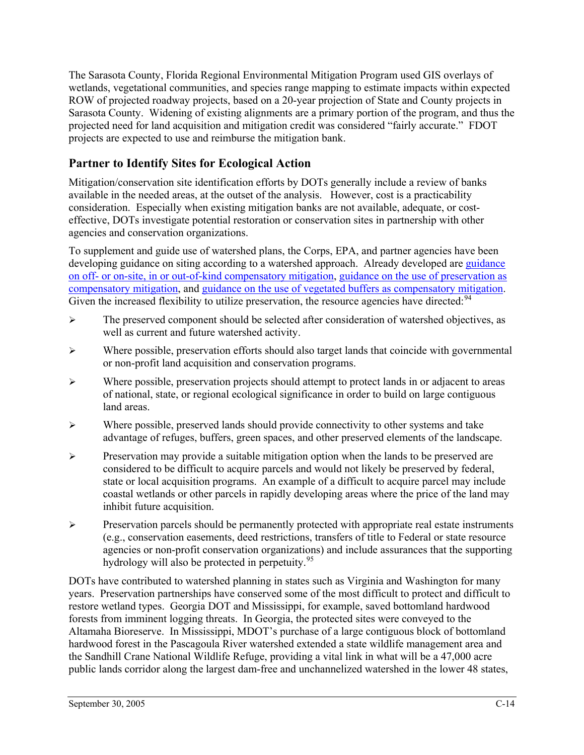The Sarasota County, Florida Regional Environmental Mitigation Program used GIS overlays of wetlands, vegetational communities, and species range mapping to estimate impacts within expected ROW of projected roadway projects, based on a 20-year projection of State and County projects in Sarasota County. Widening of existing alignments are a primary portion of the program, and thus the projected need for land acquisition and mitigation credit was considered "fairly accurate." FDOT projects are expected to use and reimburse the mitigation bank.

## **Partner to Identify Sites for Ecological Action**

Mitigation/conservation site identification efforts by DOTs generally include a review of banks available in the needed areas, at the outset of the analysis. However, cost is a practicability consideration. Especially when existing mitigation banks are not available, adequate, or costeffective, DOTs investigate potential restoration or conservation sites in partnership with other agencies and conservation organizations.

To supplement and guide use of watershed plans, the Corps, EPA, and partner agencies have been developing guidance on siting according to a watershed approach. Already developed are [guidance](http://www.mitigationactionplan.gov/040407SiteKindGuidance.html)  [on off- or on-site, in or out-of-kind compensatory mitigation](http://www.mitigationactionplan.gov/040407SiteKindGuidance.html), [guidance on the use of preservation as](http://www.mitigationactionplan.gov/Preservation_8-27-04.htm)  [compensatory mitigation,](http://www.mitigationactionplan.gov/Preservation_8-27-04.htm) and [guidance on the use of vegetated buffers as compensatory mitigation.](http://www.mitigationactionplan.gov/Buffer_8-27-04.htm) Given the increased flexibility to utilize preservation, the resource agencies have directed: <sup>[94](#page-83-0)</sup>

- $\triangleright$  The preserved component should be selected after consideration of watershed objectives, as well as current and future watershed activity.
- $\triangleright$  Where possible, preservation efforts should also target lands that coincide with governmental or non-profit land acquisition and conservation programs.
- $\triangleright$  Where possible, preservation projects should attempt to protect lands in or adjacent to areas of national, state, or regional ecological significance in order to build on large contiguous land areas.
- $\triangleright$  Where possible, preserved lands should provide connectivity to other systems and take advantage of refuges, buffers, green spaces, and other preserved elements of the landscape.
- ¾ Preservation may provide a suitable mitigation option when the lands to be preserved are considered to be difficult to acquire parcels and would not likely be preserved by federal, state or local acquisition programs. An example of a difficult to acquire parcel may include coastal wetlands or other parcels in rapidly developing areas where the price of the land may inhibit future acquisition.
- $\triangleright$  Preservation parcels should be permanently protected with appropriate real estate instruments (e.g., conservation easements, deed restrictions, transfers of title to Federal or state resource agencies or non-profit conservation organizations) and include assurances that the supporting hydrology will also be protected in perpetuity.  $95$

DOTs have contributed to watershed planning in states such as Virginia and Washington for many years. Preservation partnerships have conserved some of the most difficult to protect and difficult to restore wetland types. Georgia DOT and Mississippi, for example, saved bottomland hardwood forests from imminent logging threats. In Georgia, the protected sites were conveyed to the Altamaha Bioreserve. In Mississippi, MDOT's purchase of a large contiguous block of bottomland hardwood forest in the Pascagoula River watershed extended a state wildlife management area and the Sandhill Crane National Wildlife Refuge, providing a vital link in what will be a 47,000 acre public lands corridor along the largest dam-free and unchannelized watershed in the lower 48 states,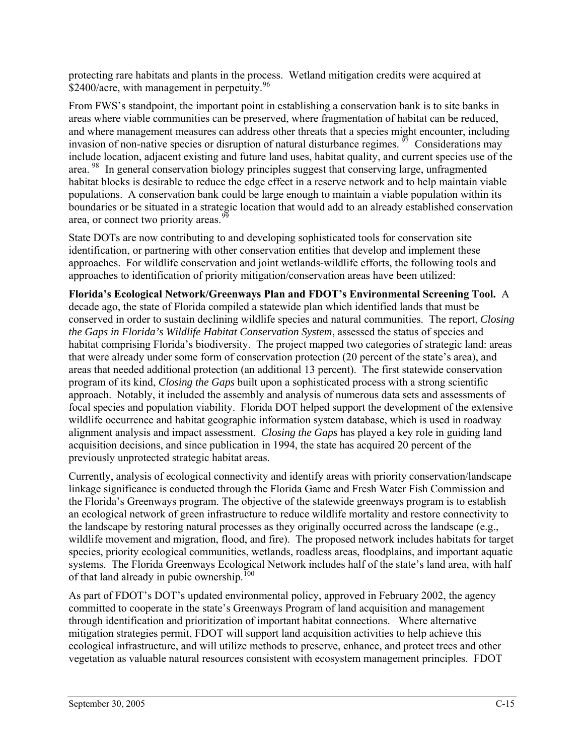protecting rare habitats and plants in the process. Wetland mitigation credits were acquired at \$2400/acre, with management in perpetuity.  $96$ 

From FWS's standpoint, the important point in establishing a conservation bank is to site banks in areas where viable communities can be preserved, where fragmentation of habitat can be reduced, and where management measures can address other threats that a species might encounter, including invasion of non-native species or disruption of natural disturbance regimes.  $\frac{97}{7}$  $\frac{97}{7}$  $\frac{97}{7}$  Considerations may include location, adjacent existing and future land uses, habitat quality, and current species use of the area. [98](#page-83-0) In general conservation biology principles suggest that conserving large, unfragmented habitat blocks is desirable to reduce the edge effect in a reserve network and to help maintain viable populations. A conservation bank could be large enough to maintain a viable population within its boundaries or be situated in a strategic location that would add to an already established conservation area, or connect two priority areas.<sup>[99](#page-83-0)</sup>

State DOTs are now contributing to and developing sophisticated tools for conservation site identification, or partnering with other conservation entities that develop and implement these approaches. For wildlife conservation and joint wetlands-wildlife efforts, the following tools and approaches to identification of priority mitigation/conservation areas have been utilized:

**Florida's Ecological Network/Greenways Plan and FDOT's Environmental Screening Tool.** A decade ago, the state of Florida compiled a statewide plan which identified lands that must be conserved in order to sustain declining wildlife species and natural communities. The report, *Closing the Gaps in Florida's Wildlife Habitat Conservation System*, assessed the status of species and habitat comprising Florida's biodiversity. The project mapped two categories of strategic land: areas that were already under some form of conservation protection (20 percent of the state's area), and areas that needed additional protection (an additional 13 percent). The first statewide conservation program of its kind, *Closing the Gaps* built upon a sophisticated process with a strong scientific approach. Notably, it included the assembly and analysis of numerous data sets and assessments of focal species and population viability. Florida DOT helped support the development of the extensive wildlife occurrence and habitat geographic information system database, which is used in roadway alignment analysis and impact assessment. *Closing the Gaps* has played a key role in guiding land acquisition decisions, and since publication in 1994, the state has acquired 20 percent of the previously unprotected strategic habitat areas.

Currently, analysis of ecological connectivity and identify areas with priority conservation/landscape linkage significance is conducted through the Florida Game and Fresh Water Fish Commission and the Florida's Greenways program. The objective of the statewide greenways program is to establish an ecological network of green infrastructure to reduce wildlife mortality and restore connectivity to the landscape by restoring natural processes as they originally occurred across the landscape (e.g., wildlife movement and migration, flood, and fire). The proposed network includes habitats for target species, priority ecological communities, wetlands, roadless areas, floodplains, and important aquatic systems. The Florida Greenways Ecological Network includes half of the state's land area, with half of that land already in pubic ownership.<sup>[100](#page-83-0)</sup>

As part of FDOT's DOT's updated environmental policy, approved in February 2002, the agency committed to cooperate in the state's Greenways Program of land acquisition and management through identification and prioritization of important habitat connections. Where alternative mitigation strategies permit, FDOT will support land acquisition activities to help achieve this ecological infrastructure, and will utilize methods to preserve, enhance, and protect trees and other vegetation as valuable natural resources consistent with ecosystem management principles. FDOT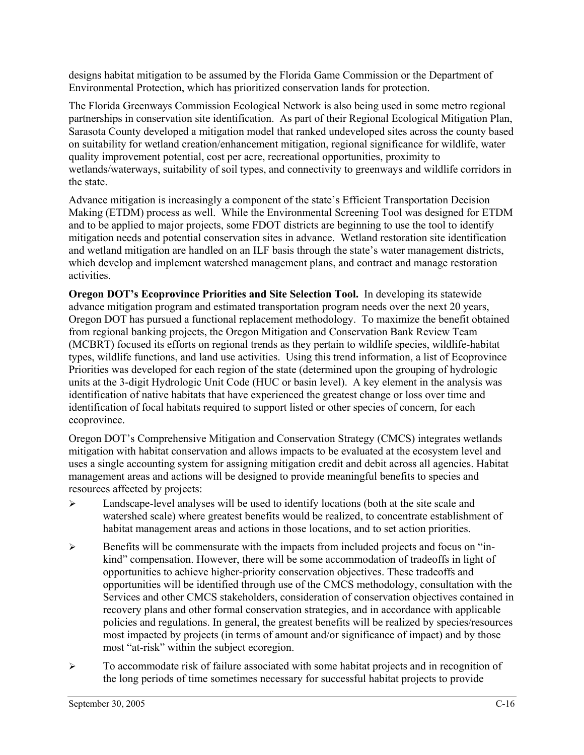designs habitat mitigation to be assumed by the Florida Game Commission or the Department of Environmental Protection, which has prioritized conservation lands for protection.

The Florida Greenways Commission Ecological Network is also being used in some metro regional partnerships in conservation site identification. As part of their Regional Ecological Mitigation Plan, Sarasota County developed a mitigation model that ranked undeveloped sites across the county based on suitability for wetland creation/enhancement mitigation, regional significance for wildlife, water quality improvement potential, cost per acre, recreational opportunities, proximity to wetlands/waterways, suitability of soil types, and connectivity to greenways and wildlife corridors in the state.

Advance mitigation is increasingly a component of the state's Efficient Transportation Decision Making (ETDM) process as well. While the Environmental Screening Tool was designed for ETDM and to be applied to major projects, some FDOT districts are beginning to use the tool to identify mitigation needs and potential conservation sites in advance. Wetland restoration site identification and wetland mitigation are handled on an ILF basis through the state's water management districts, which develop and implement watershed management plans, and contract and manage restoration activities.

**Oregon DOT's Ecoprovince Priorities and Site Selection Tool.** In developing its statewide advance mitigation program and estimated transportation program needs over the next 20 years, Oregon DOT has pursued a functional replacement methodology. To maximize the benefit obtained from regional banking projects, the Oregon Mitigation and Conservation Bank Review Team (MCBRT) focused its efforts on regional trends as they pertain to wildlife species, wildlife-habitat types, wildlife functions, and land use activities. Using this trend information, a list of Ecoprovince Priorities was developed for each region of the state (determined upon the grouping of hydrologic units at the 3-digit Hydrologic Unit Code (HUC or basin level). A key element in the analysis was identification of native habitats that have experienced the greatest change or loss over time and identification of focal habitats required to support listed or other species of concern, for each ecoprovince.

Oregon DOT's Comprehensive Mitigation and Conservation Strategy (CMCS) integrates wetlands mitigation with habitat conservation and allows impacts to be evaluated at the ecosystem level and uses a single accounting system for assigning mitigation credit and debit across all agencies. Habitat management areas and actions will be designed to provide meaningful benefits to species and resources affected by projects:

- ¾ Landscape-level analyses will be used to identify locations (both at the site scale and watershed scale) where greatest benefits would be realized, to concentrate establishment of habitat management areas and actions in those locations, and to set action priorities.
- ¾ Benefits will be commensurate with the impacts from included projects and focus on "inkind" compensation. However, there will be some accommodation of tradeoffs in light of opportunities to achieve higher-priority conservation objectives. These tradeoffs and opportunities will be identified through use of the CMCS methodology, consultation with the Services and other CMCS stakeholders, consideration of conservation objectives contained in recovery plans and other formal conservation strategies, and in accordance with applicable policies and regulations. In general, the greatest benefits will be realized by species/resources most impacted by projects (in terms of amount and/or significance of impact) and by those most "at-risk" within the subject ecoregion.
- ¾ To accommodate risk of failure associated with some habitat projects and in recognition of the long periods of time sometimes necessary for successful habitat projects to provide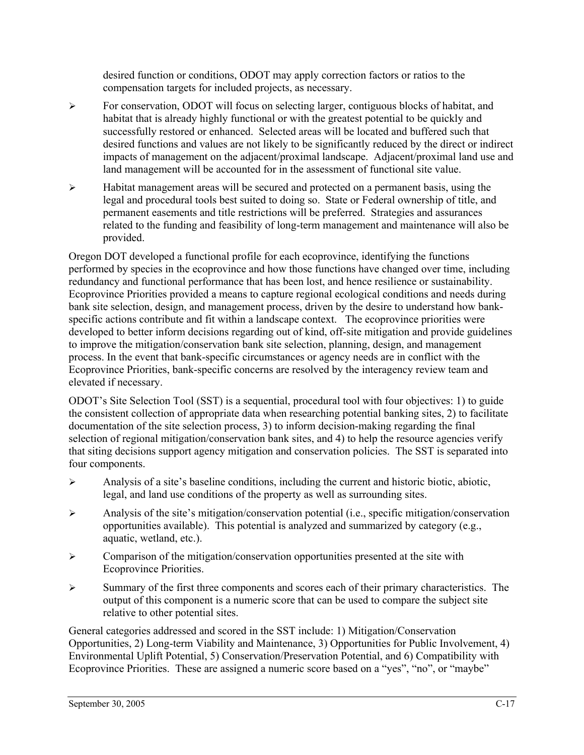desired function or conditions, ODOT may apply correction factors or ratios to the compensation targets for included projects, as necessary.

- $\triangleright$  For conservation, ODOT will focus on selecting larger, contiguous blocks of habitat, and habitat that is already highly functional or with the greatest potential to be quickly and successfully restored or enhanced. Selected areas will be located and buffered such that desired functions and values are not likely to be significantly reduced by the direct or indirect impacts of management on the adjacent/proximal landscape. Adjacent/proximal land use and land management will be accounted for in the assessment of functional site value.
- ¾ Habitat management areas will be secured and protected on a permanent basis, using the legal and procedural tools best suited to doing so. State or Federal ownership of title, and permanent easements and title restrictions will be preferred. Strategies and assurances related to the funding and feasibility of long-term management and maintenance will also be provided.

Oregon DOT developed a functional profile for each ecoprovince, identifying the functions performed by species in the ecoprovince and how those functions have changed over time, including redundancy and functional performance that has been lost, and hence resilience or sustainability. Ecoprovince Priorities provided a means to capture regional ecological conditions and needs during bank site selection, design, and management process, driven by the desire to understand how bankspecific actions contribute and fit within a landscape context. The ecoprovince priorities were developed to better inform decisions regarding out of kind, off-site mitigation and provide guidelines to improve the mitigation/conservation bank site selection, planning, design, and management process. In the event that bank-specific circumstances or agency needs are in conflict with the Ecoprovince Priorities, bank-specific concerns are resolved by the interagency review team and elevated if necessary.

ODOT's Site Selection Tool (SST) is a sequential, procedural tool with four objectives: 1) to guide the consistent collection of appropriate data when researching potential banking sites, 2) to facilitate documentation of the site selection process, 3) to inform decision-making regarding the final selection of regional mitigation/conservation bank sites, and 4) to help the resource agencies verify that siting decisions support agency mitigation and conservation policies. The SST is separated into four components.

- ¾ Analysis of a site's baseline conditions, including the current and historic biotic, abiotic, legal, and land use conditions of the property as well as surrounding sites.
- ¾ Analysis of the site's mitigation/conservation potential (i.e., specific mitigation/conservation opportunities available). This potential is analyzed and summarized by category (e.g., aquatic, wetland, etc.).
- $\triangleright$  Comparison of the mitigation/conservation opportunities presented at the site with Ecoprovince Priorities.
- ¾ Summary of the first three components and scores each of their primary characteristics. The output of this component is a numeric score that can be used to compare the subject site relative to other potential sites.

General categories addressed and scored in the SST include: 1) Mitigation/Conservation Opportunities, 2) Long-term Viability and Maintenance, 3) Opportunities for Public Involvement, 4) Environmental Uplift Potential, 5) Conservation/Preservation Potential, and 6) Compatibility with Ecoprovince Priorities. These are assigned a numeric score based on a "yes", "no", or "maybe"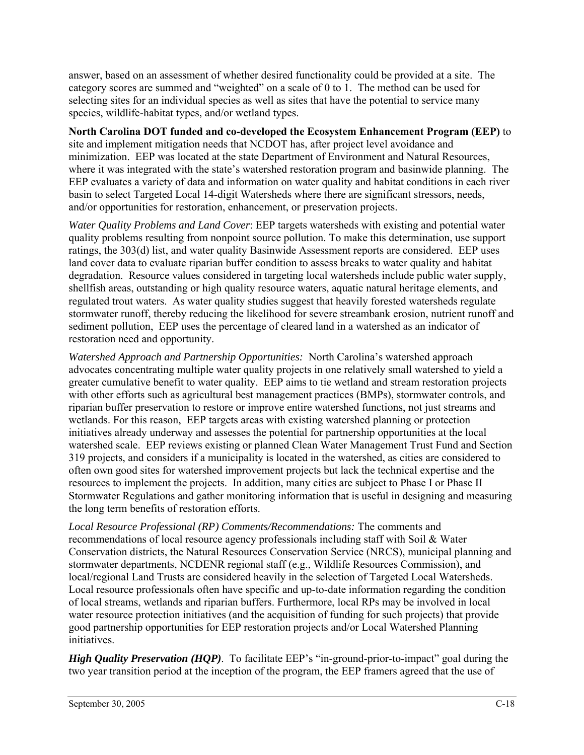answer, based on an assessment of whether desired functionality could be provided at a site. The category scores are summed and "weighted" on a scale of 0 to 1. The method can be used for selecting sites for an individual species as well as sites that have the potential to service many species, wildlife-habitat types, and/or wetland types.

#### **North Carolina DOT funded and co-developed the Ecosystem Enhancement Program (EEP)** to

site and implement mitigation needs that NCDOT has, after project level avoidance and minimization. EEP was located at the state Department of Environment and Natural Resources, where it was integrated with the state's watershed restoration program and basinwide planning. The EEP evaluates a variety of data and information on water quality and habitat conditions in each river basin to select Targeted Local 14-digit Watersheds where there are significant stressors, needs, and/or opportunities for restoration, enhancement, or preservation projects.

*Water Quality Problems and Land Cover*: EEP targets watersheds with existing and potential water quality problems resulting from nonpoint source pollution. To make this determination, use support ratings, the 303(d) list, and water quality Basinwide Assessment reports are considered. EEP uses land cover data to evaluate riparian buffer condition to assess breaks to water quality and habitat degradation. Resource values considered in targeting local watersheds include public water supply, shellfish areas, outstanding or high quality resource waters, aquatic natural heritage elements, and regulated trout waters. As water quality studies suggest that heavily forested watersheds regulate stormwater runoff, thereby reducing the likelihood for severe streambank erosion, nutrient runoff and sediment pollution, EEP uses the percentage of cleared land in a watershed as an indicator of restoration need and opportunity.

*Watershed Approach and Partnership Opportunities:*North Carolina's watershed approach advocates concentrating multiple water quality projects in one relatively small watershed to yield a greater cumulative benefit to water quality. EEP aims to tie wetland and stream restoration projects with other efforts such as agricultural best management practices (BMPs), stormwater controls, and riparian buffer preservation to restore or improve entire watershed functions, not just streams and wetlands. For this reason, EEP targets areas with existing watershed planning or protection initiatives already underway and assesses the potential for partnership opportunities at the local watershed scale. EEP reviews existing or planned Clean Water Management Trust Fund and Section 319 projects, and considers if a municipality is located in the watershed, as cities are considered to often own good sites for watershed improvement projects but lack the technical expertise and the resources to implement the projects. In addition, many cities are subject to Phase I or Phase II Stormwater Regulations and gather monitoring information that is useful in designing and measuring the long term benefits of restoration efforts.

*Local Resource Professional (RP) Comments/Recommendations:* The comments and recommendations of local resource agency professionals including staff with Soil & Water Conservation districts, the Natural Resources Conservation Service (NRCS), municipal planning and stormwater departments, NCDENR regional staff (e.g., Wildlife Resources Commission), and local/regional Land Trusts are considered heavily in the selection of Targeted Local Watersheds. Local resource professionals often have specific and up-to-date information regarding the condition of local streams, wetlands and riparian buffers. Furthermore, local RPs may be involved in local water resource protection initiatives (and the acquisition of funding for such projects) that provide good partnership opportunities for EEP restoration projects and/or Local Watershed Planning initiatives.

*High Quality Preservation (HQP)*. To facilitate EEP's "in-ground-prior-to-impact" goal during the two year transition period at the inception of the program, the EEP framers agreed that the use of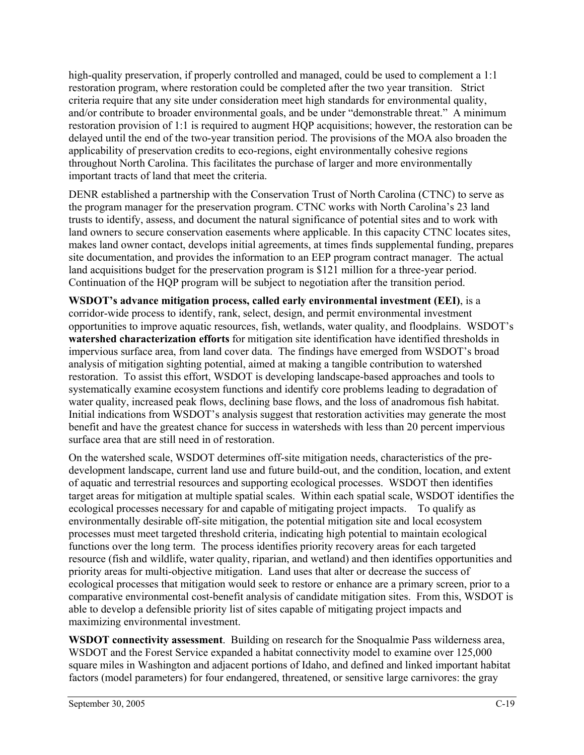high-quality preservation, if properly controlled and managed, could be used to complement a 1:1 restoration program, where restoration could be completed after the two year transition. Strict criteria require that any site under consideration meet high standards for environmental quality, and/or contribute to broader environmental goals, and be under "demonstrable threat." A minimum restoration provision of 1:1 is required to augment HQP acquisitions; however, the restoration can be delayed until the end of the two-year transition period. The provisions of the MOA also broaden the applicability of preservation credits to eco-regions, eight environmentally cohesive regions throughout North Carolina. This facilitates the purchase of larger and more environmentally important tracts of land that meet the criteria.

DENR established a partnership with the Conservation Trust of North Carolina (CTNC) to serve as the program manager for the preservation program. CTNC works with North Carolina's 23 land trusts to identify, assess, and document the natural significance of potential sites and to work with land owners to secure conservation easements where applicable. In this capacity CTNC locates sites, makes land owner contact, develops initial agreements, at times finds supplemental funding, prepares site documentation, and provides the information to an EEP program contract manager. The actual land acquisitions budget for the preservation program is \$121 million for a three-year period. Continuation of the HQP program will be subject to negotiation after the transition period.

**WSDOT's advance mitigation process, called early environmental investment (EEI)**, is a corridor-wide process to identify, rank, select, design, and permit environmental investment opportunities to improve aquatic resources, fish, wetlands, water quality, and floodplains. WSDOT's **watershed characterization efforts** for mitigation site identification have identified thresholds in impervious surface area, from land cover data. The findings have emerged from WSDOT's broad analysis of mitigation sighting potential, aimed at making a tangible contribution to watershed restoration. To assist this effort, WSDOT is developing landscape-based approaches and tools to systematically examine ecosystem functions and identify core problems leading to degradation of water quality, increased peak flows, declining base flows, and the loss of anadromous fish habitat. Initial indications from WSDOT's analysis suggest that restoration activities may generate the most benefit and have the greatest chance for success in watersheds with less than 20 percent impervious surface area that are still need in of restoration.

On the watershed scale, WSDOT determines off-site mitigation needs, characteristics of the predevelopment landscape, current land use and future build-out, and the condition, location, and extent of aquatic and terrestrial resources and supporting ecological processes. WSDOT then identifies target areas for mitigation at multiple spatial scales. Within each spatial scale, WSDOT identifies the ecological processes necessary for and capable of mitigating project impacts. To qualify as environmentally desirable off-site mitigation, the potential mitigation site and local ecosystem processes must meet targeted threshold criteria, indicating high potential to maintain ecological functions over the long term. The process identifies priority recovery areas for each targeted resource (fish and wildlife, water quality, riparian, and wetland) and then identifies opportunities and priority areas for multi-objective mitigation. Land uses that alter or decrease the success of ecological processes that mitigation would seek to restore or enhance are a primary screen, prior to a comparative environmental cost-benefit analysis of candidate mitigation sites. From this, WSDOT is able to develop a defensible priority list of sites capable of mitigating project impacts and maximizing environmental investment.

**WSDOT connectivity assessment**. Building on research for the Snoqualmie Pass wilderness area, WSDOT and the Forest Service expanded a habitat connectivity model to examine over 125,000 square miles in Washington and adjacent portions of Idaho, and defined and linked important habitat factors (model parameters) for four endangered, threatened, or sensitive large carnivores: the gray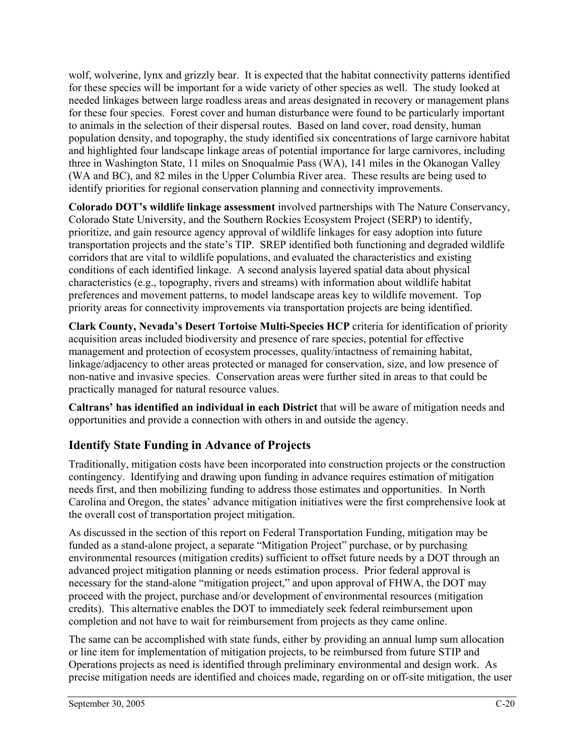wolf, wolverine, lynx and grizzly bear. It is expected that the habitat connectivity patterns identified for these species will be important for a wide variety of other species as well. The study looked at needed linkages between large roadless areas and areas designated in recovery or management plans for these four species. Forest cover and human disturbance were found to be particularly important to animals in the selection of their dispersal routes. Based on land cover, road density, human population density, and topography, the study identified six concentrations of large carnivore habitat and highlighted four landscape linkage areas of potential importance for large carnivores, including three in Washington State, 11 miles on Snoqualmie Pass (WA), 141 miles in the Okanogan Valley (WA and BC), and 82 miles in the Upper Columbia River area. These results are being used to identify priorities for regional conservation planning and connectivity improvements.

**Colorado DOT's wildlife linkage assessment** involved partnerships with The Nature Conservancy, Colorado State University, and the Southern Rockies Ecosystem Project (SERP) to identify, prioritize, and gain resource agency approval of wildlife linkages for easy adoption into future transportation projects and the state's TIP. SREP identified both functioning and degraded wildlife corridors that are vital to wildlife populations, and evaluated the characteristics and existing conditions of each identified linkage. A second analysis layered spatial data about physical characteristics (e.g., topography, rivers and streams) with information about wildlife habitat preferences and movement patterns, to model landscape areas key to wildlife movement. Top priority areas for connectivity improvements via transportation projects are being identified.

**Clark County, Nevada's Desert Tortoise Multi-Species HCP** criteria for identification of priority acquisition areas included biodiversity and presence of rare species, potential for effective management and protection of ecosystem processes, quality/intactness of remaining habitat, linkage/adjacency to other areas protected or managed for conservation, size, and low presence of non-native and invasive species. Conservation areas were further sited in areas to that could be practically managed for natural resource values.

**Caltrans' has identified an individual in each District** that will be aware of mitigation needs and opportunities and provide a connection with others in and outside the agency.

## **Identify State Funding in Advance of Projects**

Traditionally, mitigation costs have been incorporated into construction projects or the construction contingency. Identifying and drawing upon funding in advance requires estimation of mitigation needs first, and then mobilizing funding to address those estimates and opportunities. In North Carolina and Oregon, the states' advance mitigation initiatives were the first comprehensive look at the overall cost of transportation project mitigation.

As discussed in the section of this report on Federal Transportation Funding, mitigation may be funded as a stand-alone project, a separate "Mitigation Project" purchase, or by purchasing environmental resources (mitigation credits) sufficient to offset future needs by a DOT through an advanced project mitigation planning or needs estimation process. Prior federal approval is necessary for the stand-alone "mitigation project," and upon approval of FHWA, the DOT may proceed with the project, purchase and/or development of environmental resources (mitigation credits). This alternative enables the DOT to immediately seek federal reimbursement upon completion and not have to wait for reimbursement from projects as they came online.

The same can be accomplished with state funds, either by providing an annual lump sum allocation or line item for implementation of mitigation projects, to be reimbursed from future STIP and Operations projects as need is identified through preliminary environmental and design work. As precise mitigation needs are identified and choices made, regarding on or off-site mitigation, the user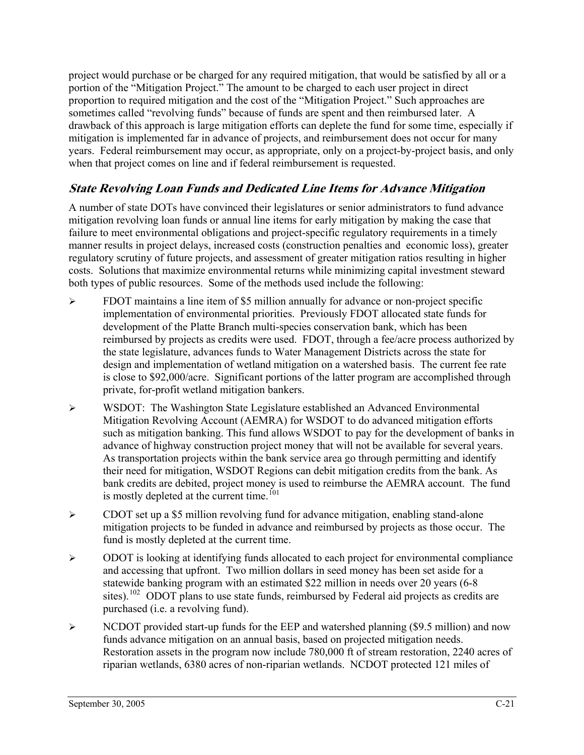project would purchase or be charged for any required mitigation, that would be satisfied by all or a portion of the "Mitigation Project." The amount to be charged to each user project in direct proportion to required mitigation and the cost of the "Mitigation Project." Such approaches are sometimes called "revolving funds" because of funds are spent and then reimbursed later. A drawback of this approach is large mitigation efforts can deplete the fund for some time, especially if mitigation is implemented far in advance of projects, and reimbursement does not occur for many years. Federal reimbursement may occur, as appropriate, only on a project-by-project basis, and only when that project comes on line and if federal reimbursement is requested.

## **State Revolving Loan Funds and Dedicated Line Items for Advance Mitigation**

A number of state DOTs have convinced their legislatures or senior administrators to fund advance mitigation revolving loan funds or annual line items for early mitigation by making the case that failure to meet environmental obligations and project-specific regulatory requirements in a timely manner results in project delays, increased costs (construction penalties and economic loss), greater regulatory scrutiny of future projects, and assessment of greater mitigation ratios resulting in higher costs. Solutions that maximize environmental returns while minimizing capital investment steward both types of public resources. Some of the methods used include the following:

- $\triangleright$  FDOT maintains a line item of \$5 million annually for advance or non-project specific implementation of environmental priorities. Previously FDOT allocated state funds for development of the Platte Branch multi-species conservation bank, which has been reimbursed by projects as credits were used. FDOT, through a fee/acre process authorized by the state legislature, advances funds to Water Management Districts across the state for design and implementation of wetland mitigation on a watershed basis. The current fee rate is close to \$92,000/acre. Significant portions of the latter program are accomplished through private, for-profit wetland mitigation bankers.
- ¾ WSDOT: The Washington State Legislature established an Advanced Environmental Mitigation Revolving Account (AEMRA) for WSDOT to do advanced mitigation efforts such as mitigation banking. This fund allows WSDOT to pay for the development of banks in advance of highway construction project money that will not be available for several years. As transportation projects within the bank service area go through permitting and identify their need for mitigation, WSDOT Regions can debit mitigation credits from the bank. As bank credits are debited, project money is used to reimburse the AEMRA account. The fund is mostly depleted at the current time.<sup> $101$ </sup>
- $\triangleright$  CDOT set up a \$5 million revolving fund for advance mitigation, enabling stand-alone mitigation projects to be funded in advance and reimbursed by projects as those occur. The fund is mostly depleted at the current time.
- $\triangleright$  ODOT is looking at identifying funds allocated to each project for environmental compliance and accessing that upfront. Two million dollars in seed money has been set aside for a statewide banking program with an estimated \$22 million in needs over 20 years (6-8 sites).<sup>[102](#page-83-0)</sup> ODOT plans to use state funds, reimbursed by Federal aid projects as credits are purchased (i.e. a revolving fund).
- ¾ NCDOT provided start-up funds for the EEP and watershed planning (\$9.5 million) and now funds advance mitigation on an annual basis, based on projected mitigation needs. Restoration assets in the program now include 780,000 ft of stream restoration, 2240 acres of riparian wetlands, 6380 acres of non-riparian wetlands. NCDOT protected 121 miles of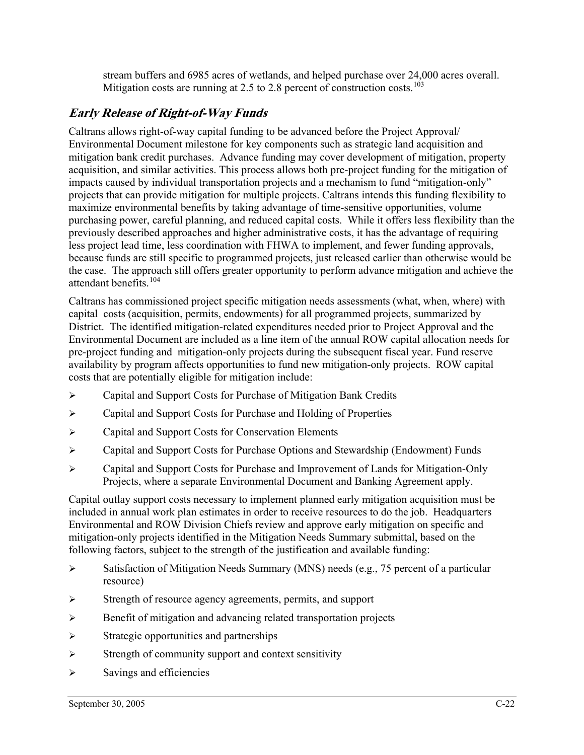stream buffers and 6985 acres of wetlands, and helped purchase over 24,000 acres overall. Mitigation costs are running at 2.5 to 2.8 percent of construction costs.<sup>[103](#page-83-0)</sup>

## **Early Release of Right-of-Way Funds**

Caltrans allows right-of-way capital funding to be advanced before the Project Approval/ Environmental Document milestone for key components such as strategic land acquisition and mitigation bank credit purchases. Advance funding may cover development of mitigation, property acquisition, and similar activities. This process allows both pre-project funding for the mitigation of impacts caused by individual transportation projects and a mechanism to fund "mitigation-only" projects that can provide mitigation for multiple projects. Caltrans intends this funding flexibility to maximize environmental benefits by taking advantage of time-sensitive opportunities, volume purchasing power, careful planning, and reduced capital costs. While it offers less flexibility than the previously described approaches and higher administrative costs, it has the advantage of requiring less project lead time, less coordination with FHWA to implement, and fewer funding approvals, because funds are still specific to programmed projects, just released earlier than otherwise would be the case. The approach still offers greater opportunity to perform advance mitigation and achieve the attendant benefits<sup>[104](#page-83-0)</sup>

Caltrans has commissioned project specific mitigation needs assessments (what, when, where) with capital costs (acquisition, permits, endowments) for all programmed projects, summarized by District. The identified mitigation-related expenditures needed prior to Project Approval and the Environmental Document are included as a line item of the annual ROW capital allocation needs for pre-project funding and mitigation-only projects during the subsequent fiscal year. Fund reserve availability by program affects opportunities to fund new mitigation-only projects. ROW capital costs that are potentially eligible for mitigation include:

- ¾ Capital and Support Costs for Purchase of Mitigation Bank Credits
- ¾ Capital and Support Costs for Purchase and Holding of Properties
- ¾ Capital and Support Costs for Conservation Elements
- ¾ Capital and Support Costs for Purchase Options and Stewardship (Endowment) Funds
- ¾ Capital and Support Costs for Purchase and Improvement of Lands for Mitigation-Only Projects, where a separate Environmental Document and Banking Agreement apply.

Capital outlay support costs necessary to implement planned early mitigation acquisition must be included in annual work plan estimates in order to receive resources to do the job. Headquarters Environmental and ROW Division Chiefs review and approve early mitigation on specific and mitigation-only projects identified in the Mitigation Needs Summary submittal, based on the following factors, subject to the strength of the justification and available funding:

- $\triangleright$  Satisfaction of Mitigation Needs Summary (MNS) needs (e.g., 75 percent of a particular resource)
- ¾ Strength of resource agency agreements, permits, and support
- ¾ Benefit of mitigation and advancing related transportation projects
- $\triangleright$  Strategic opportunities and partnerships
- $\triangleright$  Strength of community support and context sensitivity
- $\triangleright$  Savings and efficiencies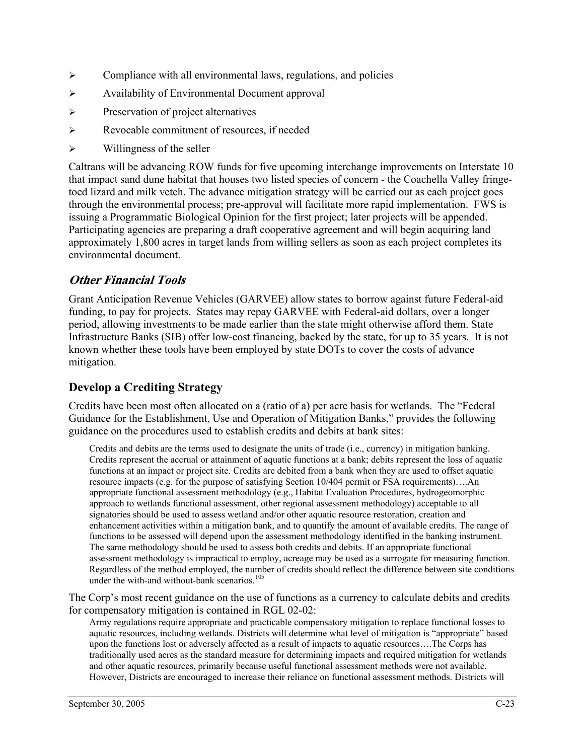- $\triangleright$  Compliance with all environmental laws, regulations, and policies
- ¾ Availability of Environmental Document approval
- ¾ Preservation of project alternatives
- ¾ Revocable commitment of resources, if needed
- $\triangleright$  Willingness of the seller

Caltrans will be advancing ROW funds for five upcoming interchange improvements on Interstate 10 that impact sand dune habitat that houses two listed species of concern - the Coachella Valley fringetoed lizard and milk vetch. The advance mitigation strategy will be carried out as each project goes through the environmental process; pre-approval will facilitate more rapid implementation. FWS is issuing a Programmatic Biological Opinion for the first project; later projects will be appended. Participating agencies are preparing a draft cooperative agreement and will begin acquiring land approximately 1,800 acres in target lands from willing sellers as soon as each project completes its environmental document.

## **Other Financial Tools**

Grant Anticipation Revenue Vehicles (GARVEE) allow states to borrow against future Federal-aid funding, to pay for projects. States may repay GARVEE with Federal-aid dollars, over a longer period, allowing investments to be made earlier than the state might otherwise afford them. State Infrastructure Banks (SIB) offer low-cost financing, backed by the state, for up to 35 years. It is not known whether these tools have been employed by state DOTs to cover the costs of advance mitigation.

## **Develop a Crediting Strategy**

Credits have been most often allocated on a (ratio of a) per acre basis for wetlands. The "Federal Guidance for the Establishment, Use and Operation of Mitigation Banks," provides the following guidance on the procedures used to establish credits and debits at bank sites:

Credits and debits are the terms used to designate the units of trade (i.e., currency) in mitigation banking. Credits represent the accrual or attainment of aquatic functions at a bank; debits represent the loss of aquatic functions at an impact or project site. Credits are debited from a bank when they are used to offset aquatic resource impacts (e.g. for the purpose of satisfying Section 10/404 permit or FSA requirements)….An appropriate functional assessment methodology (e.g., Habitat Evaluation Procedures, hydrogeomorphic approach to wetlands functional assessment, other regional assessment methodology) acceptable to all signatories should be used to assess wetland and/or other aquatic resource restoration, creation and enhancement activities within a mitigation bank, and to quantify the amount of available credits. The range of functions to be assessed will depend upon the assessment methodology identified in the banking instrument. The same methodology should be used to assess both credits and debits. If an appropriate functional assessment methodology is impractical to employ, acreage may be used as a surrogate for measuring function. Regardless of the method employed, the number of credits should reflect the difference between site conditions under the with-and without-bank scenarios.<sup>[105](#page-83-0)</sup>

The Corp's most recent guidance on the use of functions as a currency to calculate debits and credits for compensatory mitigation is contained in RGL 02-02:

Army regulations require appropriate and practicable compensatory mitigation to replace functional losses to aquatic resources, including wetlands. Districts will determine what level of mitigation is "appropriate" based upon the functions lost or adversely affected as a result of impacts to aquatic resources….The Corps has traditionally used acres as the standard measure for determining impacts and required mitigation for wetlands and other aquatic resources, primarily because useful functional assessment methods were not available. However, Districts are encouraged to increase their reliance on functional assessment methods. Districts will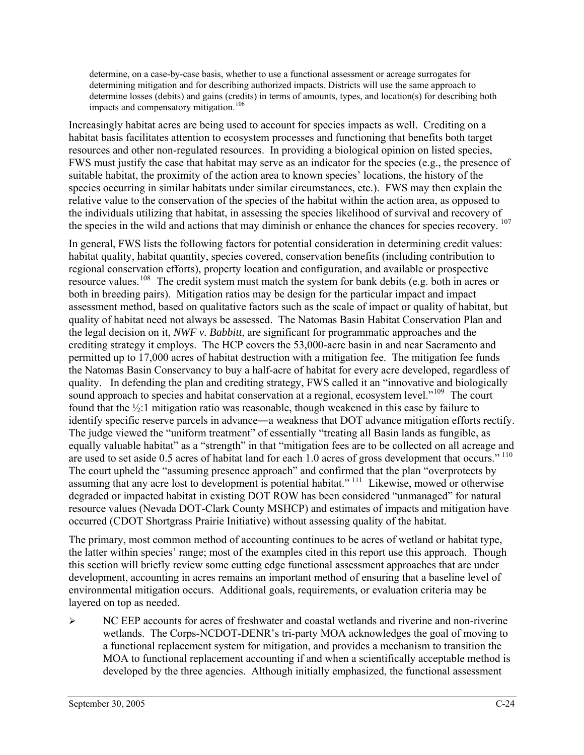determine, on a case-by-case basis, whether to use a functional assessment or acreage surrogates for determining mitigation and for describing authorized impacts. Districts will use the same approach to determine losses (debits) and gains (credits) in terms of amounts, types, and location(s) for describing both impacts and compensatory mitigation.<sup>[106](#page-83-0)</sup>

Increasingly habitat acres are being used to account for species impacts as well. Crediting on a habitat basis facilitates attention to ecosystem processes and functioning that benefits both target resources and other non-regulated resources. In providing a biological opinion on listed species, FWS must justify the case that habitat may serve as an indicator for the species (e.g., the presence of suitable habitat, the proximity of the action area to known species' locations, the history of the species occurring in similar habitats under similar circumstances, etc.). FWS may then explain the relative value to the conservation of the species of the habitat within the action area, as opposed to the individuals utilizing that habitat, in assessing the species likelihood of survival and recovery of the species in the wild and actions that may diminish or enhance the chances for species recovery. <sup>[107](#page-83-0)</sup>

In general, FWS lists the following factors for potential consideration in determining credit values: habitat quality, habitat quantity, species covered, conservation benefits (including contribution to regional conservation efforts), property location and configuration, and available or prospective resource values.<sup>[108](#page-83-0)</sup> The credit system must match the system for bank debits (e.g. both in acres or both in breeding pairs). Mitigation ratios may be design for the particular impact and impact assessment method, based on qualitative factors such as the scale of impact or quality of habitat, but quality of habitat need not always be assessed. The Natomas Basin Habitat Conservation Plan and the legal decision on it, *NWF v. Babbitt*, are significant for programmatic approaches and the crediting strategy it employs. The HCP covers the 53,000-acre basin in and near Sacramento and permitted up to 17,000 acres of habitat destruction with a mitigation fee. The mitigation fee funds the Natomas Basin Conservancy to buy a half-acre of habitat for every acre developed, regardless of quality. In defending the plan and crediting strategy, FWS called it an "innovative and biologically sound approach to species and habitat conservation at a regional, ecosystem level."<sup>[109](#page-83-0)</sup> The court found that the ½:1 mitigation ratio was reasonable, though weakened in this case by failure to identify specific reserve parcels in advance―a weakness that DOT advance mitigation efforts rectify. The judge viewed the "uniform treatment" of essentially "treating all Basin lands as fungible, as equally valuable habitat" as a "strength" in that "mitigation fees are to be collected on all acreage and are used to set aside 0.5 acres of habitat land for each 1.0 acres of gross development that occurs."<sup>[110](#page-83-0)</sup> The court upheld the "assuming presence approach" and confirmed that the plan "overprotects by assuming that any acre lost to development is potential habitat."<sup>[111](#page-83-0)</sup> Likewise, mowed or otherwise degraded or impacted habitat in existing DOT ROW has been considered "unmanaged" for natural resource values (Nevada DOT-Clark County MSHCP) and estimates of impacts and mitigation have occurred (CDOT Shortgrass Prairie Initiative) without assessing quality of the habitat.

The primary, most common method of accounting continues to be acres of wetland or habitat type, the latter within species' range; most of the examples cited in this report use this approach. Though this section will briefly review some cutting edge functional assessment approaches that are under development, accounting in acres remains an important method of ensuring that a baseline level of environmental mitigation occurs. Additional goals, requirements, or evaluation criteria may be layered on top as needed.

 $\triangleright$  NC EEP accounts for acres of freshwater and coastal wetlands and riverine and non-riverine wetlands. The Corps-NCDOT-DENR's tri-party MOA acknowledges the goal of moving to a functional replacement system for mitigation, and provides a mechanism to transition the MOA to functional replacement accounting if and when a scientifically acceptable method is developed by the three agencies. Although initially emphasized, the functional assessment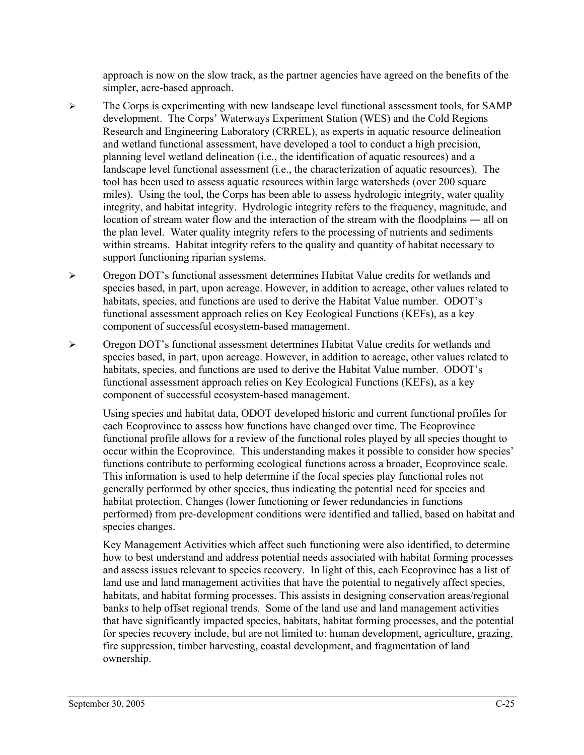approach is now on the slow track, as the partner agencies have agreed on the benefits of the simpler, acre-based approach.

- $\triangleright$  The Corps is experimenting with new landscape level functional assessment tools, for SAMP development. The Corps' Waterways Experiment Station (WES) and the Cold Regions Research and Engineering Laboratory (CRREL), as experts in aquatic resource delineation and wetland functional assessment, have developed a tool to conduct a high precision, planning level wetland delineation (i.e., the identification of aquatic resources) and a landscape level functional assessment (i.e., the characterization of aquatic resources). The tool has been used to assess aquatic resources within large watersheds (over 200 square miles). Using the tool, the Corps has been able to assess hydrologic integrity, water quality integrity, and habitat integrity. Hydrologic integrity refers to the frequency, magnitude, and location of stream water flow and the interaction of the stream with the floodplains ― all on the plan level. Water quality integrity refers to the processing of nutrients and sediments within streams. Habitat integrity refers to the quality and quantity of habitat necessary to support functioning riparian systems.
- ¾ Oregon DOT's functional assessment determines Habitat Value credits for wetlands and species based, in part, upon acreage. However, in addition to acreage, other values related to habitats, species, and functions are used to derive the Habitat Value number. ODOT's functional assessment approach relies on Key Ecological Functions (KEFs), as a key component of successful ecosystem-based management.
- ¾ Oregon DOT's functional assessment determines Habitat Value credits for wetlands and species based, in part, upon acreage. However, in addition to acreage, other values related to habitats, species, and functions are used to derive the Habitat Value number. ODOT's functional assessment approach relies on Key Ecological Functions (KEFs), as a key component of successful ecosystem-based management.

Using species and habitat data, ODOT developed historic and current functional profiles for each Ecoprovince to assess how functions have changed over time. The Ecoprovince functional profile allows for a review of the functional roles played by all species thought to occur within the Ecoprovince. This understanding makes it possible to consider how species' functions contribute to performing ecological functions across a broader, Ecoprovince scale. This information is used to help determine if the focal species play functional roles not generally performed by other species, thus indicating the potential need for species and habitat protection. Changes (lower functioning or fewer redundancies in functions performed) from pre-development conditions were identified and tallied, based on habitat and species changes.

Key Management Activities which affect such functioning were also identified, to determine how to best understand and address potential needs associated with habitat forming processes and assess issues relevant to species recovery. In light of this, each Ecoprovince has a list of land use and land management activities that have the potential to negatively affect species, habitats, and habitat forming processes. This assists in designing conservation areas/regional banks to help offset regional trends. Some of the land use and land management activities that have significantly impacted species, habitats, habitat forming processes, and the potential for species recovery include, but are not limited to: human development, agriculture, grazing, fire suppression, timber harvesting, coastal development, and fragmentation of land ownership.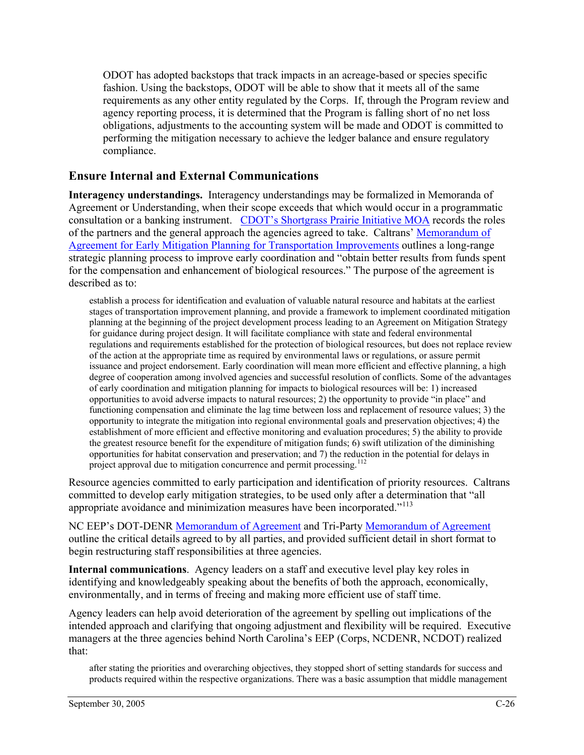ODOT has adopted backstops that track impacts in an acreage-based or species specific fashion. Using the backstops, ODOT will be able to show that it meets all of the same requirements as any other entity regulated by the Corps. If, through the Program review and agency reporting process, it is determined that the Program is falling short of no net loss obligations, adjustments to the accounting system will be made and ODOT is committed to performing the mitigation necessary to achieve the ledger balance and ensure regulatory compliance.

### **Ensure Internal and External Communications**

**Interagency understandings.** Interagency understandings may be formalized in Memoranda of Agreement or Understanding, when their scope exceeds that which would occur in a programmatic consultation or a banking instrument. [CDOT's Shortgrass Prairie Initiative MOA](http://environment.fhwa.dot.gov/strmlng/comoa.htm) records the roles of the partners and the general approach the agencies agreed to take. Caltrans' [Memorandum of](http://www.fhwa.dot.gov/cadiv/pre/moajoan.htm)  [Agreement for Early Mitigation Planning for Transportation Improvements](http://www.fhwa.dot.gov/cadiv/pre/moajoan.htm) outlines a long-range strategic planning process to improve early coordination and "obtain better results from funds spent for the compensation and enhancement of biological resources." The purpose of the agreement is described as to:

establish a process for identification and evaluation of valuable natural resource and habitats at the earliest stages of transportation improvement planning, and provide a framework to implement coordinated mitigation planning at the beginning of the project development process leading to an Agreement on Mitigation Strategy for guidance during project design. It will facilitate compliance with state and federal environmental regulations and requirements established for the protection of biological resources, but does not replace review of the action at the appropriate time as required by environmental laws or regulations, or assure permit issuance and project endorsement. Early coordination will mean more efficient and effective planning, a high degree of cooperation among involved agencies and successful resolution of conflicts. Some of the advantages of early coordination and mitigation planning for impacts to biological resources will be: 1) increased opportunities to avoid adverse impacts to natural resources; 2) the opportunity to provide "in place" and functioning compensation and eliminate the lag time between loss and replacement of resource values; 3) the opportunity to integrate the mitigation into regional environmental goals and preservation objectives; 4) the establishment of more efficient and effective monitoring and evaluation procedures; 5) the ability to provide the greatest resource benefit for the expenditure of mitigation funds; 6) swift utilization of the diminishing opportunities for habitat conservation and preservation; and 7) the reduction in the potential for delays in project approval due to mitigation concurrence and permit processing.<sup>[112](#page-83-0)</sup>

Resource agencies committed to early participation and identification of priority resources. Caltrans committed to develop early mitigation strategies, to be used only after a determination that "all appropriate avoidance and minimization measures have been incorporated."[113](#page-83-0)

NC EEP's DOT-DENR [Memorandum of Agreement](http://www.nceep.net/images/2004%20two-party%20MOA.pdf) and Tri-Party [Memorandum of Agreement](http://www.nceep.net/images/Final%20MOA.pdf) outline the critical details agreed to by all parties, and provided sufficient detail in short format to begin restructuring staff responsibilities at three agencies.

**Internal communications**. Agency leaders on a staff and executive level play key roles in identifying and knowledgeably speaking about the benefits of both the approach, economically, environmentally, and in terms of freeing and making more efficient use of staff time.

Agency leaders can help avoid deterioration of the agreement by spelling out implications of the intended approach and clarifying that ongoing adjustment and flexibility will be required. Executive managers at the three agencies behind North Carolina's EEP (Corps, NCDENR, NCDOT) realized that:

after stating the priorities and overarching objectives, they stopped short of setting standards for success and products required within the respective organizations. There was a basic assumption that middle management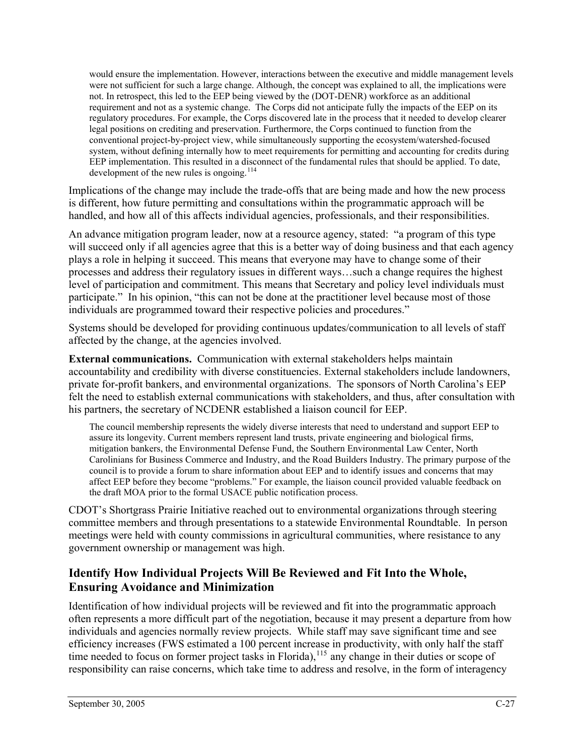would ensure the implementation. However, interactions between the executive and middle management levels were not sufficient for such a large change. Although, the concept was explained to all, the implications were not. In retrospect, this led to the EEP being viewed by the (DOT-DENR) workforce as an additional requirement and not as a systemic change. The Corps did not anticipate fully the impacts of the EEP on its regulatory procedures. For example, the Corps discovered late in the process that it needed to develop clearer legal positions on crediting and preservation. Furthermore, the Corps continued to function from the conventional project-by-project view, while simultaneously supporting the ecosystem/watershed-focused system, without defining internally how to meet requirements for permitting and accounting for credits during EEP implementation. This resulted in a disconnect of the fundamental rules that should be applied. To date, development of the new rules is ongoing. $114$ 

Implications of the change may include the trade-offs that are being made and how the new process is different, how future permitting and consultations within the programmatic approach will be handled, and how all of this affects individual agencies, professionals, and their responsibilities.

An advance mitigation program leader, now at a resource agency, stated: "a program of this type will succeed only if all agencies agree that this is a better way of doing business and that each agency plays a role in helping it succeed. This means that everyone may have to change some of their processes and address their regulatory issues in different ways…such a change requires the highest level of participation and commitment. This means that Secretary and policy level individuals must participate." In his opinion, "this can not be done at the practitioner level because most of those individuals are programmed toward their respective policies and procedures."

Systems should be developed for providing continuous updates/communication to all levels of staff affected by the change, at the agencies involved.

**External communications.** Communication with external stakeholders helps maintain accountability and credibility with diverse constituencies. External stakeholders include landowners, private for-profit bankers, and environmental organizations. The sponsors of North Carolina's EEP felt the need to establish external communications with stakeholders, and thus, after consultation with his partners, the secretary of NCDENR established a liaison council for EEP.

The council membership represents the widely diverse interests that need to understand and support EEP to assure its longevity. Current members represent land trusts, private engineering and biological firms, mitigation bankers, the Environmental Defense Fund, the Southern Environmental Law Center, North Carolinians for Business Commerce and Industry, and the Road Builders Industry. The primary purpose of the council is to provide a forum to share information about EEP and to identify issues and concerns that may affect EEP before they become "problems." For example, the liaison council provided valuable feedback on the draft MOA prior to the formal USACE public notification process.

CDOT's Shortgrass Prairie Initiative reached out to environmental organizations through steering committee members and through presentations to a statewide Environmental Roundtable. In person meetings were held with county commissions in agricultural communities, where resistance to any government ownership or management was high.

## **Identify How Individual Projects Will Be Reviewed and Fit Into the Whole, Ensuring Avoidance and Minimization**

Identification of how individual projects will be reviewed and fit into the programmatic approach often represents a more difficult part of the negotiation, because it may present a departure from how individuals and agencies normally review projects. While staff may save significant time and see efficiency increases (FWS estimated a 100 percent increase in productivity, with only half the staff time needed to focus on former project tasks in Florida),<sup>[115](#page-83-0)</sup> any change in their duties or scope of responsibility can raise concerns, which take time to address and resolve, in the form of interagency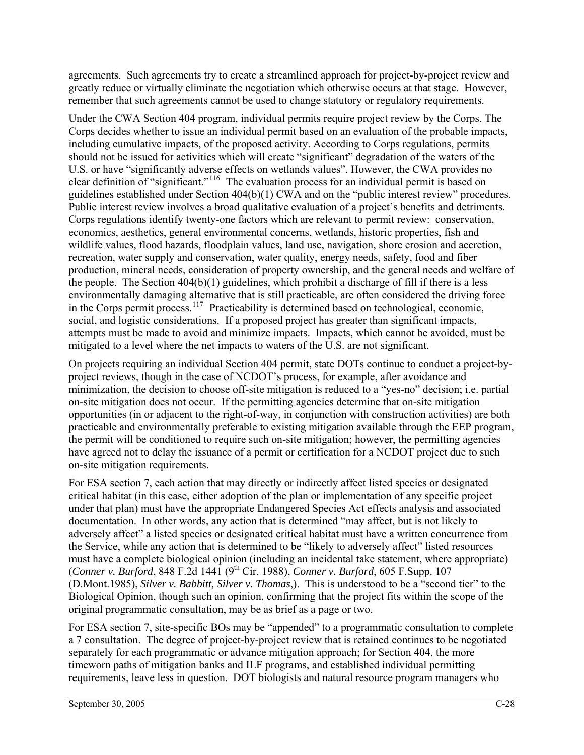agreements. Such agreements try to create a streamlined approach for project-by-project review and greatly reduce or virtually eliminate the negotiation which otherwise occurs at that stage. However, remember that such agreements cannot be used to change statutory or regulatory requirements.

Under the CWA Section 404 program, individual permits require project review by the Corps. The Corps decides whether to issue an individual permit based on an evaluation of the probable impacts, including cumulative impacts, of the proposed activity. According to Corps regulations, permits should not be issued for activities which will create "significant" degradation of the waters of the U.S. or have "significantly adverse effects on wetlands values". However, the CWA provides no clear definition of "significant."[116](#page-83-0) The evaluation process for an individual permit is based on guidelines established under Section 404(b)(1) CWA and on the "public interest review" procedures. Public interest review involves a broad qualitative evaluation of a project's benefits and detriments. Corps regulations identify twenty-one factors which are relevant to permit review: conservation, economics, aesthetics, general environmental concerns, wetlands, historic properties, fish and wildlife values, flood hazards, floodplain values, land use, navigation, shore erosion and accretion, recreation, water supply and conservation, water quality, energy needs, safety, food and fiber production, mineral needs, consideration of property ownership, and the general needs and welfare of the people. The Section 404(b)(1) guidelines, which prohibit a discharge of fill if there is a less environmentally damaging alternative that is still practicable, are often considered the driving force in the Corps permit process.<sup>[117](#page-83-0)</sup> Practicability is determined based on technological, economic, social, and logistic considerations. If a proposed project has greater than significant impacts, attempts must be made to avoid and minimize impacts. Impacts, which cannot be avoided, must be mitigated to a level where the net impacts to waters of the U.S. are not significant.

On projects requiring an individual Section 404 permit, state DOTs continue to conduct a project-byproject reviews, though in the case of NCDOT's process, for example, after avoidance and minimization, the decision to choose off-site mitigation is reduced to a "yes-no" decision; i.e. partial on-site mitigation does not occur. If the permitting agencies determine that on-site mitigation opportunities (in or adjacent to the right-of-way, in conjunction with construction activities) are both practicable and environmentally preferable to existing mitigation available through the EEP program, the permit will be conditioned to require such on-site mitigation; however, the permitting agencies have agreed not to delay the issuance of a permit or certification for a NCDOT project due to such on-site mitigation requirements.

For ESA section 7, each action that may directly or indirectly affect listed species or designated critical habitat (in this case, either adoption of the plan or implementation of any specific project under that plan) must have the appropriate Endangered Species Act effects analysis and associated documentation. In other words, any action that is determined "may affect, but is not likely to adversely affect" a listed species or designated critical habitat must have a written concurrence from the Service, while any action that is determined to be "likely to adversely affect" listed resources must have a complete biological opinion (including an incidental take statement, where appropriate) (*Conner v. Burford*, 848 F.2d 1441 (9th Cir. 1988), *Conner v. Burford*, 605 F.Supp. 107 (D.Mont.1985), *Silver v. Babbitt, Silver v. Thomas*,). This is understood to be a "second tier" to the Biological Opinion, though such an opinion, confirming that the project fits within the scope of the original programmatic consultation, may be as brief as a page or two.

For ESA section 7, site-specific BOs may be "appended" to a programmatic consultation to complete a 7 consultation. The degree of project-by-project review that is retained continues to be negotiated separately for each programmatic or advance mitigation approach; for Section 404, the more timeworn paths of mitigation banks and ILF programs, and established individual permitting requirements, leave less in question. DOT biologists and natural resource program managers who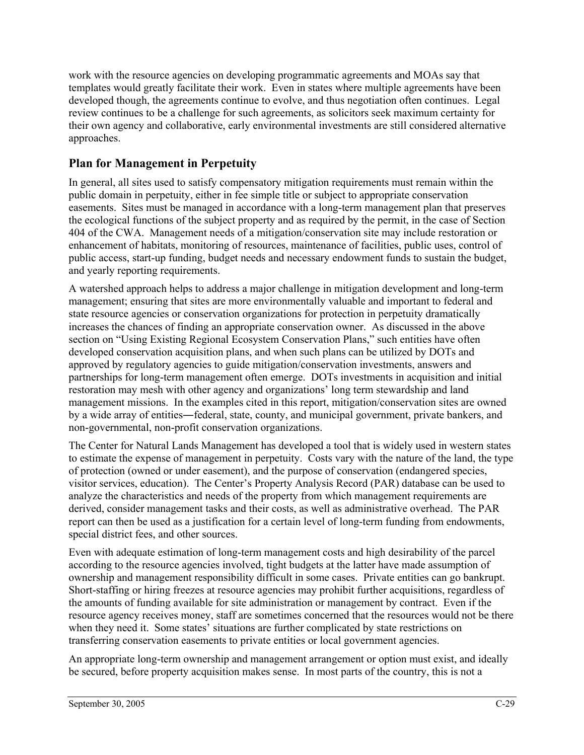work with the resource agencies on developing programmatic agreements and MOAs say that templates would greatly facilitate their work. Even in states where multiple agreements have been developed though, the agreements continue to evolve, and thus negotiation often continues. Legal review continues to be a challenge for such agreements, as solicitors seek maximum certainty for their own agency and collaborative, early environmental investments are still considered alternative approaches.

### **Plan for Management in Perpetuity**

In general, all sites used to satisfy compensatory mitigation requirements must remain within the public domain in perpetuity, either in fee simple title or subject to appropriate conservation easements. Sites must be managed in accordance with a long-term management plan that preserves the ecological functions of the subject property and as required by the permit, in the case of Section 404 of the CWA. Management needs of a mitigation/conservation site may include restoration or enhancement of habitats, monitoring of resources, maintenance of facilities, public uses, control of public access, start-up funding, budget needs and necessary endowment funds to sustain the budget, and yearly reporting requirements.

A watershed approach helps to address a major challenge in mitigation development and long-term management; ensuring that sites are more environmentally valuable and important to federal and state resource agencies or conservation organizations for protection in perpetuity dramatically increases the chances of finding an appropriate conservation owner. As discussed in the above section on "Using Existing Regional Ecosystem Conservation Plans," such entities have often developed conservation acquisition plans, and when such plans can be utilized by DOTs and approved by regulatory agencies to guide mitigation/conservation investments, answers and partnerships for long-term management often emerge. DOTs investments in acquisition and initial restoration may mesh with other agency and organizations' long term stewardship and land management missions. In the examples cited in this report, mitigation/conservation sites are owned by a wide array of entities―federal, state, county, and municipal government, private bankers, and non-governmental, non-profit conservation organizations.

The Center for Natural Lands Management has developed a tool that is widely used in western states to estimate the expense of management in perpetuity. Costs vary with the nature of the land, the type of protection (owned or under easement), and the purpose of conservation (endangered species, visitor services, education). The Center's Property Analysis Record (PAR) database can be used to analyze the characteristics and needs of the property from which management requirements are derived, consider management tasks and their costs, as well as administrative overhead. The PAR report can then be used as a justification for a certain level of long-term funding from endowments, special district fees, and other sources.

Even with adequate estimation of long-term management costs and high desirability of the parcel according to the resource agencies involved, tight budgets at the latter have made assumption of ownership and management responsibility difficult in some cases. Private entities can go bankrupt. Short-staffing or hiring freezes at resource agencies may prohibit further acquisitions, regardless of the amounts of funding available for site administration or management by contract. Even if the resource agency receives money, staff are sometimes concerned that the resources would not be there when they need it. Some states' situations are further complicated by state restrictions on transferring conservation easements to private entities or local government agencies.

An appropriate long-term ownership and management arrangement or option must exist, and ideally be secured, before property acquisition makes sense. In most parts of the country, this is not a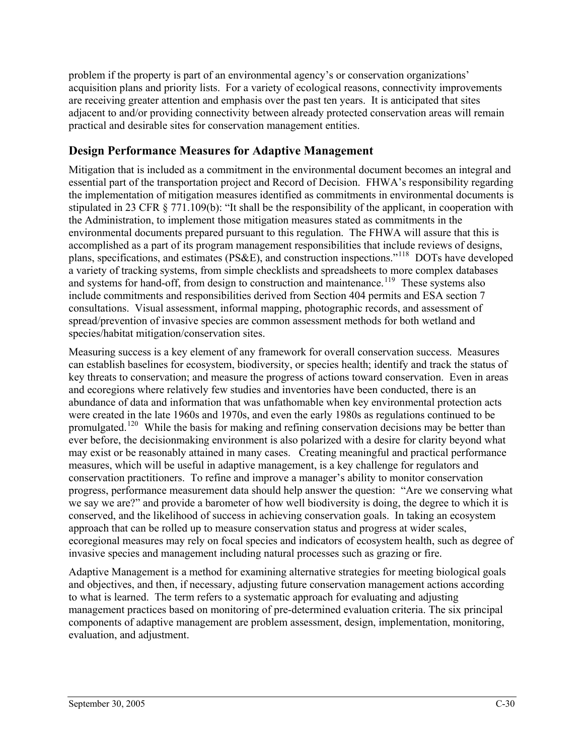problem if the property is part of an environmental agency's or conservation organizations' acquisition plans and priority lists. For a variety of ecological reasons, connectivity improvements are receiving greater attention and emphasis over the past ten years. It is anticipated that sites adjacent to and/or providing connectivity between already protected conservation areas will remain practical and desirable sites for conservation management entities.

## **Design Performance Measures for Adaptive Management**

Mitigation that is included as a commitment in the environmental document becomes an integral and essential part of the transportation project and Record of Decision. FHWA's responsibility regarding the implementation of mitigation measures identified as commitments in environmental documents is stipulated in 23 CFR § 771.109(b): "It shall be the responsibility of the applicant, in cooperation with the Administration, to implement those mitigation measures stated as commitments in the environmental documents prepared pursuant to this regulation. The FHWA will assure that this is accomplished as a part of its program management responsibilities that include reviews of designs, plans, specifications, and estimates (PS&E), and construction inspections."[118](#page-83-0) DOTs have developed a variety of tracking systems, from simple checklists and spreadsheets to more complex databases and systems for hand-off, from design to construction and maintenance.<sup>[119](#page-83-0)</sup> These systems also include commitments and responsibilities derived from Section 404 permits and ESA section 7 consultations. Visual assessment, informal mapping, photographic records, and assessment of spread/prevention of invasive species are common assessment methods for both wetland and species/habitat mitigation/conservation sites.

Measuring success is a key element of any framework for overall conservation success. Measures can establish baselines for ecosystem, biodiversity, or species health; identify and track the status of key threats to conservation; and measure the progress of actions toward conservation. Even in areas and ecoregions where relatively few studies and inventories have been conducted, there is an abundance of data and information that was unfathomable when key environmental protection acts were created in the late 1960s and 1970s, and even the early 1980s as regulations continued to be promulgated.<sup>[120](#page-83-0)</sup> While the basis for making and refining conservation decisions may be better than ever before, the decisionmaking environment is also polarized with a desire for clarity beyond what may exist or be reasonably attained in many cases. Creating meaningful and practical performance measures, which will be useful in adaptive management, is a key challenge for regulators and conservation practitioners. To refine and improve a manager's ability to monitor conservation progress, performance measurement data should help answer the question: "Are we conserving what we say we are?" and provide a barometer of how well biodiversity is doing, the degree to which it is conserved, and the likelihood of success in achieving conservation goals. In taking an ecosystem approach that can be rolled up to measure conservation status and progress at wider scales, ecoregional measures may rely on focal species and indicators of ecosystem health, such as degree of invasive species and management including natural processes such as grazing or fire.

Adaptive Management is a method for examining alternative strategies for meeting biological goals and objectives, and then, if necessary, adjusting future conservation management actions according to what is learned. The term refers to a systematic approach for evaluating and adjusting management practices based on monitoring of pre-determined evaluation criteria. The six principal components of adaptive management are problem assessment, design, implementation, monitoring, evaluation, and adjustment.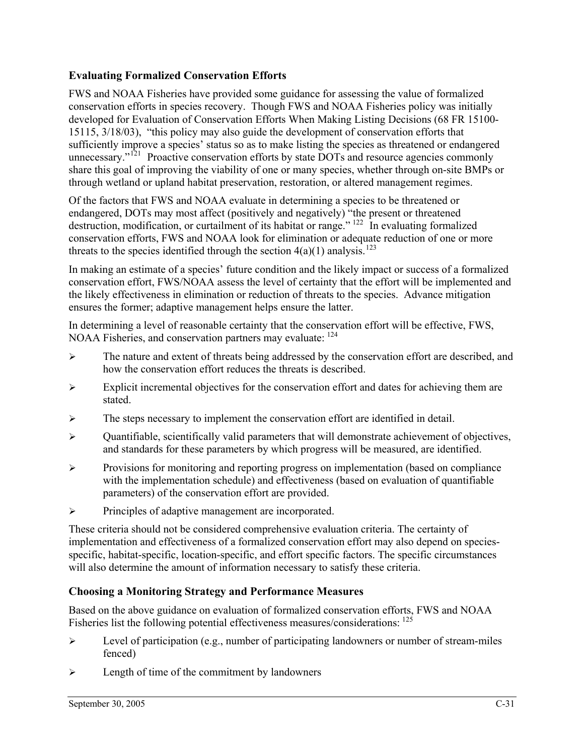### **Evaluating Formalized Conservation Efforts**

FWS and NOAA Fisheries have provided some guidance for assessing the value of formalized conservation efforts in species recovery. Though FWS and NOAA Fisheries policy was initially developed for Evaluation of Conservation Efforts When Making Listing Decisions (68 FR 15100- 15115, 3/18/03), "this policy may also guide the development of conservation efforts that sufficiently improve a species' status so as to make listing the species as threatened or endangered unnecessary."<sup>[121](#page-83-0)</sup> Proactive conservation efforts by state DOTs and resource agencies commonly share this goal of improving the viability of one or many species, whether through on-site BMPs or through wetland or upland habitat preservation, restoration, or altered management regimes.

Of the factors that FWS and NOAA evaluate in determining a species to be threatened or endangered, DOTs may most affect (positively and negatively) "the present or threatened destruction, modification, or curtailment of its habitat or range."  $122 \text{ T}$  $122 \text{ T}$  In evaluating formalized conservation efforts, FWS and NOAA look for elimination or adequate reduction of one or more threats to the species identified through the section  $4(a)(1)$  analysis.<sup>[123](#page-83-0)</sup>

In making an estimate of a species' future condition and the likely impact or success of a formalized conservation effort, FWS/NOAA assess the level of certainty that the effort will be implemented and the likely effectiveness in elimination or reduction of threats to the species. Advance mitigation ensures the former; adaptive management helps ensure the latter.

In determining a level of reasonable certainty that the conservation effort will be effective, FWS, NOAA Fisheries, and conservation partners may evaluate: [124](#page-83-0)

- ¾ The nature and extent of threats being addressed by the conservation effort are described, and how the conservation effort reduces the threats is described.
- $\triangleright$  Explicit incremental objectives for the conservation effort and dates for achieving them are stated.
- $\triangleright$  The steps necessary to implement the conservation effort are identified in detail.
- $\triangleright$  Quantifiable, scientifically valid parameters that will demonstrate achievement of objectives, and standards for these parameters by which progress will be measured, are identified.
- $\triangleright$  Provisions for monitoring and reporting progress on implementation (based on compliance with the implementation schedule) and effectiveness (based on evaluation of quantifiable parameters) of the conservation effort are provided.
- ¾ Principles of adaptive management are incorporated.

These criteria should not be considered comprehensive evaluation criteria. The certainty of implementation and effectiveness of a formalized conservation effort may also depend on speciesspecific, habitat-specific, location-specific, and effort specific factors. The specific circumstances will also determine the amount of information necessary to satisfy these criteria.

#### **Choosing a Monitoring Strategy and Performance Measures**

Based on the above guidance on evaluation of formalized conservation efforts, FWS and NOAA Fisheries list the following potential effectiveness measures/considerations: [125](#page-83-0)

- $\triangleright$  Level of participation (e.g., number of participating landowners or number of stream-miles fenced)
- $\triangleright$  Length of time of the commitment by landowners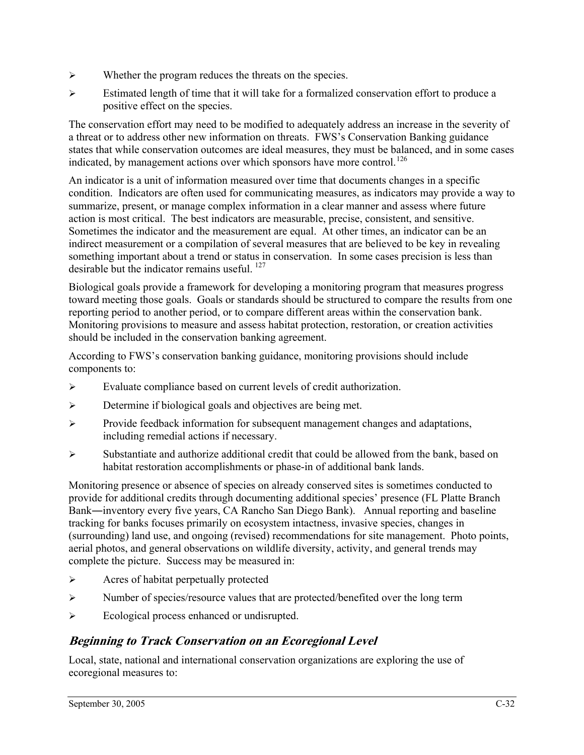- $\triangleright$  Whether the program reduces the threats on the species.
- ¾ Estimated length of time that it will take for a formalized conservation effort to produce a positive effect on the species.

The conservation effort may need to be modified to adequately address an increase in the severity of a threat or to address other new information on threats. FWS's Conservation Banking guidance states that while conservation outcomes are ideal measures, they must be balanced, and in some cases indicated, by management actions over which sponsors have more control.<sup>[126](#page-83-0)</sup>

An indicator is a unit of information measured over time that documents changes in a specific condition. Indicators are often used for communicating measures, as indicators may provide a way to summarize, present, or manage complex information in a clear manner and assess where future action is most critical. The best indicators are measurable, precise, consistent, and sensitive. Sometimes the indicator and the measurement are equal. At other times, an indicator can be an indirect measurement or a compilation of several measures that are believed to be key in revealing something important about a trend or status in conservation. In some cases precision is less than desirable but the indicator remains useful. [127](#page-83-0)

Biological goals provide a framework for developing a monitoring program that measures progress toward meeting those goals. Goals or standards should be structured to compare the results from one reporting period to another period, or to compare different areas within the conservation bank. Monitoring provisions to measure and assess habitat protection, restoration, or creation activities should be included in the conservation banking agreement.

According to FWS's conservation banking guidance, monitoring provisions should include components to:

- ¾ Evaluate compliance based on current levels of credit authorization.
- ¾ Determine if biological goals and objectives are being met.
- $\triangleright$  Provide feedback information for subsequent management changes and adaptations, including remedial actions if necessary.
- $\triangleright$  Substantiate and authorize additional credit that could be allowed from the bank, based on habitat restoration accomplishments or phase-in of additional bank lands.

Monitoring presence or absence of species on already conserved sites is sometimes conducted to provide for additional credits through documenting additional species' presence (FL Platte Branch Bank―inventory every five years, CA Rancho San Diego Bank). Annual reporting and baseline tracking for banks focuses primarily on ecosystem intactness, invasive species, changes in (surrounding) land use, and ongoing (revised) recommendations for site management. Photo points, aerial photos, and general observations on wildlife diversity, activity, and general trends may complete the picture. Success may be measured in:

- $\triangleright$  Acres of habitat perpetually protected
- ¾ Number of species/resource values that are protected/benefited over the long term
- ¾ Ecological process enhanced or undisrupted.

## **Beginning to Track Conservation on an Ecoregional Level**

Local, state, national and international conservation organizations are exploring the use of ecoregional measures to: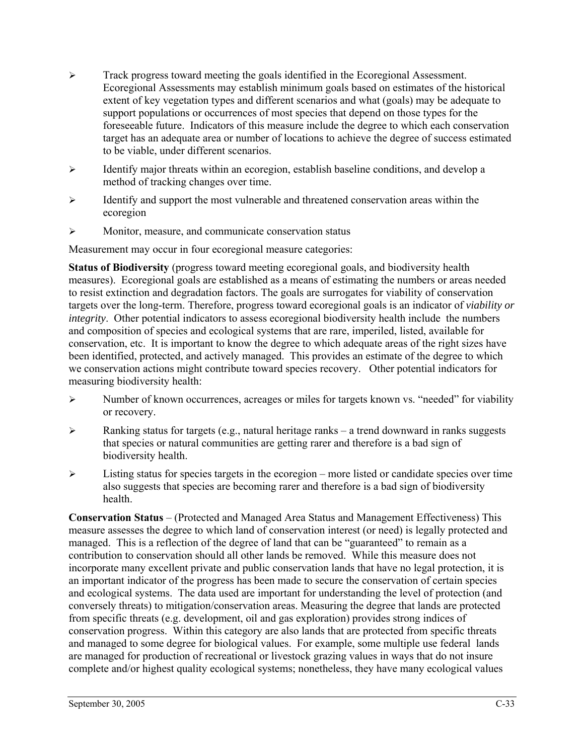- ¾ Track progress toward meeting the goals identified in the Ecoregional Assessment. Ecoregional Assessments may establish minimum goals based on estimates of the historical extent of key vegetation types and different scenarios and what (goals) may be adequate to support populations or occurrences of most species that depend on those types for the foreseeable future. Indicators of this measure include the degree to which each conservation target has an adequate area or number of locations to achieve the degree of success estimated to be viable, under different scenarios.
- $\triangleright$  Identify major threats within an ecoregion, establish baseline conditions, and develop a method of tracking changes over time.
- $\triangleright$  Identify and support the most vulnerable and threatened conservation areas within the ecoregion
- $\triangleright$  Monitor, measure, and communicate conservation status

Measurement may occur in four ecoregional measure categories:

**Status of Biodiversity** (progress toward meeting ecoregional goals, and biodiversity health measures). Ecoregional goals are established as a means of estimating the numbers or areas needed to resist extinction and degradation factors. The goals are surrogates for viability of conservation targets over the long-term. Therefore, progress toward ecoregional goals is an indicator of *viability or integrity*. Other potential indicators to assess ecoregional biodiversity health include the numbers and composition of species and ecological systems that are rare, imperiled, listed, available for conservation, etc. It is important to know the degree to which adequate areas of the right sizes have been identified, protected, and actively managed. This provides an estimate of the degree to which we conservation actions might contribute toward species recovery. Other potential indicators for measuring biodiversity health:

- $\triangleright$  Number of known occurrences, acreages or miles for targets known vs. "needed" for viability or recovery.
- $\triangleright$  Ranking status for targets (e.g., natural heritage ranks a trend downward in ranks suggests that species or natural communities are getting rarer and therefore is a bad sign of biodiversity health.
- $\triangleright$  Listing status for species targets in the ecoregion more listed or candidate species over time also suggests that species are becoming rarer and therefore is a bad sign of biodiversity health.

**Conservation Status** – (Protected and Managed Area Status and Management Effectiveness) This measure assesses the degree to which land of conservation interest (or need) is legally protected and managed. This is a reflection of the degree of land that can be "guaranteed" to remain as a contribution to conservation should all other lands be removed. While this measure does not incorporate many excellent private and public conservation lands that have no legal protection, it is an important indicator of the progress has been made to secure the conservation of certain species and ecological systems. The data used are important for understanding the level of protection (and conversely threats) to mitigation/conservation areas. Measuring the degree that lands are protected from specific threats (e.g. development, oil and gas exploration) provides strong indices of conservation progress. Within this category are also lands that are protected from specific threats and managed to some degree for biological values. For example, some multiple use federal lands are managed for production of recreational or livestock grazing values in ways that do not insure complete and/or highest quality ecological systems; nonetheless, they have many ecological values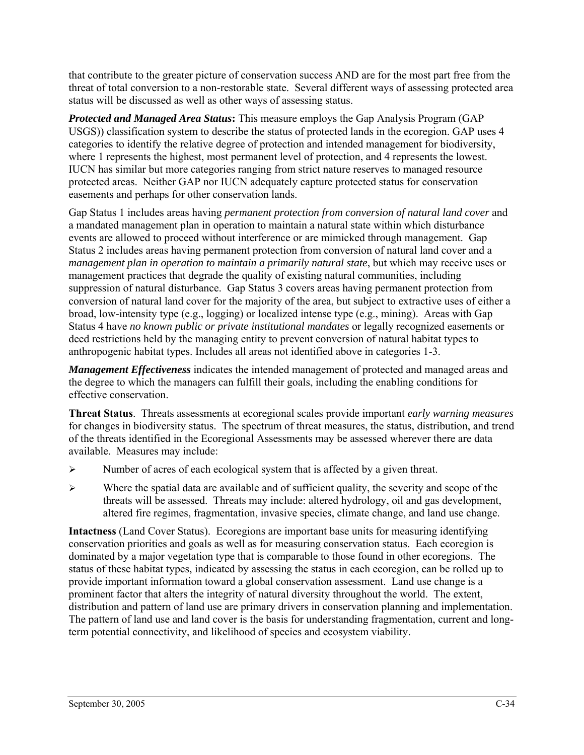that contribute to the greater picture of conservation success AND are for the most part free from the threat of total conversion to a non-restorable state. Several different ways of assessing protected area status will be discussed as well as other ways of assessing status.

*Protected and Managed Area Status***:** This measure employs the Gap Analysis Program (GAP USGS)) classification system to describe the status of protected lands in the ecoregion. GAP uses 4 categories to identify the relative degree of protection and intended management for biodiversity, where 1 represents the highest, most permanent level of protection, and 4 represents the lowest. IUCN has similar but more categories ranging from strict nature reserves to managed resource protected areas. Neither GAP nor IUCN adequately capture protected status for conservation easements and perhaps for other conservation lands.

Gap Status 1 includes areas having *permanent protection from conversion of natural land cover* and a mandated management plan in operation to maintain a natural state within which disturbance events are allowed to proceed without interference or are mimicked through management. Gap Status 2 includes areas having permanent protection from conversion of natural land cover and a *management plan in operation to maintain a primarily natural state*, but which may receive uses or management practices that degrade the quality of existing natural communities, including suppression of natural disturbance. Gap Status 3 covers areas having permanent protection from conversion of natural land cover for the majority of the area, but subject to extractive uses of either a broad, low-intensity type (e.g., logging) or localized intense type (e.g., mining). Areas with Gap Status 4 have *no known public or private institutional mandates* or legally recognized easements or deed restrictions held by the managing entity to prevent conversion of natural habitat types to anthropogenic habitat types. Includes all areas not identified above in categories 1-3.

*Management Effectiveness* indicates the intended management of protected and managed areas and the degree to which the managers can fulfill their goals, including the enabling conditions for effective conservation.

**Threat Status**. Threats assessments at ecoregional scales provide important *early warning measures* for changes in biodiversity status. The spectrum of threat measures, the status, distribution, and trend of the threats identified in the Ecoregional Assessments may be assessed wherever there are data available. Measures may include:

- $\triangleright$  Number of acres of each ecological system that is affected by a given threat.
- $\triangleright$  Where the spatial data are available and of sufficient quality, the severity and scope of the threats will be assessed. Threats may include: altered hydrology, oil and gas development, altered fire regimes, fragmentation, invasive species, climate change, and land use change.

**Intactness** (Land Cover Status). Ecoregions are important base units for measuring identifying conservation priorities and goals as well as for measuring conservation status. Each ecoregion is dominated by a major vegetation type that is comparable to those found in other ecoregions. The status of these habitat types, indicated by assessing the status in each ecoregion, can be rolled up to provide important information toward a global conservation assessment. Land use change is a prominent factor that alters the integrity of natural diversity throughout the world. The extent, distribution and pattern of land use are primary drivers in conservation planning and implementation. The pattern of land use and land cover is the basis for understanding fragmentation, current and longterm potential connectivity, and likelihood of species and ecosystem viability.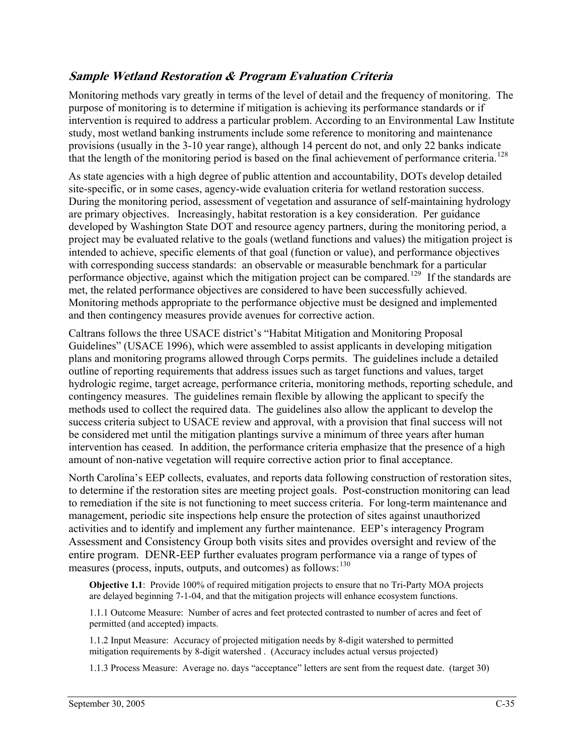## **Sample Wetland Restoration & Program Evaluation Criteria**

Monitoring methods vary greatly in terms of the level of detail and the frequency of monitoring. The purpose of monitoring is to determine if mitigation is achieving its performance standards or if intervention is required to address a particular problem. According to an Environmental Law Institute study, most wetland banking instruments include some reference to monitoring and maintenance provisions (usually in the 3-10 year range), although 14 percent do not, and only 22 banks indicate that the length of the monitoring period is based on the final achievement of performance criteria.<sup>[128](#page-83-0)</sup>

As state agencies with a high degree of public attention and accountability, DOTs develop detailed site-specific, or in some cases, agency-wide evaluation criteria for wetland restoration success. During the monitoring period, assessment of vegetation and assurance of self-maintaining hydrology are primary objectives. Increasingly, habitat restoration is a key consideration. Per guidance developed by Washington State DOT and resource agency partners, during the monitoring period, a project may be evaluated relative to the goals (wetland functions and values) the mitigation project is intended to achieve, specific elements of that goal (function or value), and performance objectives with corresponding success standards: an observable or measurable benchmark for a particular performance objective, against which the mitigation project can be compared.<sup>[129](#page-83-0)</sup> If the standards are met, the related performance objectives are considered to have been successfully achieved. Monitoring methods appropriate to the performance objective must be designed and implemented and then contingency measures provide avenues for corrective action.

Caltrans follows the three USACE district's "Habitat Mitigation and Monitoring Proposal Guidelines" (USACE 1996), which were assembled to assist applicants in developing mitigation plans and monitoring programs allowed through Corps permits. The guidelines include a detailed outline of reporting requirements that address issues such as target functions and values, target hydrologic regime, target acreage, performance criteria, monitoring methods, reporting schedule, and contingency measures. The guidelines remain flexible by allowing the applicant to specify the methods used to collect the required data. The guidelines also allow the applicant to develop the success criteria subject to USACE review and approval, with a provision that final success will not be considered met until the mitigation plantings survive a minimum of three years after human intervention has ceased. In addition, the performance criteria emphasize that the presence of a high amount of non-native vegetation will require corrective action prior to final acceptance.

North Carolina's EEP collects, evaluates, and reports data following construction of restoration sites, to determine if the restoration sites are meeting project goals. Post-construction monitoring can lead to remediation if the site is not functioning to meet success criteria. For long-term maintenance and management, periodic site inspections help ensure the protection of sites against unauthorized activities and to identify and implement any further maintenance. EEP's interagency Program Assessment and Consistency Group both visits sites and provides oversight and review of the entire program. DENR-EEP further evaluates program performance via a range of types of measures (process, inputs, outputs, and outcomes) as follows:[130](#page-83-0)

**Objective 1.1**: Provide 100% of required mitigation projects to ensure that no Tri-Party MOA projects are delayed beginning 7-1-04, and that the mitigation projects will enhance ecosystem functions.

1.1.1 Outcome Measure: Number of acres and feet protected contrasted to number of acres and feet of permitted (and accepted) impacts.

1.1.2 Input Measure: Accuracy of projected mitigation needs by 8-digit watershed to permitted mitigation requirements by 8-digit watershed . (Accuracy includes actual versus projected)

1.1.3 Process Measure: Average no. days "acceptance" letters are sent from the request date. (target 30)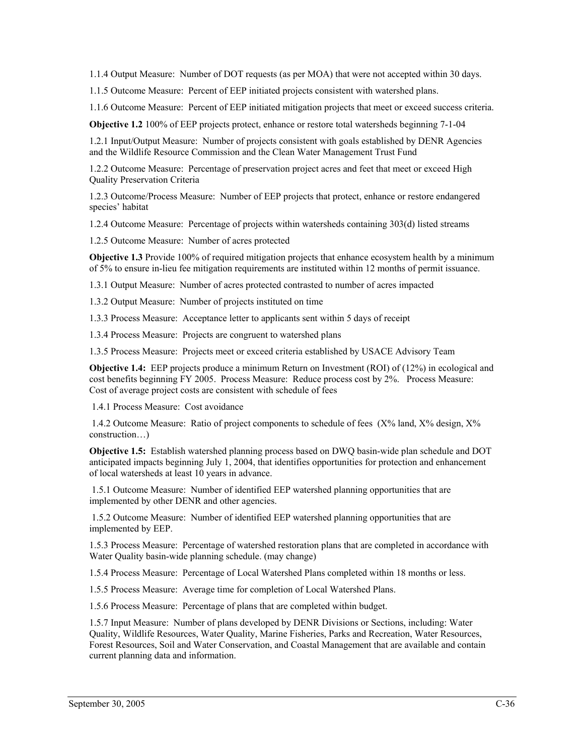1.1.4 Output Measure: Number of DOT requests (as per MOA) that were not accepted within 30 days.

1.1.5 Outcome Measure: Percent of EEP initiated projects consistent with watershed plans.

1.1.6 Outcome Measure: Percent of EEP initiated mitigation projects that meet or exceed success criteria.

**Objective 1.2** 100% of EEP projects protect, enhance or restore total watersheds beginning 7-1-04

1.2.1 Input/Output Measure: Number of projects consistent with goals established by DENR Agencies and the Wildlife Resource Commission and the Clean Water Management Trust Fund

1.2.2 Outcome Measure: Percentage of preservation project acres and feet that meet or exceed High Quality Preservation Criteria

1.2.3 Outcome/Process Measure: Number of EEP projects that protect, enhance or restore endangered species' habitat

1.2.4 Outcome Measure: Percentage of projects within watersheds containing 303(d) listed streams

1.2.5 Outcome Measure: Number of acres protected

**Objective 1.3** Provide 100% of required mitigation projects that enhance ecosystem health by a minimum of 5% to ensure in-lieu fee mitigation requirements are instituted within 12 months of permit issuance.

1.3.1 Output Measure: Number of acres protected contrasted to number of acres impacted

1.3.2 Output Measure: Number of projects instituted on time

1.3.3 Process Measure: Acceptance letter to applicants sent within 5 days of receipt

1.3.4 Process Measure: Projects are congruent to watershed plans

1.3.5 Process Measure: Projects meet or exceed criteria established by USACE Advisory Team

**Objective 1.4:** EEP projects produce a minimum Return on Investment (ROI) of (12%) in ecological and cost benefits beginning FY 2005. Process Measure: Reduce process cost by 2%. Process Measure: Cost of average project costs are consistent with schedule of fees

1.4.1 Process Measure: Cost avoidance

 1.4.2 Outcome Measure: Ratio of project components to schedule of fees (X% land, X% design, X% construction…)

**Objective 1.5:** Establish watershed planning process based on DWQ basin-wide plan schedule and DOT anticipated impacts beginning July 1, 2004, that identifies opportunities for protection and enhancement of local watersheds at least 10 years in advance.

 1.5.1 Outcome Measure: Number of identified EEP watershed planning opportunities that are implemented by other DENR and other agencies.

 1.5.2 Outcome Measure: Number of identified EEP watershed planning opportunities that are implemented by EEP.

1.5.3 Process Measure: Percentage of watershed restoration plans that are completed in accordance with Water Quality basin-wide planning schedule. (may change)

1.5.4 Process Measure: Percentage of Local Watershed Plans completed within 18 months or less.

1.5.5 Process Measure: Average time for completion of Local Watershed Plans.

1.5.6 Process Measure: Percentage of plans that are completed within budget.

1.5.7 Input Measure: Number of plans developed by DENR Divisions or Sections, including: Water Quality, Wildlife Resources, Water Quality, Marine Fisheries, Parks and Recreation, Water Resources, Forest Resources, Soil and Water Conservation, and Coastal Management that are available and contain current planning data and information.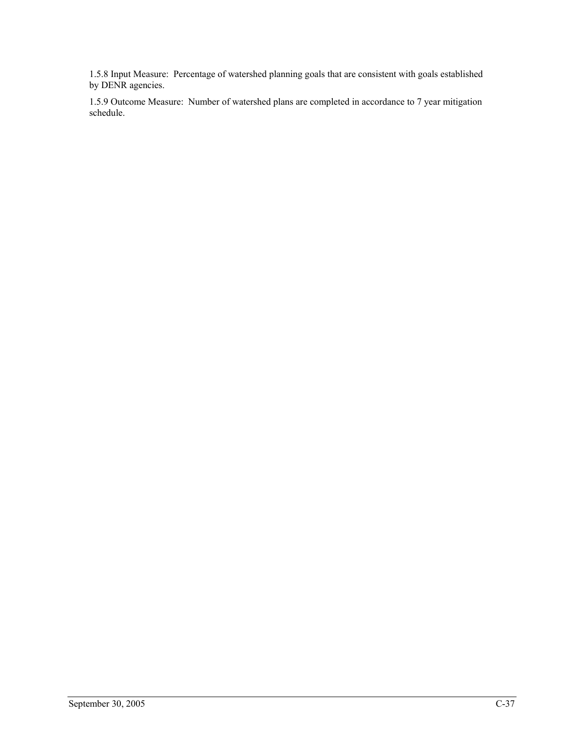1.5.8 Input Measure: Percentage of watershed planning goals that are consistent with goals established by DENR agencies.

1.5.9 Outcome Measure: Number of watershed plans are completed in accordance to 7 year mitigation schedule.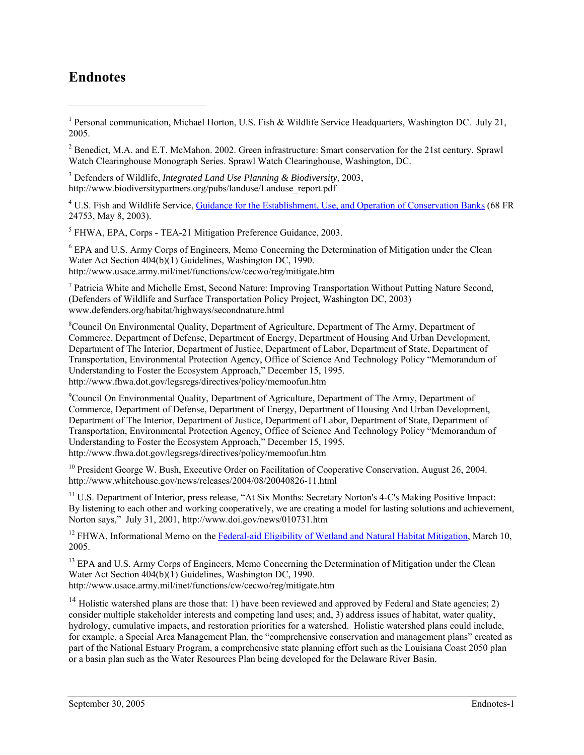## **Endnotes**

<sup>1</sup> Personal communication, Michael Horton, U.S. Fish & Wildlife Service Headquarters, Washington DC. July 21, 2005.

<sup>2</sup> Benedict, M.A. and E.T. McMahon. 2002. Green infrastructure: Smart conservation for the 21st century. Sprawl Watch Clearinghouse Monograph Series. Sprawl Watch Clearinghouse, Washington, DC.

3 Defenders of Wildlife, *Integrated Land Use Planning & Biodiversity,* 2003, http://www.biodiversitypartners.org/pubs/landuse/Landuse\_report.pdf

<sup>4</sup> U.S. Fish and Wildlife Service, [Guidance for the Establishment, Use, and Operation of Conservation Banks](http://endangered.fws.gov/policies/conservation-banking.pdf) (68 FR 24753, May 8, 2003).

<sup>5</sup> FHWA, EPA, Corps - TEA-21 Mitigation Preference Guidance, 2003.

<sup>6</sup> EPA and U.S. Army Corps of Engineers, Memo Concerning the Determination of Mitigation under the Clean Water Act Section 404(b)(1) Guidelines, Washington DC, 1990. http://www.usace.army.mil/inet/functions/cw/cecwo/reg/mitigate.htm

<sup>7</sup> Patricia White and Michelle Ernst, Second Nature: Improving Transportation Without Putting Nature Second, (Defenders of Wildlife and Surface Transportation Policy Project, Washington DC, 2003) www.defenders.org/habitat/highways/secondnature.html

<sup>8</sup>Council On Environmental Quality, Department of Agriculture, Department of The Army, Department of Commerce, Department of Defense, Department of Energy, Department of Housing And Urban Development, Department of The Interior, Department of Justice, Department of Labor, Department of State, Department of Transportation, Environmental Protection Agency, Office of Science And Technology Policy "Memorandum of Understanding to Foster the Ecosystem Approach," December 15, 1995. http://www.fhwa.dot.gov/legsregs/directives/policy/memoofun.htm

<sup>9</sup>Council On Environmental Quality, Department of Agriculture, Department of The Army, Department of Commerce, Department of Defense, Department of Energy, Department of Housing And Urban Development, Department of The Interior, Department of Justice, Department of Labor, Department of State, Department of Transportation, Environmental Protection Agency, Office of Science And Technology Policy "Memorandum of Understanding to Foster the Ecosystem Approach," December 15, 1995. http://www.fhwa.dot.gov/legsregs/directives/policy/memoofun.htm

<sup>10</sup> President George W. Bush, Executive Order on Facilitation of Cooperative Conservation, August 26, 2004. http://www.whitehouse.gov/news/releases/2004/08/20040826-11.html

<sup>11</sup> U.S. Department of Interior, press release, "At Six Months: Secretary Norton's 4-C's Making Positive Impact: By listening to each other and working cooperatively, we are creating a model for lasting solutions and achievement, Norton says," July 31, 2001, http://www.doi.gov/news/010731.htm

<sup>12</sup> FHWA, Informational Memo on the [Federal-aid Eligibility of Wetland and Natural Habitat Mitigation,](http://www.environment.transportation.org/documents/mitigation_guidance.doc) March 10, 2005.

<sup>13</sup> EPA and U.S. Army Corps of Engineers, Memo Concerning the Determination of Mitigation under the Clean Water Act Section 404(b)(1) Guidelines, Washington DC, 1990. http://www.usace.army.mil/inet/functions/cw/cecwo/reg/mitigate.htm

<sup>14</sup> Holistic watershed plans are those that: 1) have been reviewed and approved by Federal and State agencies; 2) consider multiple stakeholder interests and competing land uses; and, 3) address issues of habitat, water quality, hydrology, cumulative impacts, and restoration priorities for a watershed. Holistic watershed plans could include, for example, a Special Area Management Plan, the "comprehensive conservation and management plans" created as part of the National Estuary Program, a comprehensive state planning effort such as the Louisiana Coast 2050 plan or a basin plan such as the Water Resources Plan being developed for the Delaware River Basin.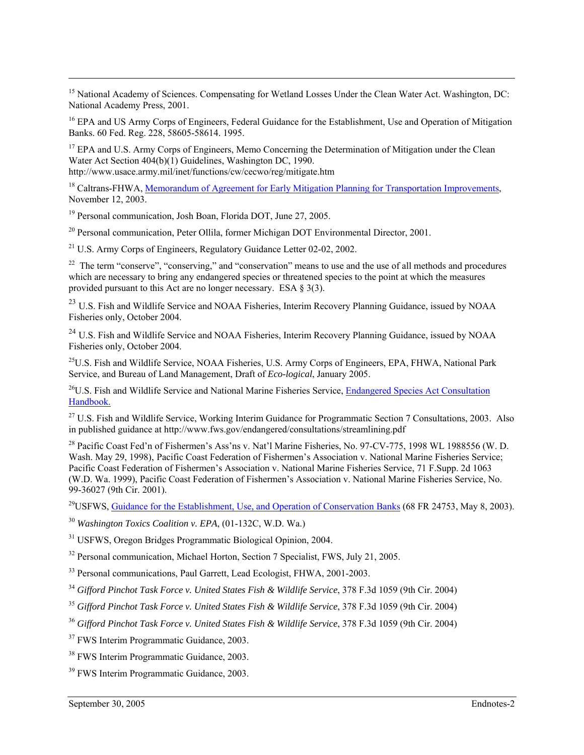<sup>15</sup> National Academy of Sciences. Compensating for Wetland Losses Under the Clean Water Act. Washington, DC: National Academy Press, 2001.

<sup>16</sup> EPA and US Army Corps of Engineers, Federal Guidance for the Establishment, Use and Operation of Mitigation Banks. 60 Fed. Reg. 228, 58605-58614. 1995.

<sup>17</sup> EPA and U.S. Army Corps of Engineers, Memo Concerning the Determination of Mitigation under the Clean Water Act Section  $404(b)(1)$  Guidelines, Washington DC, 1990.

http://www.usace.army.mil/inet/functions/cw/cecwo/reg/mitigate.htm

<sup>18</sup> Caltrans-FHWA, [Memorandum of Agreement for Early Mitigation Planning for Transportation Improvements](http://www.fhwa.dot.gov/cadiv/pre/moajoan.htm), November 12, 2003.

<sup>19</sup> Personal communication, Josh Boan, Florida DOT, June 27, 2005.

20 Personal communication, Peter Ollila, former Michigan DOT Environmental Director, 2001.

 $^{21}$  U.S. Army Corps of Engineers, Regulatory Guidance Letter 02-02, 2002.

<sup>22</sup> The term "conserve", "conserving," and "conservation" means to use and the use of all methods and procedures which are necessary to bring any endangered species or threatened species to the point at which the measures provided pursuant to this Act are no longer necessary. ESA § 3(3).

<sup>23</sup> U.S. Fish and Wildlife Service and NOAA Fisheries, Interim Recovery Planning Guidance, issued by NOAA Fisheries only, October 2004.

<sup>24</sup> U.S. Fish and Wildlife Service and NOAA Fisheries, Interim Recovery Planning Guidance, issued by NOAA Fisheries only, October 2004.

<sup>25</sup>U.S. Fish and Wildlife Service, NOAA Fisheries, U.S. Army Corps of Engineers, EPA, FHWA, National Park Service, and Bureau of Land Management, Draft of *Eco-logical*, January 2005.

<sup>26</sup>U.S. Fish and Wildlife Service and National Marine Fisheries Service, Endangered Species Act Consultation [Handbook.](http://www.fws.gov/endangered/consultations/s7hndbk/s7hndbk.htm)

<sup>27</sup> U.S. Fish and Wildlife Service, Working Interim Guidance for Programmatic Section 7 Consultations, 2003. Also in published guidance at http://www.fws.gov/endangered/consultations/streamlining.pdf

<sup>28</sup> Pacific Coast Fed'n of Fishermen's Ass'ns v. Nat'l Marine Fisheries, No. 97-CV-775, 1998 WL 1988556 (W. D. Wash. May 29, 1998), Pacific Coast Federation of Fishermen's Association v. National Marine Fisheries Service; Pacific Coast Federation of Fishermen's Association v. National Marine Fisheries Service, 71 F.Supp. 2d 1063 (W.D. Wa. 1999), Pacific Coast Federation of Fishermen's Association v. National Marine Fisheries Service, No. 99-36027 (9th Cir. 2001).

<sup>29</sup>USFWS, [Guidance for the Establishment, Use, and Operation of Conservation Banks](http://endangered.fws.gov/policies/conservation-banking.pdf) (68 FR 24753, May 8, 2003).

<sup>30</sup> *Washington Toxics Coalition v. EPA*, (01-132C, W.D. Wa.)

31 USFWS, Oregon Bridges Programmatic Biological Opinion, 2004.

<sup>32</sup> Personal communication, Michael Horton, Section 7 Specialist, FWS, July 21, 2005.

<sup>33</sup> Personal communications, Paul Garrett, Lead Ecologist, FHWA, 2001-2003.

<sup>34</sup> *Gifford Pinchot Task Force v. United States Fish & Wildlife Service*, 378 F.3d 1059 (9th Cir. 2004)

<sup>35</sup> *Gifford Pinchot Task Force v. United States Fish & Wildlife Service*, 378 F.3d 1059 (9th Cir. 2004)

<sup>36</sup> *Gifford Pinchot Task Force v. United States Fish & Wildlife Service*, 378 F.3d 1059 (9th Cir. 2004)

<sup>37</sup> FWS Interim Programmatic Guidance, 2003.

<sup>38</sup> FWS Interim Programmatic Guidance, 2003.

<sup>39</sup> FWS Interim Programmatic Guidance, 2003.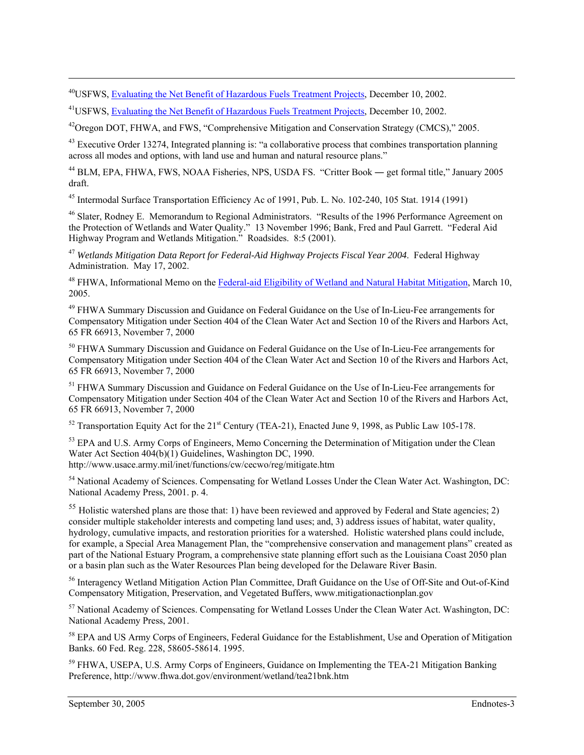<sup>40</sup>USFWS, [Evaluating the Net Benefit of Hazardous Fuels Treatment Projects](http://www.fws.gov/endangered/consultations/healthy_forest.pdf), December 10, 2002.

<sup>41</sup>USFWS, [Evaluating the Net Benefit of Hazardous Fuels Treatment Projects](http://www.fws.gov/endangered/consultations/healthy_forest.pdf), December 10, 2002.

<sup>42</sup> Oregon DOT, FHWA, and FWS, "Comprehensive Mitigation and Conservation Strategy (CMCS)," 2005.

<sup>43</sup> Executive Order 13274, Integrated planning is: "a collaborative process that combines transportation planning across all modes and options, with land use and human and natural resource plans."

44 BLM, EPA, FHWA, FWS, NOAA Fisheries, NPS, USDA FS. "Critter Book ― get formal title," January 2005 draft.

45 Intermodal Surface Transportation Efficiency Ac of 1991, Pub. L. No. 102-240, 105 Stat. 1914 (1991)

46 Slater, Rodney E. Memorandum to Regional Administrators. "Results of the 1996 Performance Agreement on the Protection of Wetlands and Water Quality." 13 November 1996; Bank, Fred and Paul Garrett. "Federal Aid Highway Program and Wetlands Mitigation." Roadsides. 8:5 (2001).

<sup>47</sup> *Wetlands Mitigation Data Report for Federal-Aid Highway Projects Fiscal Year 2004*. Federal Highway Administration. May 17, 2002.

<sup>48</sup> FHWA, Informational Memo on the [Federal-aid Eligibility of Wetland and Natural Habitat Mitigation,](http://www.environment.transportation.org/documents/mitigation_guidance.doc) March 10, 2005.

<sup>49</sup> FHWA Summary Discussion and Guidance on Federal Guidance on the Use of In-Lieu-Fee arrangements for Compensatory Mitigation under Section 404 of the Clean Water Act and Section 10 of the Rivers and Harbors Act, 65 FR 66913, November 7, 2000

<sup>50</sup> FHWA Summary Discussion and Guidance on Federal Guidance on the Use of In-Lieu-Fee arrangements for Compensatory Mitigation under Section 404 of the Clean Water Act and Section 10 of the Rivers and Harbors Act, 65 FR 66913, November 7, 2000

<sup>51</sup> FHWA Summary Discussion and Guidance on Federal Guidance on the Use of In-Lieu-Fee arrangements for Compensatory Mitigation under Section 404 of the Clean Water Act and Section 10 of the Rivers and Harbors Act, 65 FR 66913, November 7, 2000

 $52$  Transportation Equity Act for the 21<sup>st</sup> Century (TEA-21), Enacted June 9, 1998, as Public Law 105-178.

<sup>53</sup> EPA and U.S. Army Corps of Engineers, Memo Concerning the Determination of Mitigation under the Clean Water Act Section 404(b)(1) Guidelines, Washington DC, 1990. http://www.usace.army.mil/inet/functions/cw/cecwo/reg/mitigate.htm

<sup>54</sup> National Academy of Sciences. Compensating for Wetland Losses Under the Clean Water Act. Washington, DC: National Academy Press, 2001. p. 4.

 $55$  Holistic watershed plans are those that: 1) have been reviewed and approved by Federal and State agencies; 2) consider multiple stakeholder interests and competing land uses; and, 3) address issues of habitat, water quality, hydrology, cumulative impacts, and restoration priorities for a watershed. Holistic watershed plans could include, for example, a Special Area Management Plan, the "comprehensive conservation and management plans" created as part of the National Estuary Program, a comprehensive state planning effort such as the Louisiana Coast 2050 plan or a basin plan such as the Water Resources Plan being developed for the Delaware River Basin.

56 Interagency Wetland Mitigation Action Plan Committee, Draft Guidance on the Use of Off-Site and Out-of-Kind Compensatory Mitigation, Preservation, and Vegetated Buffers, www.mitigationactionplan.gov

57 National Academy of Sciences. Compensating for Wetland Losses Under the Clean Water Act. Washington, DC: National Academy Press, 2001.

<sup>58</sup> EPA and US Army Corps of Engineers, Federal Guidance for the Establishment, Use and Operation of Mitigation Banks. 60 Fed. Reg. 228, 58605-58614. 1995.

<sup>59</sup> FHWA, USEPA, U.S. Army Corps of Engineers, Guidance on Implementing the TEA-21 Mitigation Banking Preference, http://www.fhwa.dot.gov/environment/wetland/tea21bnk.htm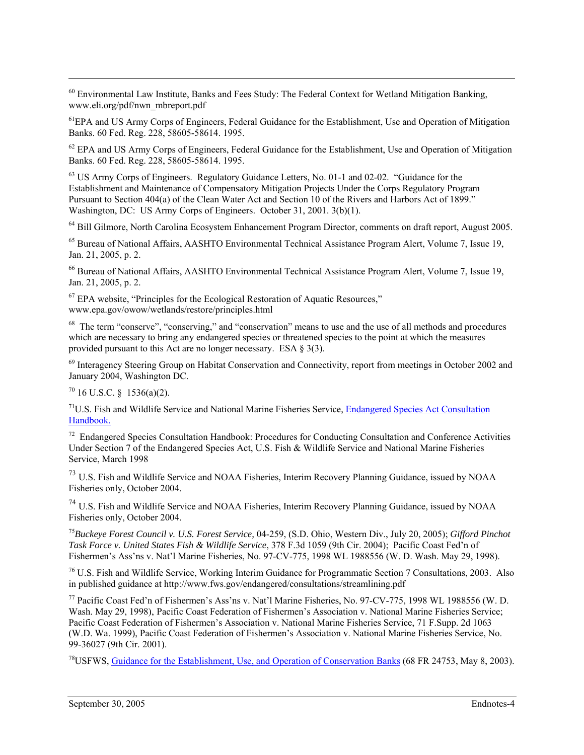<sup>60</sup> Environmental Law Institute, Banks and Fees Study: The Federal Context for Wetland Mitigation Banking, www.eli.org/pdf/nwn\_mbreport.pdf

<sup>61</sup>EPA and US Army Corps of Engineers, Federal Guidance for the Establishment, Use and Operation of Mitigation Banks. 60 Fed. Reg. 228, 58605-58614. 1995.

<sup>62</sup> EPA and US Army Corps of Engineers, Federal Guidance for the Establishment, Use and Operation of Mitigation Banks. 60 Fed. Reg. 228, 58605-58614. 1995.

<sup>63</sup> US Army Corps of Engineers. Regulatory Guidance Letters, No. 01-1 and 02-02. "Guidance for the Establishment and Maintenance of Compensatory Mitigation Projects Under the Corps Regulatory Program Pursuant to Section 404(a) of the Clean Water Act and Section 10 of the Rivers and Harbors Act of 1899." Washington, DC: US Army Corps of Engineers. October 31, 2001. 3(b)(1).

64 Bill Gilmore, North Carolina Ecosystem Enhancement Program Director, comments on draft report, August 2005.

65 Bureau of National Affairs, AASHTO Environmental Technical Assistance Program Alert, Volume 7, Issue 19, Jan. 21, 2005, p. 2.

66 Bureau of National Affairs, AASHTO Environmental Technical Assistance Program Alert, Volume 7, Issue 19, Jan. 21, 2005, p. 2.

 $67$  EPA website, "Principles for the Ecological Restoration of Aquatic Resources," www.epa.gov/owow/wetlands/restore/principles.html

<sup>68</sup> The term "conserve", "conserving," and "conservation" means to use and the use of all methods and procedures which are necessary to bring any endangered species or threatened species to the point at which the measures provided pursuant to this Act are no longer necessary. ESA § 3(3).

<sup>69</sup> Interagency Steering Group on Habitat Conservation and Connectivity, report from meetings in October 2002 and January 2004, Washington DC.

 $70$  16 U.S.C. § 1536(a)(2).

 $71$ U.S. Fish and Wildlife Service and National Marine Fisheries Service, Endangered Species Act Consultation [Handbook.](http://www.fws.gov/endangered/consultations/s7hndbk/s7hndbk.htm)

<sup>72</sup> Endangered Species Consultation Handbook: Procedures for Conducting Consultation and Conference Activities Under Section 7 of the Endangered Species Act, U.S. Fish & Wildlife Service and National Marine Fisheries Service, March 1998

<sup>73</sup> U.S. Fish and Wildlife Service and NOAA Fisheries, Interim Recovery Planning Guidance, issued by NOAA Fisheries only, October 2004.

<sup>74</sup> U.S. Fish and Wildlife Service and NOAA Fisheries, Interim Recovery Planning Guidance, issued by NOAA Fisheries only, October 2004.

<sup>75</sup>*Buckeye Forest Council v. U.S. Forest Service,* 04-259, (S.D. Ohio, Western Div., July 20, 2005); *Gifford Pinchot Task Force v. United States Fish & Wildlife Service*, 378 F.3d 1059 (9th Cir. 2004); Pacific Coast Fed'n of Fishermen's Ass'ns v. Nat'l Marine Fisheries, No. 97-CV-775, 1998 WL 1988556 (W. D. Wash. May 29, 1998).

76 U.S. Fish and Wildlife Service, Working Interim Guidance for Programmatic Section 7 Consultations, 2003. Also in published guidance at http://www.fws.gov/endangered/consultations/streamlining.pdf

77 Pacific Coast Fed'n of Fishermen's Ass'ns v. Nat'l Marine Fisheries, No. 97-CV-775, 1998 WL 1988556 (W. D. Wash. May 29, 1998), Pacific Coast Federation of Fishermen's Association v. National Marine Fisheries Service; Pacific Coast Federation of Fishermen's Association v. National Marine Fisheries Service, 71 F.Supp. 2d 1063 (W.D. Wa. 1999), Pacific Coast Federation of Fishermen's Association v. National Marine Fisheries Service, No. 99-36027 (9th Cir. 2001).

78USFWS, [Guidance for the Establishment, Use, and Operation of Conservation Banks](http://endangered.fws.gov/policies/conservation-banking.pdf) (68 FR 24753, May 8, 2003).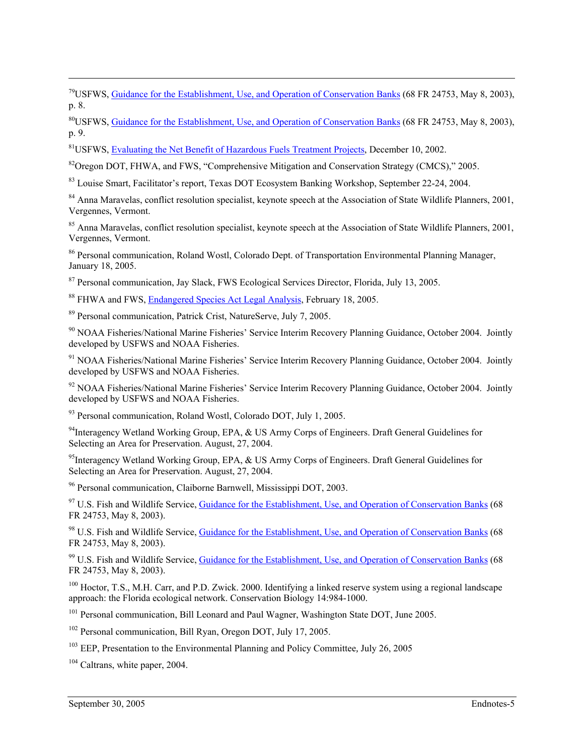79USFWS, [Guidance for the Establishment, Use, and Operation of Conservation Banks](http://endangered.fws.gov/policies/conservation-banking.pdf) (68 FR 24753, May 8, 2003), p. 8.

80USFWS, [Guidance for the Establishment, Use, and Operation of Conservation Banks](http://endangered.fws.gov/policies/conservation-banking.pdf) (68 FR 24753, May 8, 2003), p. 9.

<sup>81</sup>USFWS, [Evaluating the Net Benefit of Hazardous Fuels Treatment Projects](http://www.fws.gov/endangered/consultations/healthy_forest.pdf), December 10, 2002.

<sup>82</sup>Oregon DOT, FHWA, and FWS, "Comprehensive Mitigation and Conservation Strategy (CMCS)," 2005.

<sup>83</sup> Louise Smart, Facilitator's report, Texas DOT Ecosystem Banking Workshop, September 22-24, 2004.

<sup>84</sup> Anna Maravelas, conflict resolution specialist, keynote speech at the Association of State Wildlife Planners, 2001, Vergennes, Vermont.

<sup>85</sup> Anna Maravelas, conflict resolution specialist, keynote speech at the Association of State Wildlife Planners, 2001, Vergennes, Vermont.

86 Personal communication, Roland Wostl, Colorado Dept. of Transportation Environmental Planning Manager, January 18, 2005.

<sup>87</sup> Personal communication, Jay Slack, FWS Ecological Services Director, Florida, July 13, 2005.

<sup>88</sup> FHWA and FWS, [Endangered Species Act Legal Analysis,](http://www.fhwa.dot.gov/environment/ecosystems/esalegalemail.htm) February 18, 2005.

89 Personal communication, Patrick Crist, NatureServe, July 7, 2005.

<sup>90</sup> NOAA Fisheries/National Marine Fisheries' Service Interim Recovery Planning Guidance, October 2004. Jointly developed by USFWS and NOAA Fisheries.

<sup>91</sup> NOAA Fisheries/National Marine Fisheries' Service Interim Recovery Planning Guidance, October 2004. Jointly developed by USFWS and NOAA Fisheries.

<sup>92</sup> NOAA Fisheries/National Marine Fisheries' Service Interim Recovery Planning Guidance, October 2004. Jointly developed by USFWS and NOAA Fisheries.

93 Personal communication, Roland Wostl, Colorado DOT, July 1, 2005.

<sup>94</sup>Interagency Wetland Working Group, EPA, & US Army Corps of Engineers. Draft General Guidelines for Selecting an Area for Preservation. August, 27, 2004.

<sup>95</sup>Interagency Wetland Working Group, EPA, & US Army Corps of Engineers. Draft General Guidelines for Selecting an Area for Preservation. August, 27, 2004.

96 Personal communication, Claiborne Barnwell, Mississippi DOT, 2003.

<sup>97</sup> U.S. Fish and Wildlife Service, [Guidance for the Establishment, Use, and Operation of Conservation Banks](http://endangered.fws.gov/policies/conservation-banking.pdf) (68 FR 24753, May 8, 2003).

98 U.S. Fish and Wildlife Service, [Guidance for the Establishment, Use, and Operation of Conservation Banks](http://endangered.fws.gov/policies/conservation-banking.pdf) (68 FR 24753, May 8, 2003).

<sup>99</sup> U.S. Fish and Wildlife Service, [Guidance for the Establishment, Use, and Operation of Conservation Banks](http://endangered.fws.gov/policies/conservation-banking.pdf) (68 FR 24753, May 8, 2003).

<sup>100</sup> Hoctor, T.S., M.H. Carr, and P.D. Zwick. 2000. Identifying a linked reserve system using a regional landscape approach: the Florida ecological network. Conservation Biology 14:984-1000.

<sup>101</sup> Personal communication, Bill Leonard and Paul Wagner, Washington State DOT, June 2005.

102 Personal communication, Bill Ryan, Oregon DOT, July 17, 2005.

103 EEP, Presentation to the Environmental Planning and Policy Committee*,* July 26, 2005

<sup>104</sup> Caltrans, white paper, 2004.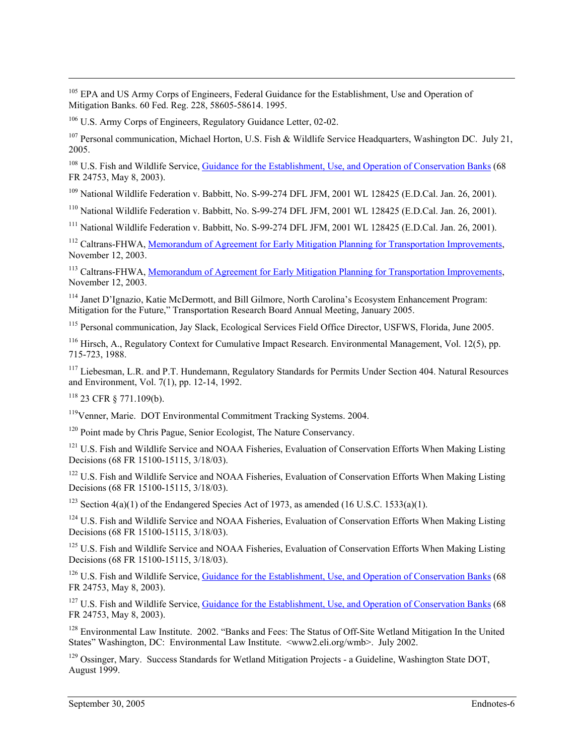<sup>105</sup> EPA and US Army Corps of Engineers, Federal Guidance for the Establishment, Use and Operation of Mitigation Banks. 60 Fed. Reg. 228, 58605-58614. 1995.

106 U.S. Army Corps of Engineers, Regulatory Guidance Letter, 02-02.

<sup>107</sup> Personal communication, Michael Horton, U.S. Fish & Wildlife Service Headquarters, Washington DC. July 21, 2005.

<sup>108</sup> U.S. Fish and Wildlife Service, [Guidance for the Establishment, Use, and Operation of Conservation Banks](http://endangered.fws.gov/policies/conservation-banking.pdf) (68 FR 24753, May 8, 2003).

109 National Wildlife Federation v. Babbitt, No. S-99-274 DFL JFM, 2001 WL 128425 (E.D.Cal. Jan. 26, 2001).

110 National Wildlife Federation v. Babbitt, No. S-99-274 DFL JFM, 2001 WL 128425 (E.D.Cal. Jan. 26, 2001).

111 National Wildlife Federation v. Babbitt, No. S-99-274 DFL JFM, 2001 WL 128425 (E.D.Cal. Jan. 26, 2001).

<sup>112</sup> Caltrans-FHWA, [Memorandum of Agreement for Early Mitigation Planning for Transportation Improvements,](http://www.fhwa.dot.gov/cadiv/pre/moajoan.htm) November 12, 2003.

<sup>113</sup> Caltrans-FHWA, [Memorandum of Agreement for Early Mitigation Planning for Transportation Improvements,](http://www.fhwa.dot.gov/cadiv/pre/moajoan.htm) November 12, 2003.

114 Janet D'Ignazio, Katie McDermott, and Bill Gilmore, North Carolina's Ecosystem Enhancement Program: Mitigation for the Future," Transportation Research Board Annual Meeting, January 2005.

115 Personal communication, Jay Slack, Ecological Services Field Office Director, USFWS, Florida, June 2005.

116 Hirsch, A., Regulatory Context for Cumulative Impact Research. Environmental Management, Vol. 12(5), pp. 715-723, 1988.

<sup>117</sup> Liebesman, L.R. and P.T. Hundemann, Regulatory Standards for Permits Under Section 404. Natural Resources and Environment, Vol. 7(1), pp. 12-14, 1992.

118 23 CFR § 771.109(b).

119Venner, Marie. DOT Environmental Commitment Tracking Systems. 2004.

120 Point made by Chris Pague, Senior Ecologist, The Nature Conservancy.

<sup>121</sup> U.S. Fish and Wildlife Service and NOAA Fisheries, Evaluation of Conservation Efforts When Making Listing Decisions (68 FR 15100-15115, 3/18/03).

<sup>122</sup> U.S. Fish and Wildlife Service and NOAA Fisheries, Evaluation of Conservation Efforts When Making Listing Decisions (68 FR 15100-15115, 3/18/03).

<sup>123</sup> Section 4(a)(1) of the Endangered Species Act of 1973, as amended (16 U.S.C. 1533(a)(1).

<sup>124</sup> U.S. Fish and Wildlife Service and NOAA Fisheries, Evaluation of Conservation Efforts When Making Listing Decisions (68 FR 15100-15115, 3/18/03).

<sup>125</sup> U.S. Fish and Wildlife Service and NOAA Fisheries, Evaluation of Conservation Efforts When Making Listing Decisions (68 FR 15100-15115, 3/18/03).

<sup>126</sup> U.S. Fish and Wildlife Service, [Guidance for the Establishment, Use, and Operation of Conservation Banks](http://endangered.fws.gov/policies/conservation-banking.pdf) (68 FR 24753, May 8, 2003).

<sup>127</sup> U.S. Fish and Wildlife Service, [Guidance for the Establishment, Use, and Operation of Conservation Banks](http://endangered.fws.gov/policies/conservation-banking.pdf) (68 FR 24753, May 8, 2003).

<sup>128</sup> Environmental Law Institute. 2002. "Banks and Fees: The Status of Off-Site Wetland Mitigation In the United States" Washington, DC: Environmental Law Institute. <www2.eli.org/wmb>. July 2002.

<sup>129</sup> Ossinger, Mary. Success Standards for Wetland Mitigation Projects - a Guideline, Washington State DOT, August 1999.